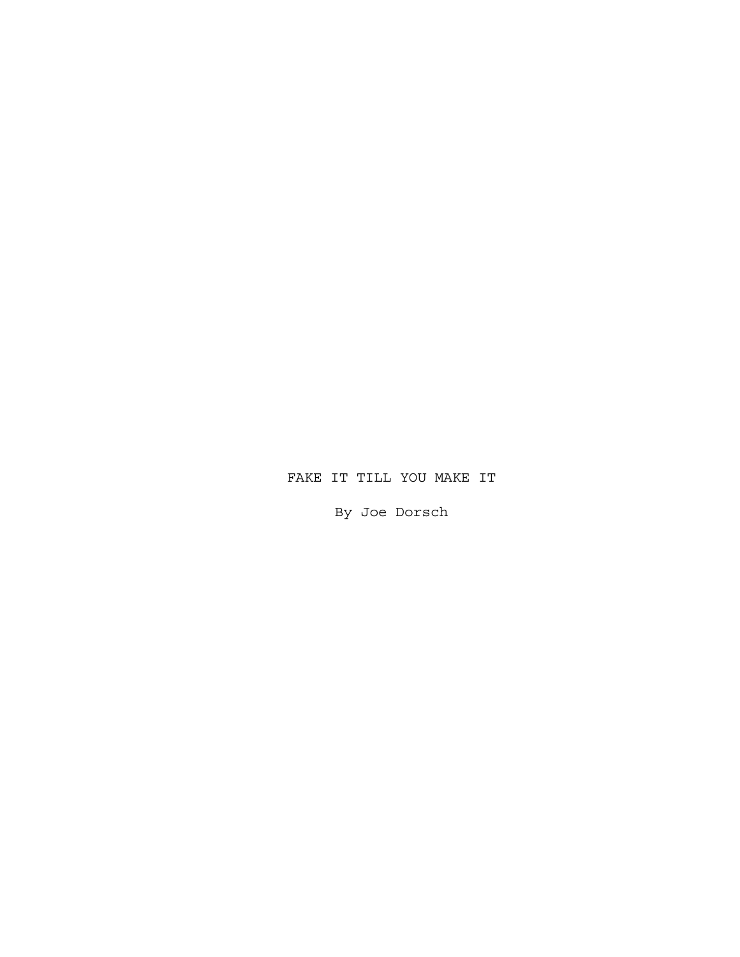# FAKE IT TILL YOU MAKE IT

By Joe Dorsch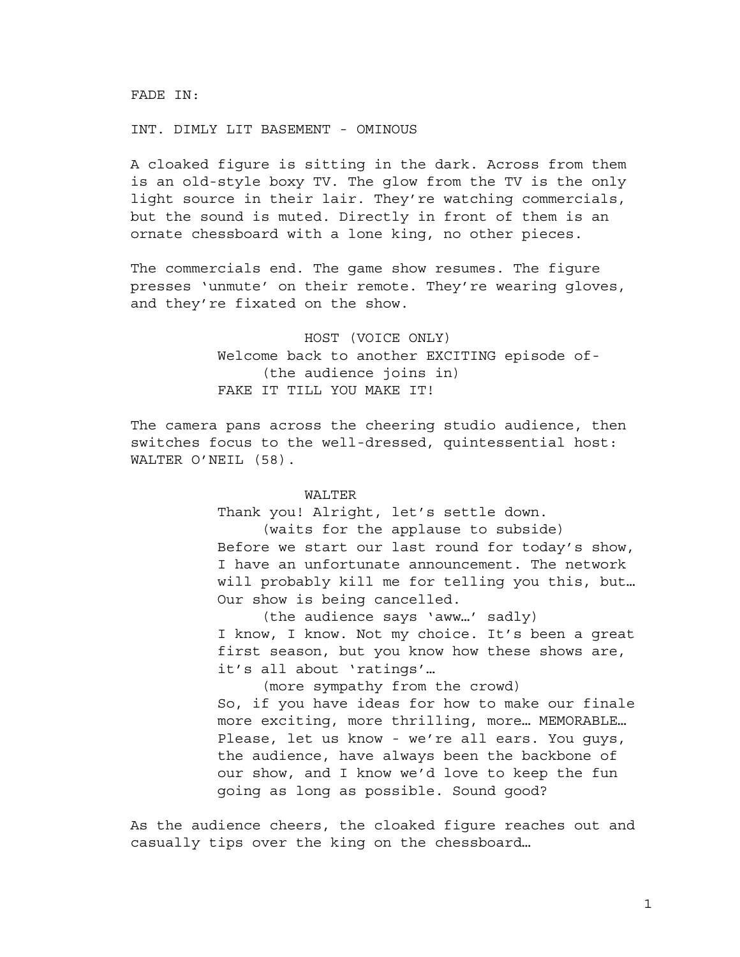FADE IN:

#### INT. DIMLY LIT BASEMENT - OMINOUS

A cloaked figure is sitting in the dark. Across from them is an old-style boxy TV. The glow from the TV is the only light source in their lair. They're watching commercials, but the sound is muted. Directly in front of them is an ornate chessboard with a lone king, no other pieces.

The commercials end. The game show resumes. The figure presses 'unmute' on their remote. They're wearing gloves, and they're fixated on the show.

> HOST (VOICE ONLY) Welcome back to another EXCITING episode of- (the audience joins in) FAKE IT TILL YOU MAKE IT!

The camera pans across the cheering studio audience, then switches focus to the well-dressed, quintessential host: WALTER O'NEIL (58).

### WALTER

Thank you! Alright, let's settle down. (waits for the applause to subside)

Before we start our last round for today's show, I have an unfortunate announcement. The network will probably kill me for telling you this, but… Our show is being cancelled.

(the audience says 'aww…' sadly) I know, I know. Not my choice. It's been a great first season, but you know how these shows are, it's all about 'ratings'…

(more sympathy from the crowd) So, if you have ideas for how to make our finale more exciting, more thrilling, more… MEMORABLE… Please, let us know - we're all ears. You guys, the audience, have always been the backbone of our show, and I know we'd love to keep the fun going as long as possible. Sound good?

As the audience cheers, the cloaked figure reaches out and casually tips over the king on the chessboard…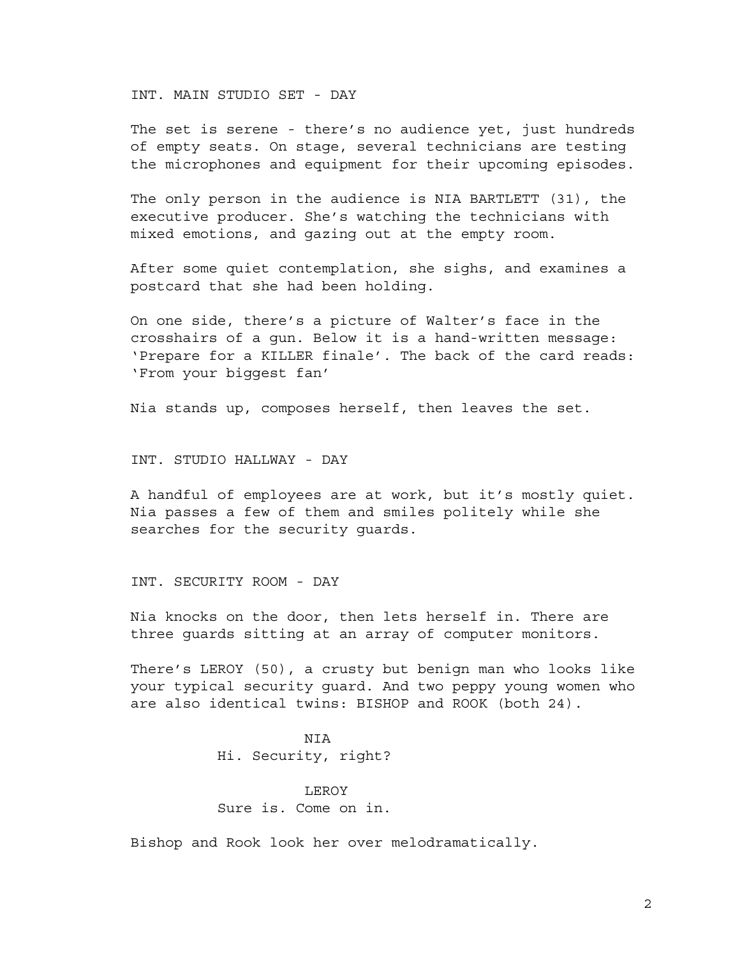INT. MAIN STUDIO SET - DAY

The set is serene - there's no audience yet, just hundreds of empty seats. On stage, several technicians are testing the microphones and equipment for their upcoming episodes.

The only person in the audience is NIA BARTLETT (31), the executive producer. She's watching the technicians with mixed emotions, and gazing out at the empty room.

After some quiet contemplation, she sighs, and examines a postcard that she had been holding.

On one side, there's a picture of Walter's face in the crosshairs of a gun. Below it is a hand-written message: 'Prepare for a KILLER finale'. The back of the card reads: 'From your biggest fan'

Nia stands up, composes herself, then leaves the set.

INT. STUDIO HALLWAY - DAY

A handful of employees are at work, but it's mostly quiet. Nia passes a few of them and smiles politely while she searches for the security guards.

INT. SECURITY ROOM - DAY

Nia knocks on the door, then lets herself in. There are three guards sitting at an array of computer monitors.

There's LEROY (50), a crusty but benign man who looks like your typical security guard. And two peppy young women who are also identical twins: BISHOP and ROOK (both 24).

> NIA Hi. Security, right?

LEROY Sure is. Come on in.

Bishop and Rook look her over melodramatically.

2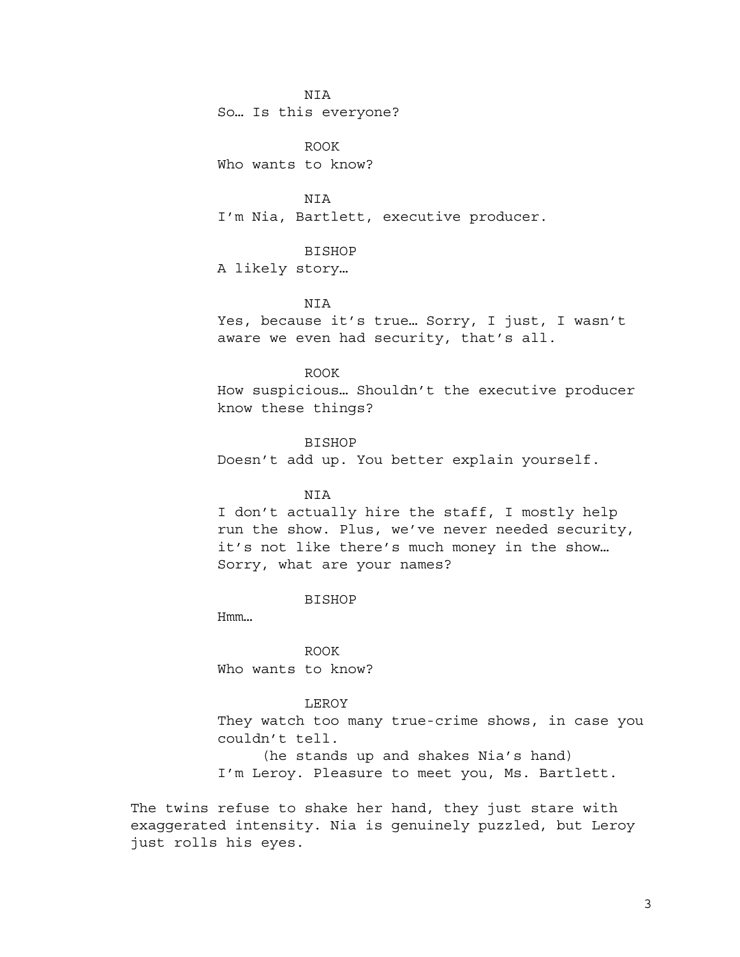NIA

So… Is this everyone?

ROOK Who wants to know?

**NTA** I'm Nia, Bartlett, executive producer.

## BISHOP

A likely story…

### NIA

Yes, because it's true… Sorry, I just, I wasn't aware we even had security, that's all.

# ROOK

How suspicious… Shouldn't the executive producer know these things?

### BISHOP

Doesn't add up. You better explain yourself.

# **NTA**

I don't actually hire the staff, I mostly help run the show. Plus, we've never needed security, it's not like there's much money in the show… Sorry, what are your names?

#### BISHOP

Hmm…

ROOK Who wants to know?

# LEROY

They watch too many true-crime shows, in case you couldn't tell. (he stands up and shakes Nia's hand)

I'm Leroy. Pleasure to meet you, Ms. Bartlett.

The twins refuse to shake her hand, they just stare with exaggerated intensity. Nia is genuinely puzzled, but Leroy just rolls his eyes.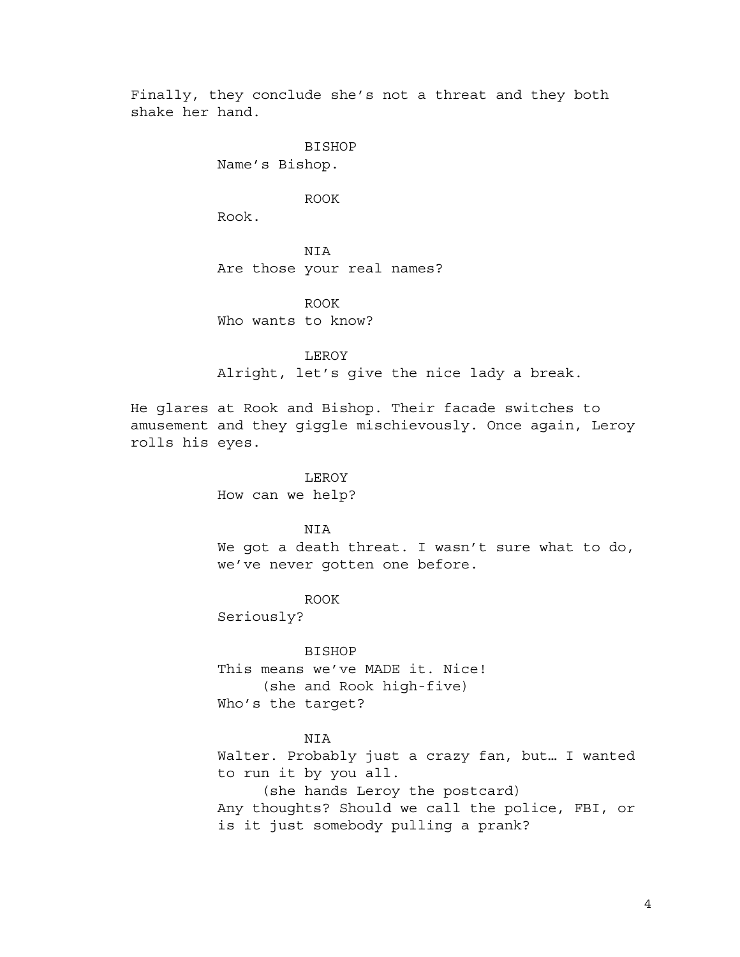Finally, they conclude she's not a threat and they both shake her hand.

> BISHOP Name's Bishop.

> > ROOK

Rook.

NIA Are those your real names?

ROOK Who wants to know?

LEROY Alright, let's give the nice lady a break.

He glares at Rook and Bishop. Their facade switches to amusement and they giggle mischievously. Once again, Leroy rolls his eyes.

> LEROY How can we help?

## NIA

We got a death threat. I wasn't sure what to do, we've never gotten one before.

ROOK

Seriously?

BISHOP This means we've MADE it. Nice! (she and Rook high-five) Who's the target?

### NIA

Walter. Probably just a crazy fan, but… I wanted to run it by you all.

(she hands Leroy the postcard) Any thoughts? Should we call the police, FBI, or is it just somebody pulling a prank?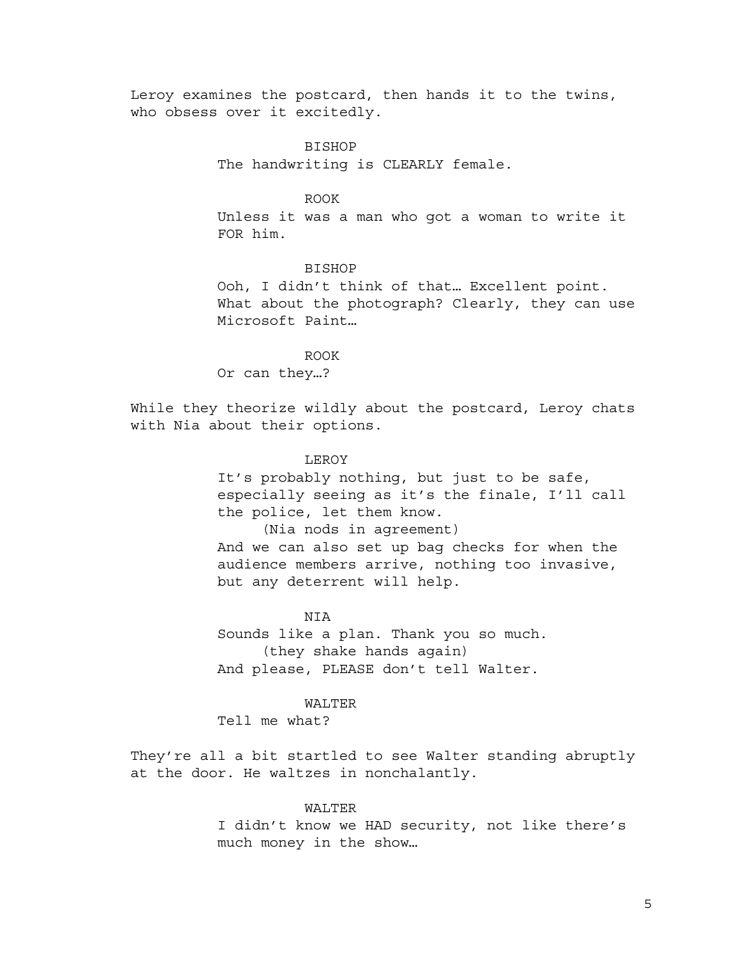Leroy examines the postcard, then hands it to the twins, who obsess over it excitedly.

BISHOP

The handwriting is CLEARLY female.

# ROOK

Unless it was a man who got a woman to write it FOR him.

#### **BISHOP**

Ooh, I didn't think of that… Excellent point. What about the photograph? Clearly, they can use Microsoft Paint…

ROOK Or can they…?

While they theorize wildly about the postcard, Leroy chats with Nia about their options.

### LEROY

It's probably nothing, but just to be safe, especially seeing as it's the finale, I'll call the police, let them know. (Nia nods in agreement)

And we can also set up bag checks for when the audience members arrive, nothing too invasive, but any deterrent will help.

### **NTA**

Sounds like a plan. Thank you so much. (they shake hands again) And please, PLEASE don't tell Walter.

#### WALTER

Tell me what?

They're all a bit startled to see Walter standing abruptly at the door. He waltzes in nonchalantly.

# WALTER

I didn't know we HAD security, not like there's much money in the show…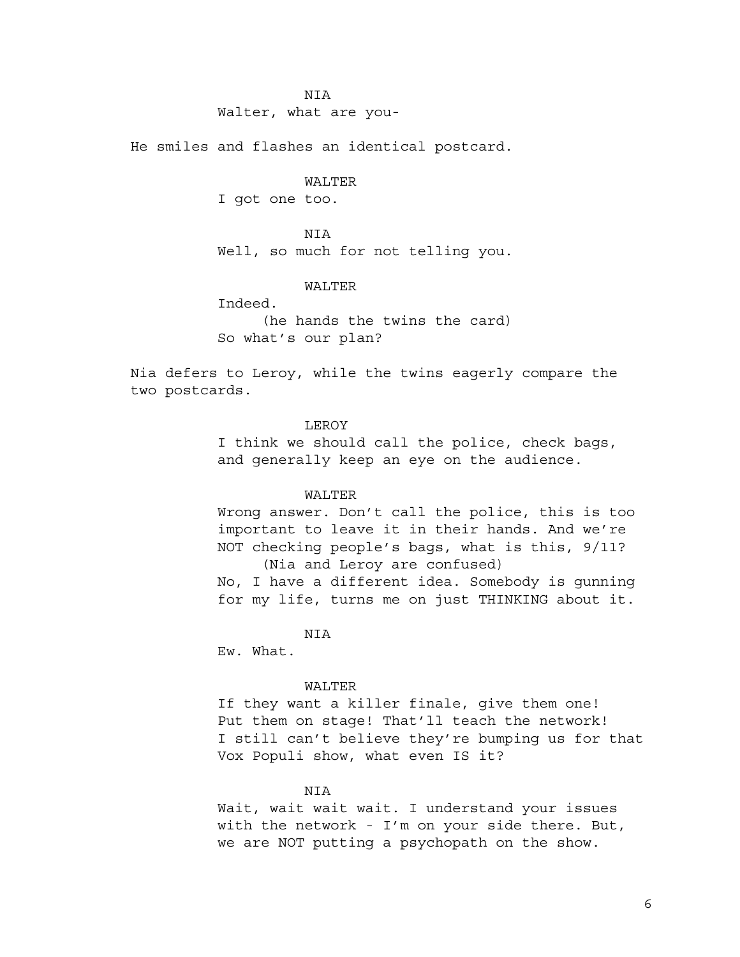### NIA

Walter, what are you-

He smiles and flashes an identical postcard.

#### WALTER

I got one too.

### **NTA**

Well, so much for not telling you.

# WALTER

Indeed.

(he hands the twins the card) So what's our plan?

Nia defers to Leroy, while the twins eagerly compare the two postcards.

# LEROY

I think we should call the police, check bags, and generally keep an eye on the audience.

### WALTER

Wrong answer. Don't call the police, this is too important to leave it in their hands. And we're NOT checking people's bags, what is this, 9/11? (Nia and Leroy are confused) No, I have a different idea. Somebody is gunning

for my life, turns me on just THINKING about it.

NIA

Ew. What.

#### WALTER

If they want a killer finale, give them one! Put them on stage! That'll teach the network! I still can't believe they're bumping us for that Vox Populi show, what even IS it?

# NIA

Wait, wait wait wait. I understand your issues with the network - I'm on your side there. But, we are NOT putting a psychopath on the show.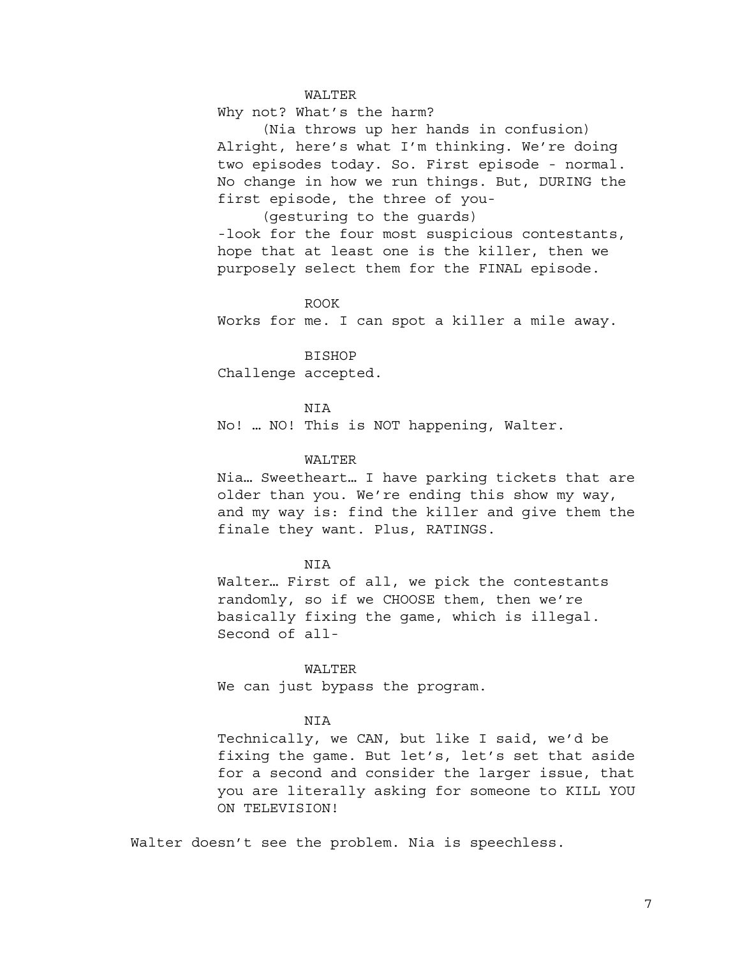### WALTER

Why not? What's the harm?

(Nia throws up her hands in confusion) Alright, here's what I'm thinking. We're doing two episodes today. So. First episode - normal. No change in how we run things. But, DURING the first episode, the three of you-

(gesturing to the guards)

-look for the four most suspicious contestants, hope that at least one is the killer, then we purposely select them for the FINAL episode.

### ROOK

Works for me. I can spot a killer a mile away.

BISHOP

Challenge accepted.

**NTA** 

No! … NO! This is NOT happening, Walter.

### WALTER

Nia… Sweetheart… I have parking tickets that are older than you. We're ending this show my way, and my way is: find the killer and give them the finale they want. Plus, RATINGS.

### NIA

Walter… First of all, we pick the contestants randomly, so if we CHOOSE them, then we're basically fixing the game, which is illegal. Second of all-

#### WALTER

We can just bypass the program.

# **NTA**

Technically, we CAN, but like I said, we'd be fixing the game. But let's, let's set that aside for a second and consider the larger issue, that you are literally asking for someone to KILL YOU ON TELEVISION!

Walter doesn't see the problem. Nia is speechless.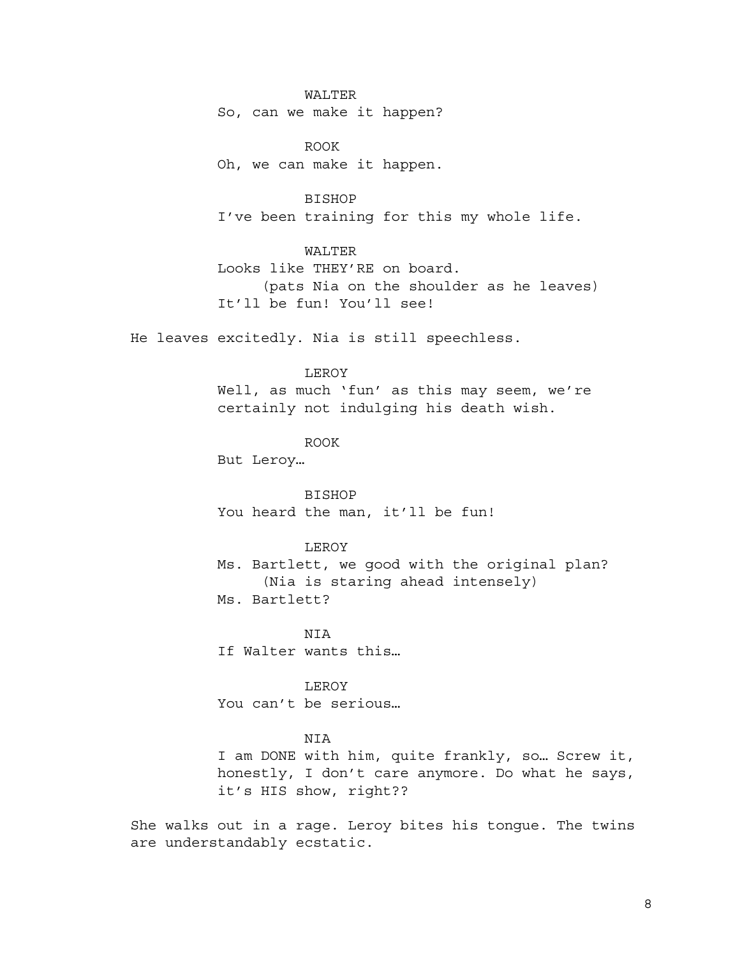WALTER

So, can we make it happen?

ROOK Oh, we can make it happen.

BISHOP I've been training for this my whole life.

WALTER Looks like THEY'RE on board. (pats Nia on the shoulder as he leaves) It'll be fun! You'll see!

He leaves excitedly. Nia is still speechless.

# LEROY

Well, as much 'fun' as this may seem, we're certainly not indulging his death wish.

ROOK

But Leroy…

BISHOP You heard the man, it'll be fun!

# LEROY

Ms. Bartlett, we good with the original plan? (Nia is staring ahead intensely) Ms. Bartlett?

NIA

If Walter wants this…

LEROY

You can't be serious…

### NIA

I am DONE with him, quite frankly, so… Screw it, honestly, I don't care anymore. Do what he says, it's HIS show, right??

She walks out in a rage. Leroy bites his tongue. The twins are understandably ecstatic.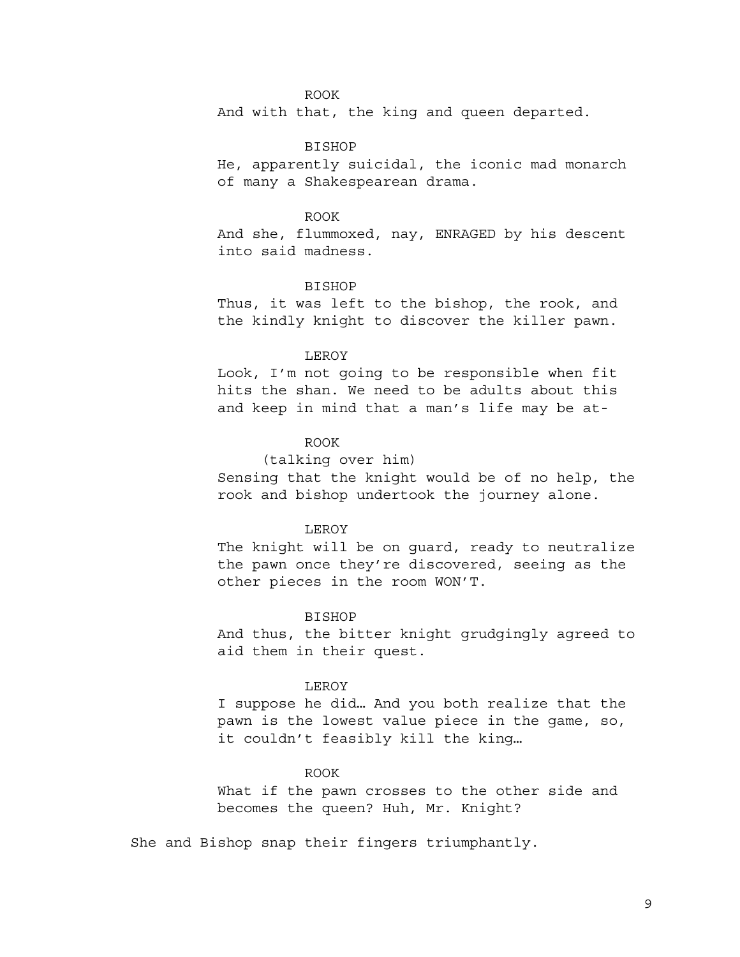## ROOK

And with that, the king and queen departed.

# BISHOP

He, apparently suicidal, the iconic mad monarch of many a Shakespearean drama.

### ROOK

And she, flummoxed, nay, ENRAGED by his descent into said madness.

# BISHOP

Thus, it was left to the bishop, the rook, and the kindly knight to discover the killer pawn.

#### LEROY

Look, I'm not going to be responsible when fit hits the shan. We need to be adults about this and keep in mind that a man's life may be at-

# ROOK

# (talking over him)

Sensing that the knight would be of no help, the rook and bishop undertook the journey alone.

#### LEROY

The knight will be on guard, ready to neutralize the pawn once they're discovered, seeing as the other pieces in the room WON'T.

### **BISHOP**

And thus, the bitter knight grudgingly agreed to aid them in their quest.

#### LEROY

I suppose he did… And you both realize that the pawn is the lowest value piece in the game, so, it couldn't feasibly kill the king…

#### ROOK

What if the pawn crosses to the other side and becomes the queen? Huh, Mr. Knight?

She and Bishop snap their fingers triumphantly.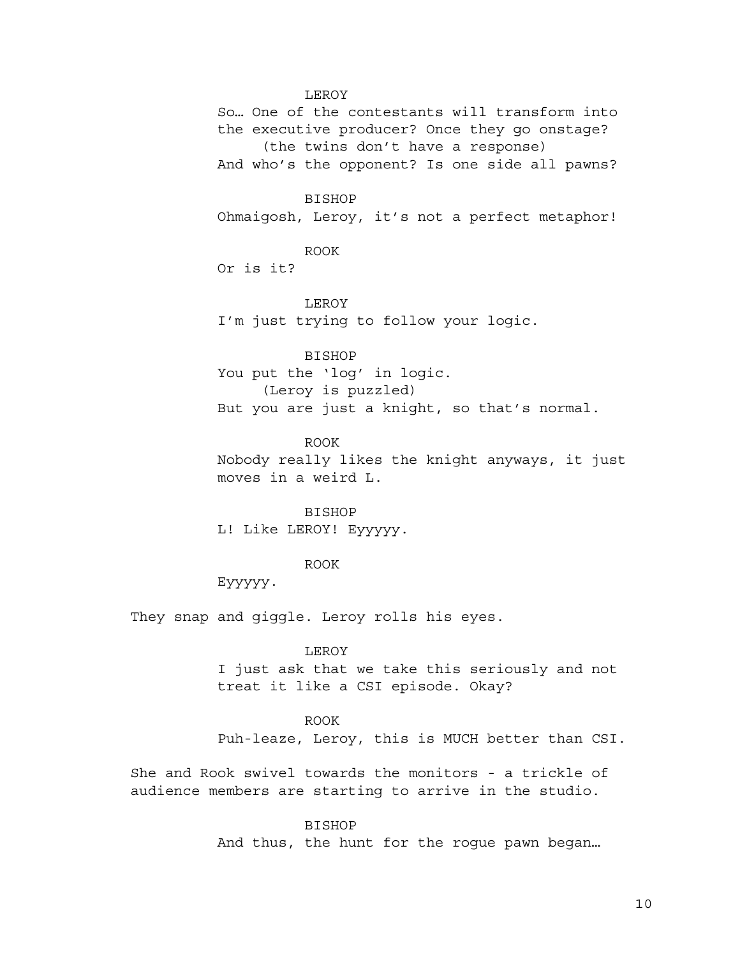# LEROY

So… One of the contestants will transform into the executive producer? Once they go onstage? (the twins don't have a response) And who's the opponent? Is one side all pawns?

#### BISHOP

Ohmaigosh, Leroy, it's not a perfect metaphor!

ROOK

Or is it?

### LEROY

I'm just trying to follow your logic.

# BISHOP

You put the 'log' in logic. (Leroy is puzzled) But you are just a knight, so that's normal.

# ROOK Nobody really likes the knight anyways, it just moves in a weird L.

BISHOP L! Like LEROY! Eyyyyy.

# ROOK

Eyyyyy.

They snap and giggle. Leroy rolls his eyes.

# LEROY

I just ask that we take this seriously and not treat it like a CSI episode. Okay?

# ROOK

Puh-leaze, Leroy, this is MUCH better than CSI.

She and Rook swivel towards the monitors - a trickle of audience members are starting to arrive in the studio.

### BISHOP

And thus, the hunt for the rogue pawn began…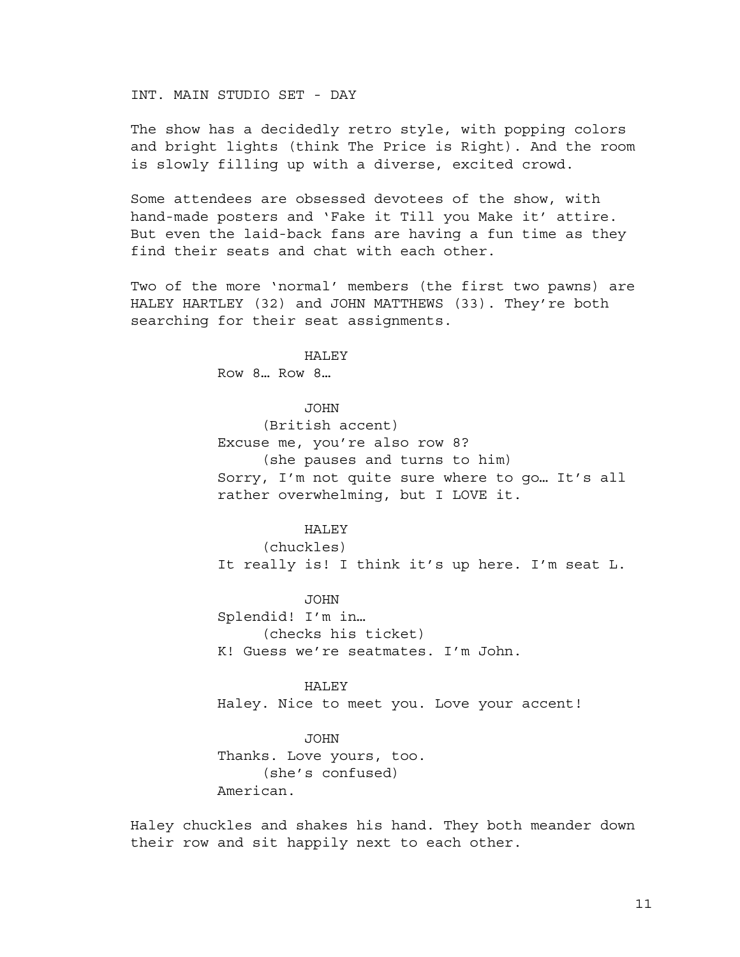INT. MAIN STUDIO SET - DAY

The show has a decidedly retro style, with popping colors and bright lights (think The Price is Right). And the room is slowly filling up with a diverse, excited crowd.

Some attendees are obsessed devotees of the show, with hand-made posters and 'Fake it Till you Make it' attire. But even the laid-back fans are having a fun time as they find their seats and chat with each other.

Two of the more 'normal' members (the first two pawns) are HALEY HARTLEY (32) and JOHN MATTHEWS (33). They're both searching for their seat assignments.

**HALEY** 

Row 8… Row 8…

JOHN

(British accent) Excuse me, you're also row 8? (she pauses and turns to him) Sorry, I'm not quite sure where to go… It's all rather overwhelming, but I LOVE it.

**HALEY** 

(chuckles) It really is! I think it's up here. I'm seat L.

JOHN

Splendid! I'm in… (checks his ticket) K! Guess we're seatmates. I'm John.

HALEY Haley. Nice to meet you. Love your accent!

JOHN Thanks. Love yours, too. (she's confused) American.

Haley chuckles and shakes his hand. They both meander down their row and sit happily next to each other.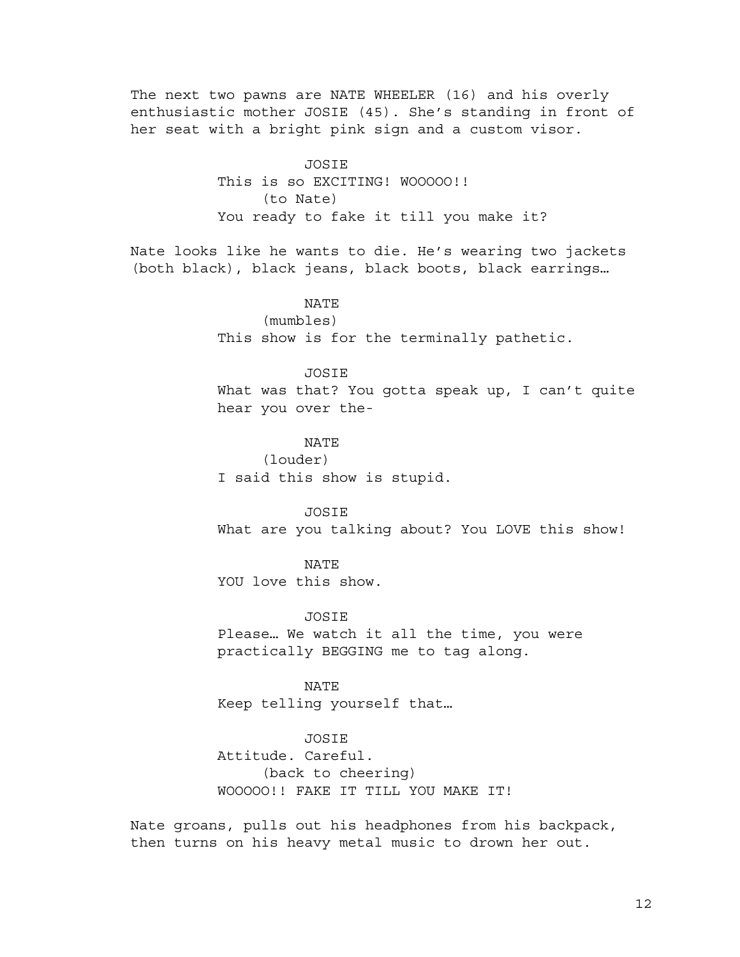The next two pawns are NATE WHEELER (16) and his overly enthusiastic mother JOSIE (45). She's standing in front of her seat with a bright pink sign and a custom visor.

> JOSIE This is so EXCITING! WOOOOO!! (to Nate) You ready to fake it till you make it?

Nate looks like he wants to die. He's wearing two jackets (both black), black jeans, black boots, black earrings…

NATE

(mumbles)

This show is for the terminally pathetic.

# JOSIE

What was that? You gotta speak up, I can't quite hear you over the-

NATE

(louder) I said this show is stupid.

JOSIE What are you talking about? You LOVE this show!

NATE YOU love this show.

**JOSTE** 

Please… We watch it all the time, you were practically BEGGING me to tag along.

NATE Keep telling yourself that…

# JOSIE

Attitude. Careful. (back to cheering) WOOOOO!! FAKE IT TILL YOU MAKE IT!

Nate groans, pulls out his headphones from his backpack, then turns on his heavy metal music to drown her out.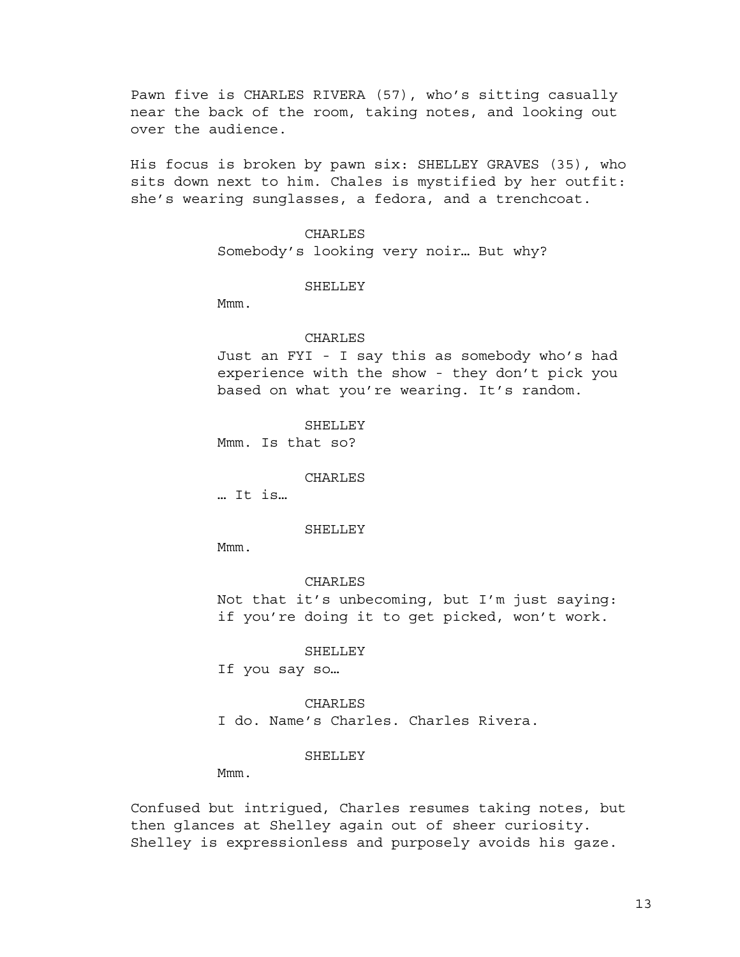Pawn five is CHARLES RIVERA (57), who's sitting casually near the back of the room, taking notes, and looking out over the audience.

His focus is broken by pawn six: SHELLEY GRAVES (35), who sits down next to him. Chales is mystified by her outfit: she's wearing sunglasses, a fedora, and a trenchcoat.

> CHARLES Somebody's looking very noir… But why?

### SHELLEY

Mmm.

### CHARLES

Just an FYI - I say this as somebody who's had experience with the show - they don't pick you based on what you're wearing. It's random.

**SHELLEY** Mmm. Is that so?

CHARLES

… It is…

#### SHELLEY

Mmm.

CHARLES Not that it's unbecoming, but I'm just saying: if you're doing it to get picked, won't work.

SHELLEY

If you say so…

CHARLES I do. Name's Charles. Charles Rivera.

#### SHELLEY

Mmm.

Confused but intrigued, Charles resumes taking notes, but then glances at Shelley again out of sheer curiosity. Shelley is expressionless and purposely avoids his gaze.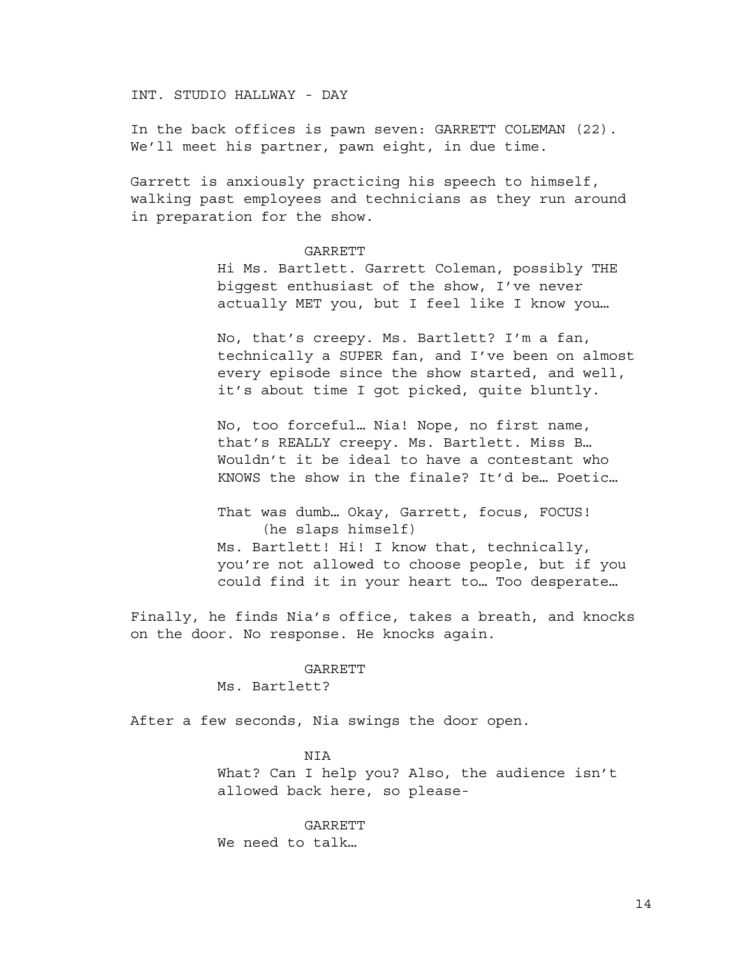INT. STUDIO HALLWAY - DAY

In the back offices is pawn seven: GARRETT COLEMAN (22). We'll meet his partner, pawn eight, in due time.

Garrett is anxiously practicing his speech to himself, walking past employees and technicians as they run around in preparation for the show.

#### GARRETT

Hi Ms. Bartlett. Garrett Coleman, possibly THE biggest enthusiast of the show, I've never actually MET you, but I feel like I know you…

No, that's creepy. Ms. Bartlett? I'm a fan, technically a SUPER fan, and I've been on almost every episode since the show started, and well, it's about time I got picked, quite bluntly.

No, too forceful… Nia! Nope, no first name, that's REALLY creepy. Ms. Bartlett. Miss B… Wouldn't it be ideal to have a contestant who KNOWS the show in the finale? It'd be… Poetic…

That was dumb… Okay, Garrett, focus, FOCUS! (he slaps himself) Ms. Bartlett! Hi! I know that, technically, you're not allowed to choose people, but if you could find it in your heart to… Too desperate…

Finally, he finds Nia's office, takes a breath, and knocks on the door. No response. He knocks again.

#### GARRETT

Ms. Bartlett?

After a few seconds, Nia swings the door open.

### **NTA**

What? Can I help you? Also, the audience isn't allowed back here, so please-

GARRETT We need to talk…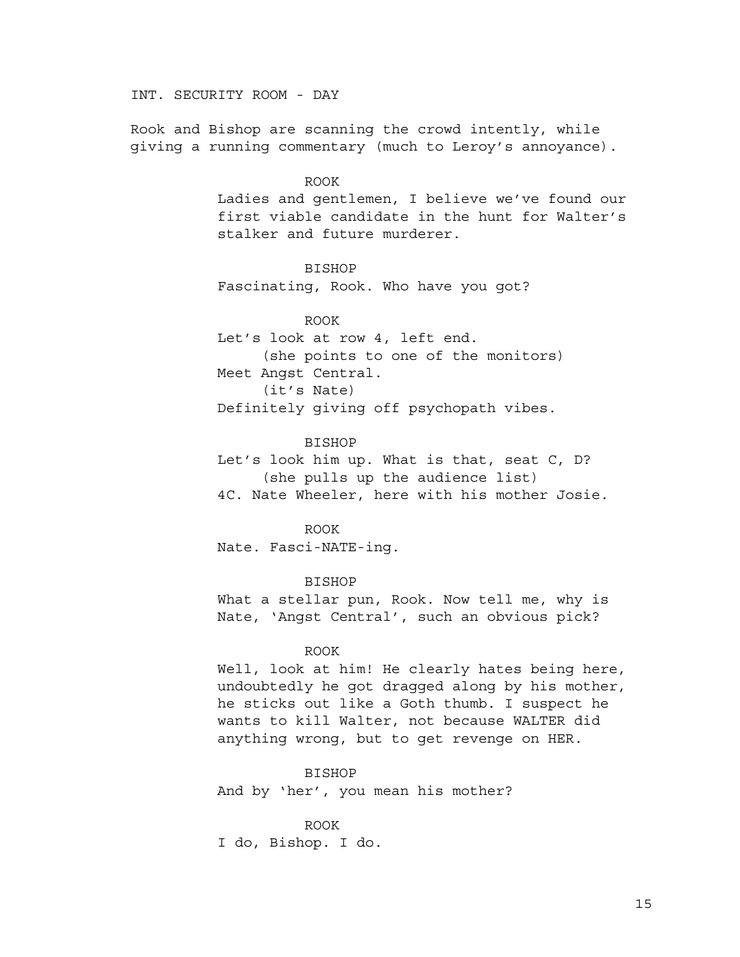INT. SECURITY ROOM - DAY

Rook and Bishop are scanning the crowd intently, while giving a running commentary (much to Leroy's annoyance).

# ROOK

Ladies and gentlemen, I believe we've found our first viable candidate in the hunt for Walter's stalker and future murderer.

# BISHOP

Fascinating, Rook. Who have you got?

ROOK Let's look at row 4, left end. (she points to one of the monitors) Meet Angst Central. (it's Nate) Definitely giving off psychopath vibes.

# BISHOP

Let's look him up. What is that, seat C, D? (she pulls up the audience list) 4C. Nate Wheeler, here with his mother Josie.

### ROOK

Nate. Fasci-NATE-ing.

### BISHOP

What a stellar pun, Rook. Now tell me, why is Nate, 'Angst Central', such an obvious pick?

# ROOK

Well, look at him! He clearly hates being here, undoubtedly he got dragged along by his mother, he sticks out like a Goth thumb. I suspect he wants to kill Walter, not because WALTER did anything wrong, but to get revenge on HER.

# BISHOP

And by 'her', you mean his mother?

# ROOK I do, Bishop. I do.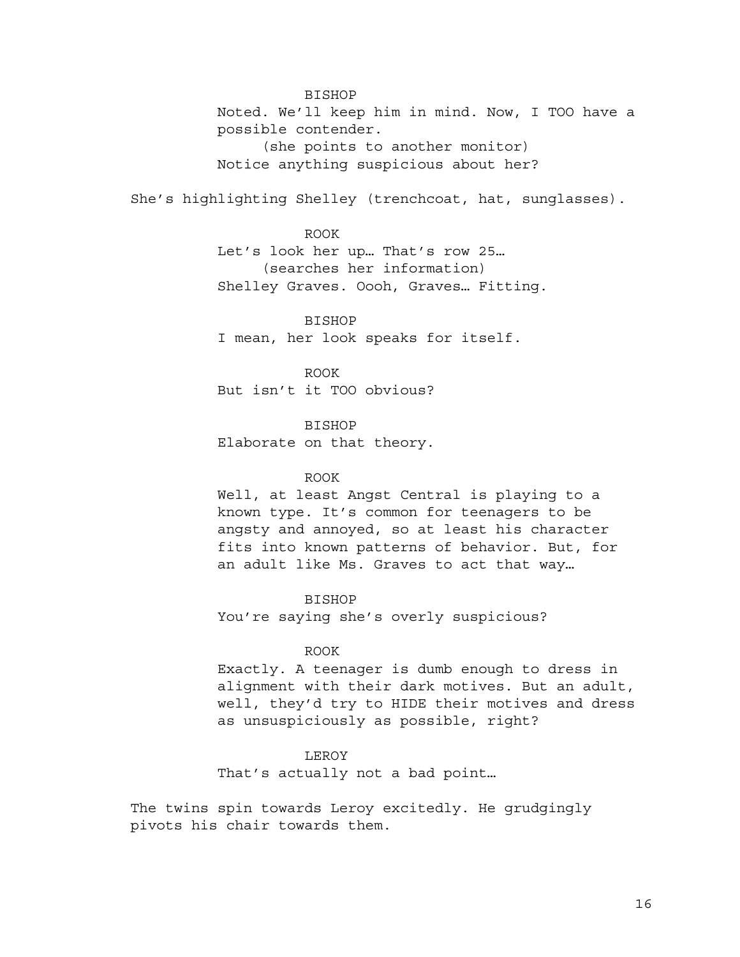BISHOP Noted. We'll keep him in mind. Now, I TOO have a possible contender. (she points to another monitor) Notice anything suspicious about her?

She's highlighting Shelley (trenchcoat, hat, sunglasses).

ROOK

Let's look her up… That's row 25… (searches her information) Shelley Graves. Oooh, Graves… Fitting.

BISHOP I mean, her look speaks for itself.

ROOK But isn't it TOO obvious?

BISHOP Elaborate on that theory.

# ROOK

Well, at least Angst Central is playing to a known type. It's common for teenagers to be angsty and annoyed, so at least his character fits into known patterns of behavior. But, for an adult like Ms. Graves to act that way…

BISHOP You're saying she's overly suspicious?

# ROOK

Exactly. A teenager is dumb enough to dress in alignment with their dark motives. But an adult, well, they'd try to HIDE their motives and dress as unsuspiciously as possible, right?

## LEROY

That's actually not a bad point…

The twins spin towards Leroy excitedly. He grudgingly pivots his chair towards them.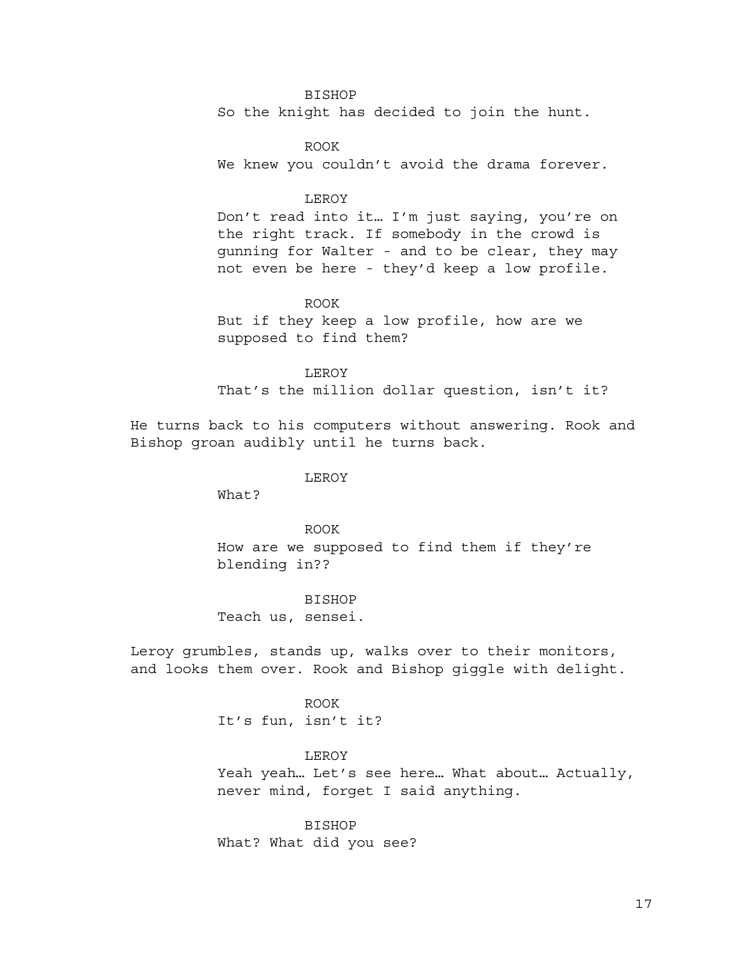# BISHOP

So the knight has decided to join the hunt.

ROOK We knew you couldn't avoid the drama forever.

# LEROY

Don't read into it… I'm just saying, you're on the right track. If somebody in the crowd is gunning for Walter - and to be clear, they may not even be here - they'd keep a low profile.

ROOK But if they keep a low profile, how are we supposed to find them?

LEROY

That's the million dollar question, isn't it?

He turns back to his computers without answering. Rook and Bishop groan audibly until he turns back.

#### LEROY

What?

ROOK How are we supposed to find them if they're blending in??

BISHOP Teach us, sensei.

Leroy grumbles, stands up, walks over to their monitors, and looks them over. Rook and Bishop giggle with delight.

> ROOK It's fun, isn't it?

LEROY Yeah yeah… Let's see here… What about… Actually, never mind, forget I said anything.

BISHOP What? What did you see?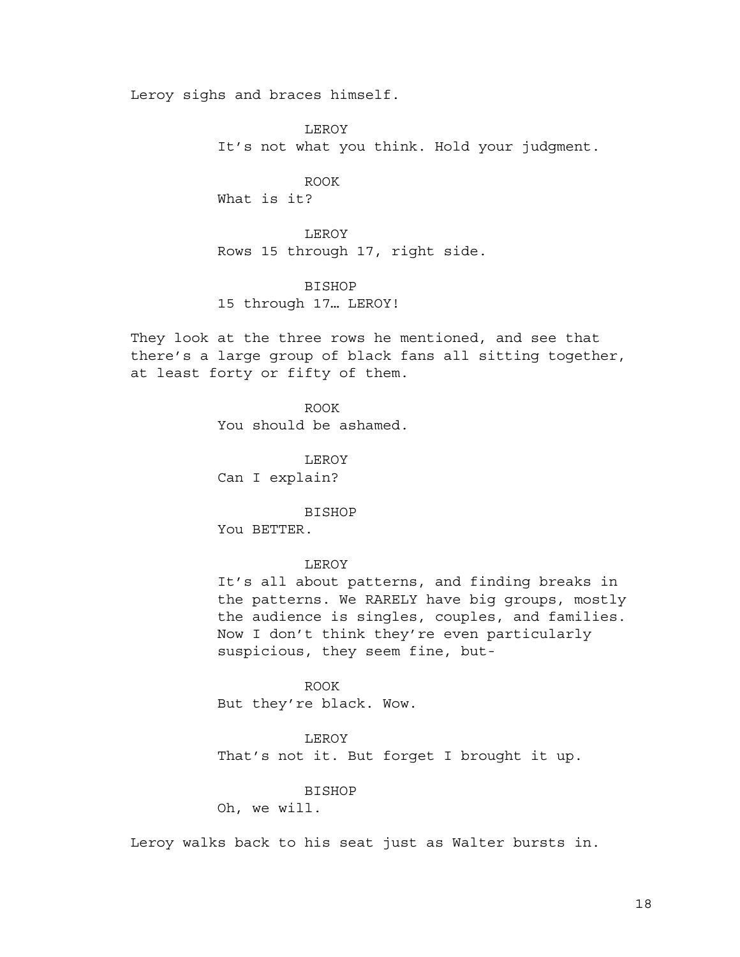Leroy sighs and braces himself.

LEROY It's not what you think. Hold your judgment.

ROOK What is it?

LEROY Rows 15 through 17, right side.

BISHOP

15 through 17… LEROY!

They look at the three rows he mentioned, and see that there's a large group of black fans all sitting together, at least forty or fifty of them.

> ROOK You should be ashamed.

LEROY Can I explain?

BISHOP You BETTER.

# LEROY

It's all about patterns, and finding breaks in the patterns. We RARELY have big groups, mostly the audience is singles, couples, and families. Now I don't think they're even particularly suspicious, they seem fine, but-

ROOK But they're black. Wow.

LEROY That's not it. But forget I brought it up.

BISHOP

Oh, we will.

Leroy walks back to his seat just as Walter bursts in.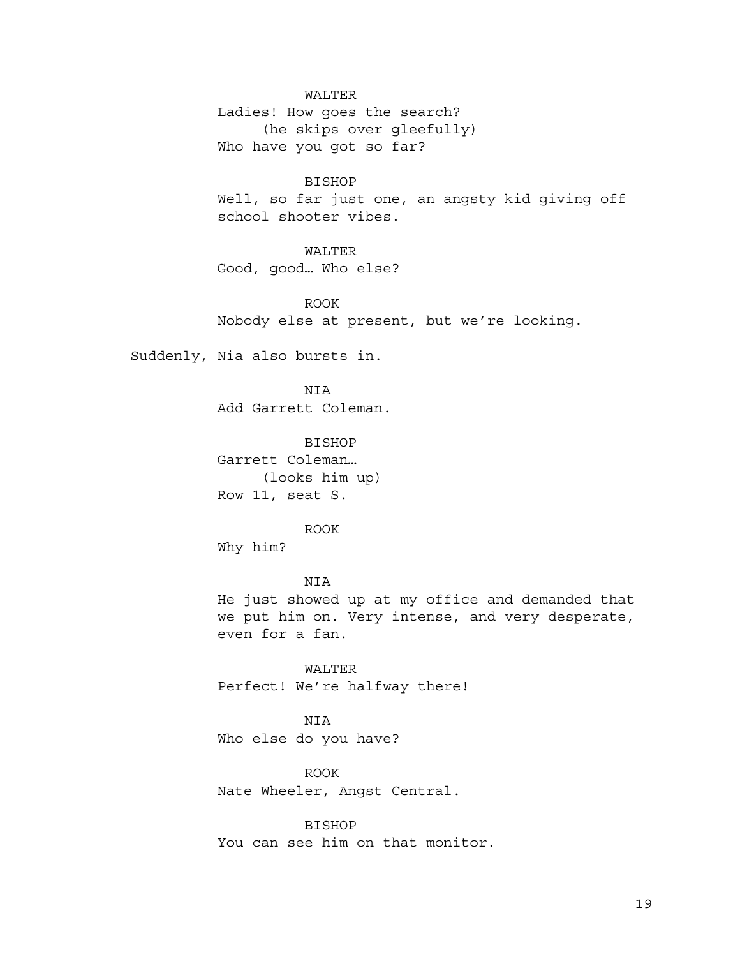## WALTER

Ladies! How goes the search? (he skips over gleefully) Who have you got so far?

BISHOP Well, so far just one, an angsty kid giving off school shooter vibes.

# WALTER

Good, good… Who else?

ROOK Nobody else at present, but we're looking.

Suddenly, Nia also bursts in.

NIA Add Garrett Coleman.

BISHOP Garrett Coleman… (looks him up) Row 11, seat S.

ROOK Why him?

NIA He just showed up at my office and demanded that we put him on. Very intense, and very desperate, even for a fan.

WALTER Perfect! We're halfway there!

NIA Who else do you have?

ROOK Nate Wheeler, Angst Central.

BISHOP You can see him on that monitor.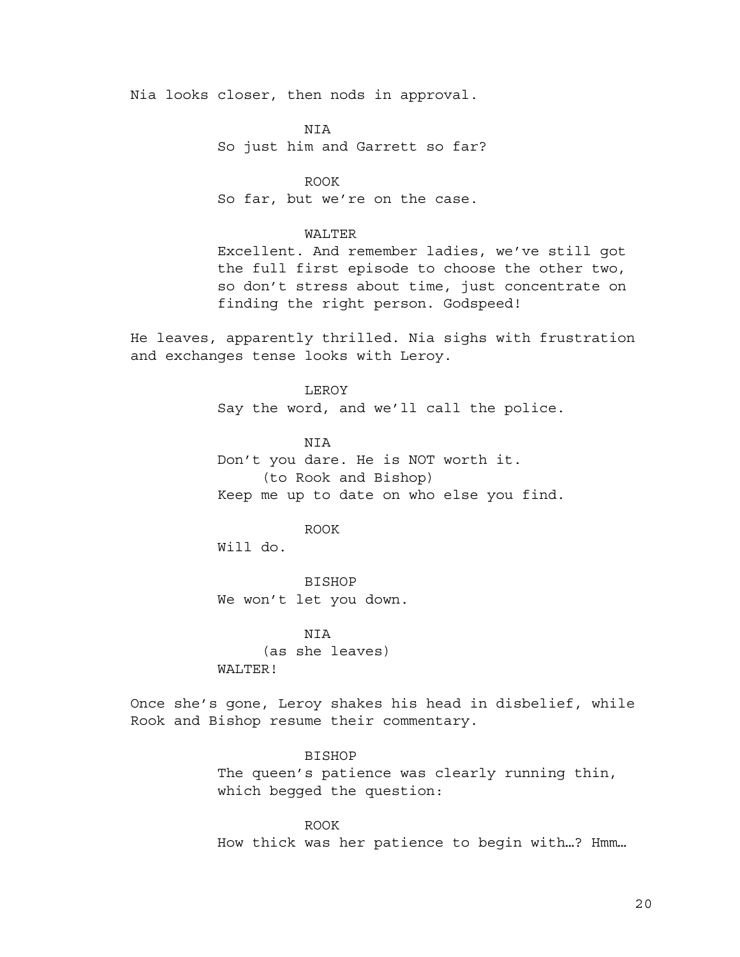Nia looks closer, then nods in approval.

NIA So just him and Garrett so far?

ROOK So far, but we're on the case.

### WALTER

Excellent. And remember ladies, we've still got the full first episode to choose the other two, so don't stress about time, just concentrate on finding the right person. Godspeed!

He leaves, apparently thrilled. Nia sighs with frustration and exchanges tense looks with Leroy.

> LEROY Say the word, and we'll call the police.

> NIA Don't you dare. He is NOT worth it. (to Rook and Bishop) Keep me up to date on who else you find.

### ROOK

Will do.

BISHOP We won't let you down.

NIA (as she leaves) WALTER!

Once she's gone, Leroy shakes his head in disbelief, while Rook and Bishop resume their commentary.

> BISHOP The queen's patience was clearly running thin, which begged the question:

ROOK How thick was her patience to begin with…? Hmm…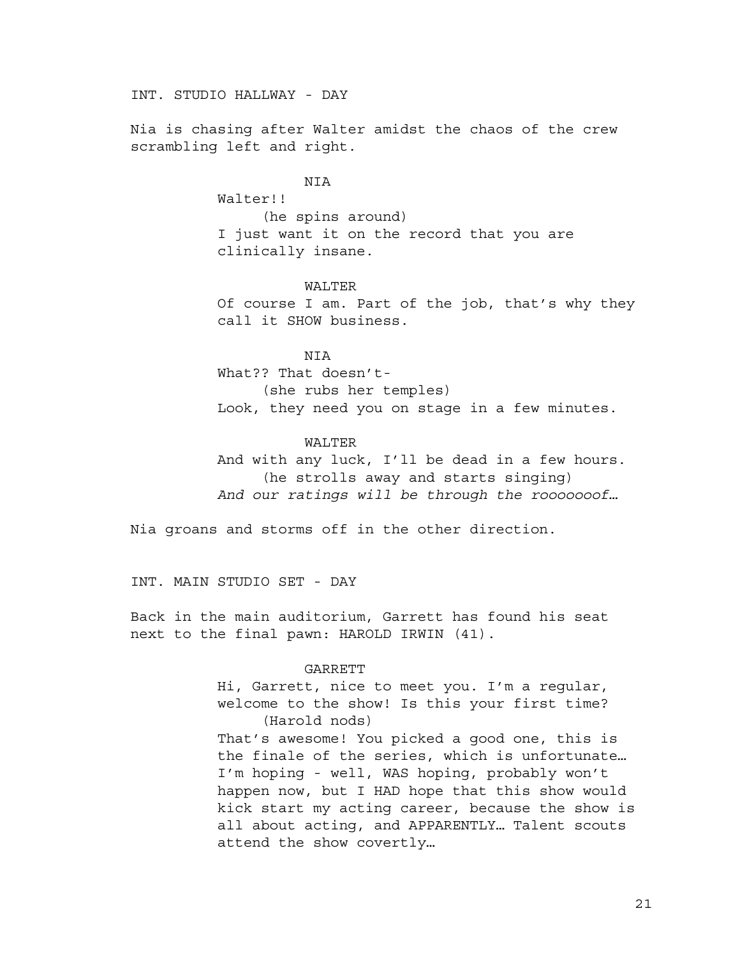INT. STUDIO HALLWAY - DAY

Nia is chasing after Walter amidst the chaos of the crew scrambling left and right.

NIA

Walter!! (he spins around) I just want it on the record that you are clinically insane.

# WALTER

Of course I am. Part of the job, that's why they call it SHOW business.

**NTA** 

What?? That doesn't- (she rubs her temples) Look, they need you on stage in a few minutes.

## WALTER

And with any luck, I'll be dead in a few hours. (he strolls away and starts singing) *And our ratings will be through the rooooooof…*

Nia groans and storms off in the other direction.

INT. MAIN STUDIO SET - DAY

Back in the main auditorium, Garrett has found his seat next to the final pawn: HAROLD IRWIN (41).

#### GARRETT

Hi, Garrett, nice to meet you. I'm a regular, welcome to the show! Is this your first time? (Harold nods)

That's awesome! You picked a good one, this is the finale of the series, which is unfortunate… I'm hoping - well, WAS hoping, probably won't happen now, but I HAD hope that this show would kick start my acting career, because the show is all about acting, and APPARENTLY… Talent scouts attend the show covertly…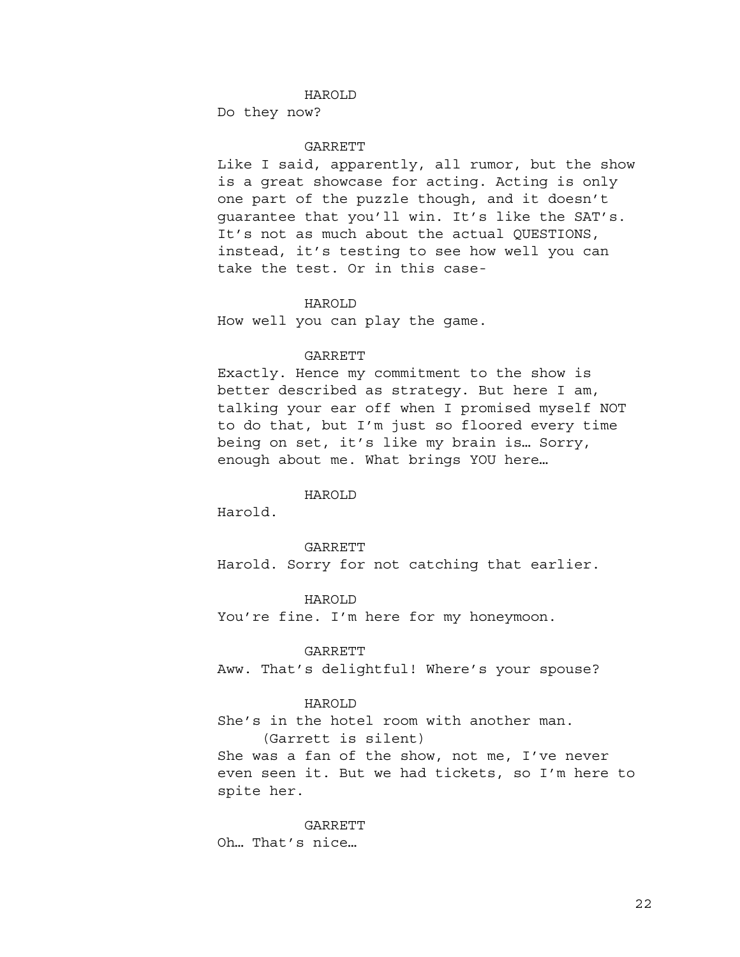## HAROLD

Do they now?

# GARRETT

Like I said, apparently, all rumor, but the show is a great showcase for acting. Acting is only one part of the puzzle though, and it doesn't guarantee that you'll win. It's like the SAT's. It's not as much about the actual QUESTIONS, instead, it's testing to see how well you can take the test. Or in this case-

#### HAROLD

How well you can play the game.

# **GARRETT**

Exactly. Hence my commitment to the show is better described as strategy. But here I am, talking your ear off when I promised myself NOT to do that, but I'm just so floored every time being on set, it's like my brain is… Sorry, enough about me. What brings YOU here…

### HAROLD

Harold.

### GARRETT

Harold. Sorry for not catching that earlier.

HAROLD You're fine. I'm here for my honeymoon.

## GARRETT

Aww. That's delightful! Where's your spouse?

### HAROLD

She's in the hotel room with another man. (Garrett is silent)

She was a fan of the show, not me, I've never even seen it. But we had tickets, so I'm here to spite her.

GARRETT Oh… That's nice…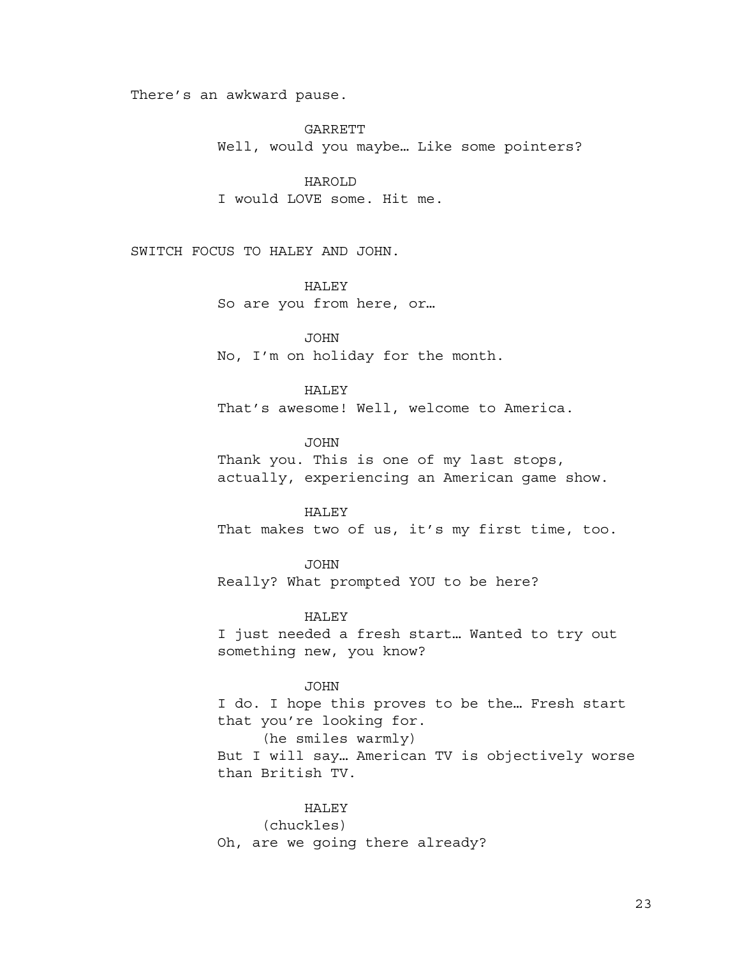There's an awkward pause.

GARRETT Well, would you maybe… Like some pointers?

HAROLD I would LOVE some. Hit me.

SWITCH FOCUS TO HALEY AND JOHN.

# HALEY

So are you from here, or…

JOHN No, I'm on holiday for the month.

HALEY

That's awesome! Well, welcome to America.

JOHN

Thank you. This is one of my last stops, actually, experiencing an American game show.

# HALEY

That makes two of us, it's my first time, too.

JOHN Really? What prompted YOU to be here?

HALEY I just needed a fresh start… Wanted to try out something new, you know?

JOHN

I do. I hope this proves to be the… Fresh start that you're looking for. (he smiles warmly)

But I will say… American TV is objectively worse than British TV.

# HALEY

(chuckles) Oh, are we going there already?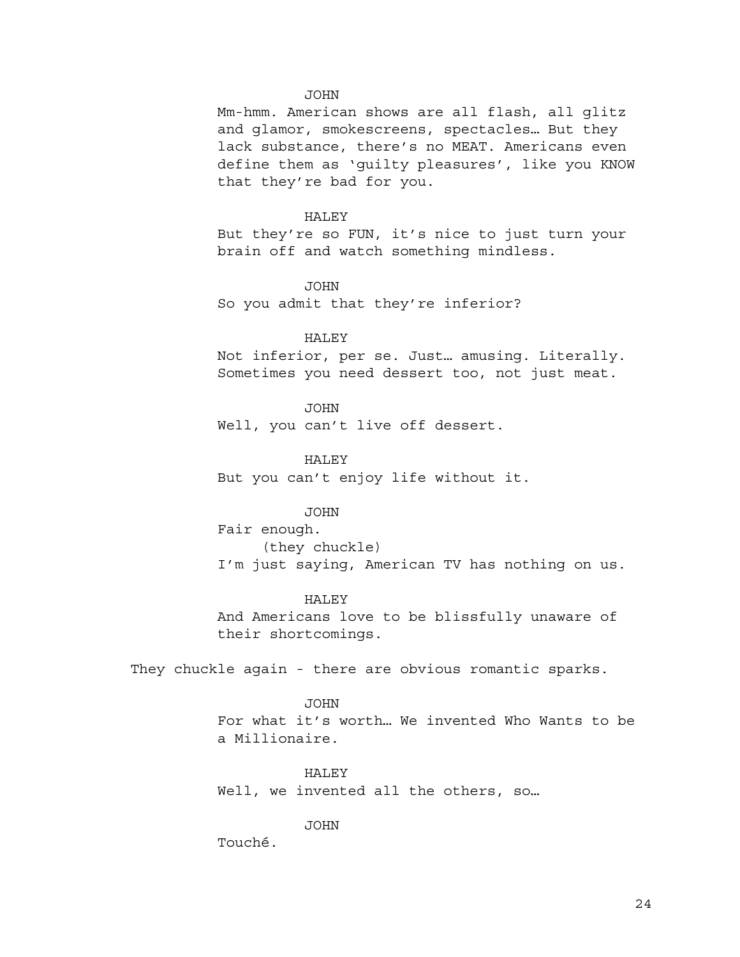#### JOHN

Mm-hmm. American shows are all flash, all glitz and glamor, smokescreens, spectacles… But they lack substance, there's no MEAT. Americans even define them as 'guilty pleasures', like you KNOW that they're bad for you.

#### HALEY

But they're so FUN, it's nice to just turn your brain off and watch something mindless.

JOHN So you admit that they're inferior?

### HALEY

Not inferior, per se. Just… amusing. Literally. Sometimes you need dessert too, not just meat.

JOHN Well, you can't live off dessert.

HALEY But you can't enjoy life without it.

# JOHN

Fair enough. (they chuckle) I'm just saying, American TV has nothing on us.

HALEY And Americans love to be blissfully unaware of their shortcomings.

They chuckle again - there are obvious romantic sparks.

JOHN For what it's worth… We invented Who Wants to be a Millionaire.

HALEY Well, we invented all the others, so...

JOHN

Touché.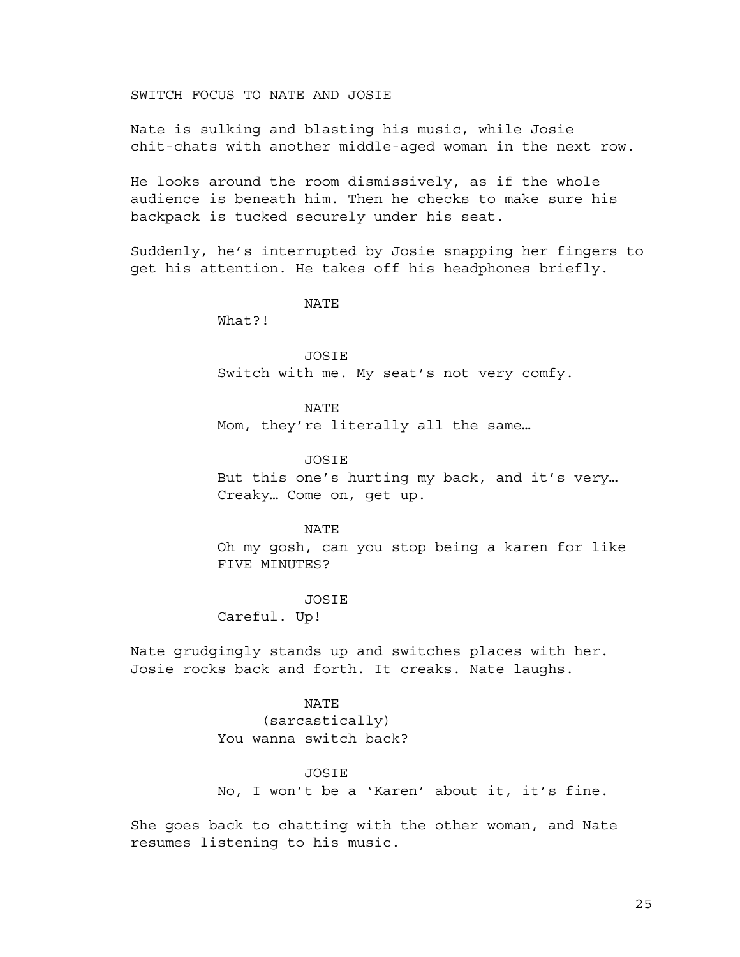SWITCH FOCUS TO NATE AND JOSIE

Nate is sulking and blasting his music, while Josie chit-chats with another middle-aged woman in the next row.

He looks around the room dismissively, as if the whole audience is beneath him. Then he checks to make sure his backpack is tucked securely under his seat.

Suddenly, he's interrupted by Josie snapping her fingers to get his attention. He takes off his headphones briefly.

NATE

What?!

**JOSTE** Switch with me. My seat's not very comfy.

NATE Mom, they're literally all the same…

JOSIE But this one's hurting my back, and it's very… Creaky… Come on, get up.

NATE Oh my gosh, can you stop being a karen for like FIVE MINUTES?

JOSIE

Careful. Up!

Nate grudgingly stands up and switches places with her. Josie rocks back and forth. It creaks. Nate laughs.

> NATE (sarcastically) You wanna switch back?

> > JOSIE

No, I won't be a 'Karen' about it, it's fine.

She goes back to chatting with the other woman, and Nate resumes listening to his music.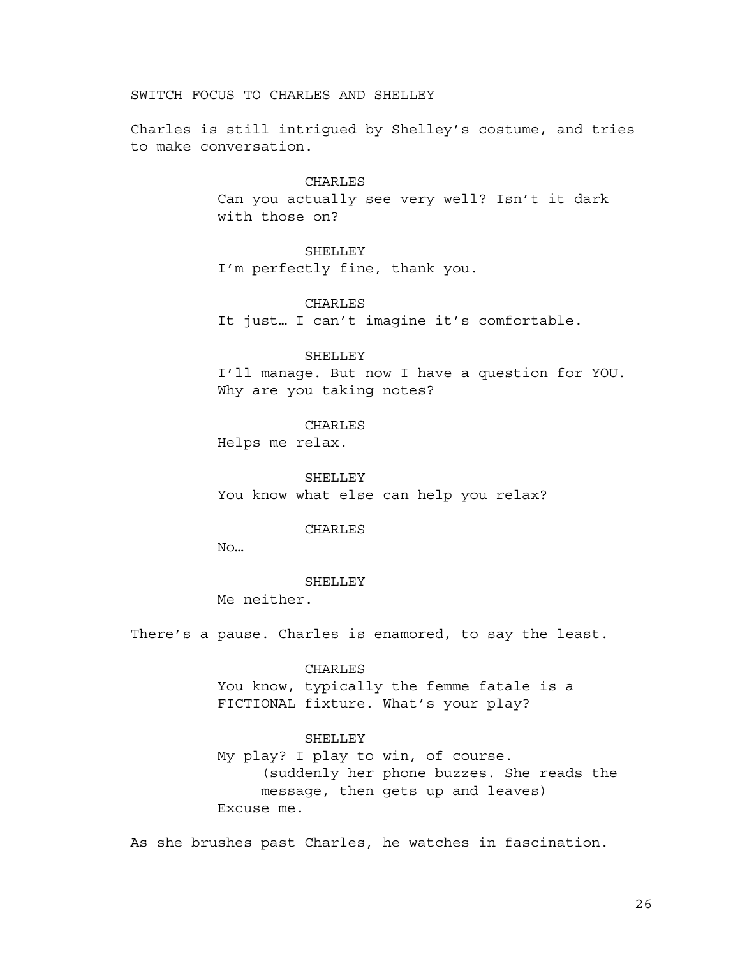SWITCH FOCUS TO CHARLES AND SHELLEY

Charles is still intrigued by Shelley's costume, and tries to make conversation.

> CHARLES Can you actually see very well? Isn't it dark with those on?

> > SHELLEY

I'm perfectly fine, thank you.

CHARLES

It just… I can't imagine it's comfortable.

SHELLEY

I'll manage. But now I have a question for YOU. Why are you taking notes?

CHARLES

Helps me relax.

SHELLEY You know what else can help you relax?

CHARLES

No…

**SHELLEY** 

Me neither.

There's a pause. Charles is enamored, to say the least.

### CHARLES

You know, typically the femme fatale is a FICTIONAL fixture. What's your play?

#### SHELLEY

My play? I play to win, of course. (suddenly her phone buzzes. She reads the message, then gets up and leaves) Excuse me.

As she brushes past Charles, he watches in fascination.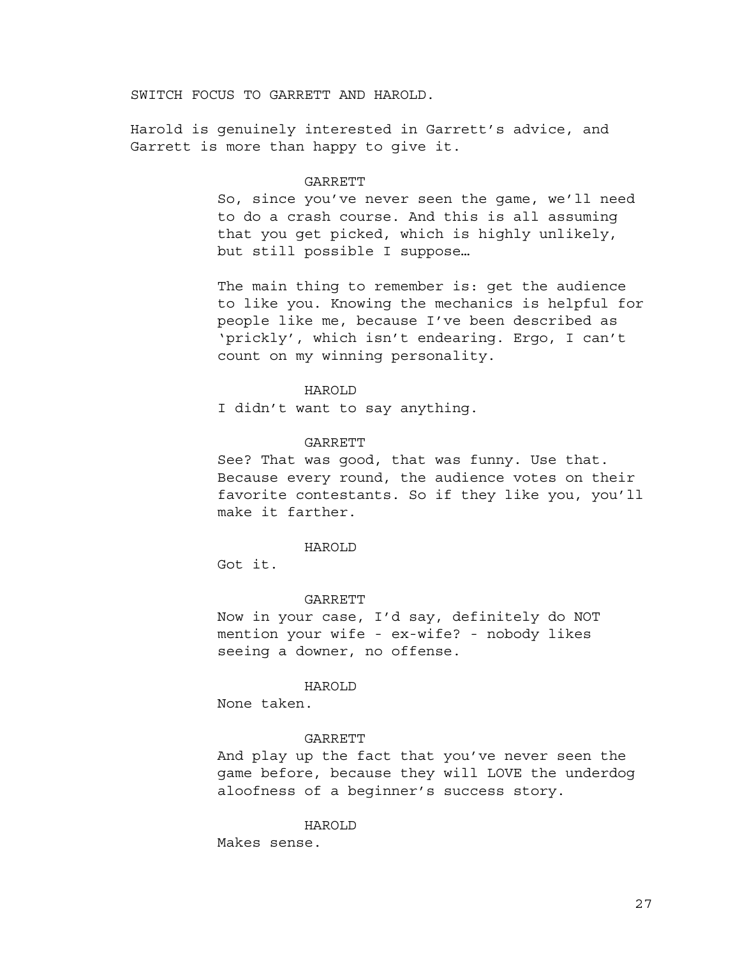SWITCH FOCUS TO GARRETT AND HAROLD.

Harold is genuinely interested in Garrett's advice, and Garrett is more than happy to give it.

#### GARRETT

So, since you've never seen the game, we'll need to do a crash course. And this is all assuming that you get picked, which is highly unlikely, but still possible I suppose…

The main thing to remember is: get the audience to like you. Knowing the mechanics is helpful for people like me, because I've been described as 'prickly', which isn't endearing. Ergo, I can't count on my winning personality.

### HAROLD

I didn't want to say anything.

### GARRETT

See? That was good, that was funny. Use that. Because every round, the audience votes on their favorite contestants. So if they like you, you'll make it farther.

### HAROLD

Got it.

#### GARRETT

Now in your case, I'd say, definitely do NOT mention your wife - ex-wife? - nobody likes seeing a downer, no offense.

#### HAROLD

None taken.

### GARRETT

And play up the fact that you've never seen the game before, because they will LOVE the underdog aloofness of a beginner's success story.

#### HAROLD

Makes sense.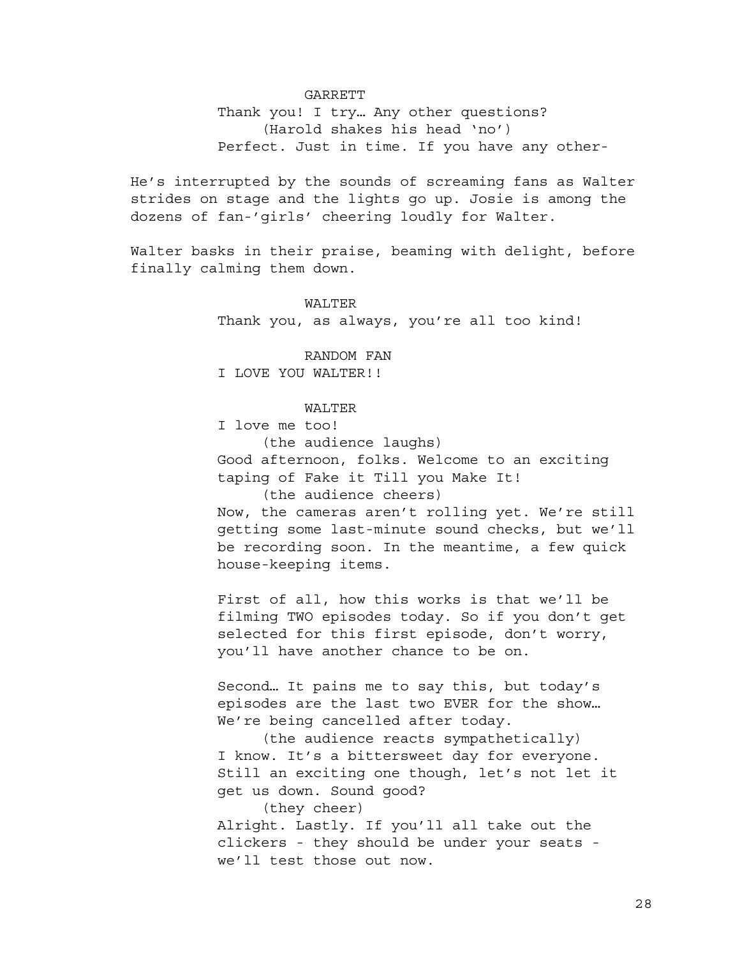## GARRETT

Thank you! I try… Any other questions? (Harold shakes his head 'no') Perfect. Just in time. If you have any other-

He's interrupted by the sounds of screaming fans as Walter strides on stage and the lights go up. Josie is among the dozens of fan-'girls' cheering loudly for Walter.

Walter basks in their praise, beaming with delight, before finally calming them down.

#### WALTER

Thank you, as always, you're all too kind!

RANDOM FAN I LOVE YOU WALTER!!

### WALTER

I love me too!

(the audience laughs) Good afternoon, folks. Welcome to an exciting taping of Fake it Till you Make It! (the audience cheers)

Now, the cameras aren't rolling yet. We're still getting some last-minute sound checks, but we'll be recording soon. In the meantime, a few quick house-keeping items.

First of all, how this works is that we'll be filming TWO episodes today. So if you don't get selected for this first episode, don't worry, you'll have another chance to be on.

Second… It pains me to say this, but today's episodes are the last two EVER for the show… We're being cancelled after today.

(the audience reacts sympathetically) I know. It's a bittersweet day for everyone. Still an exciting one though, let's not let it get us down. Sound good?

(they cheer)

Alright. Lastly. If you'll all take out the clickers - they should be under your seats we'll test those out now.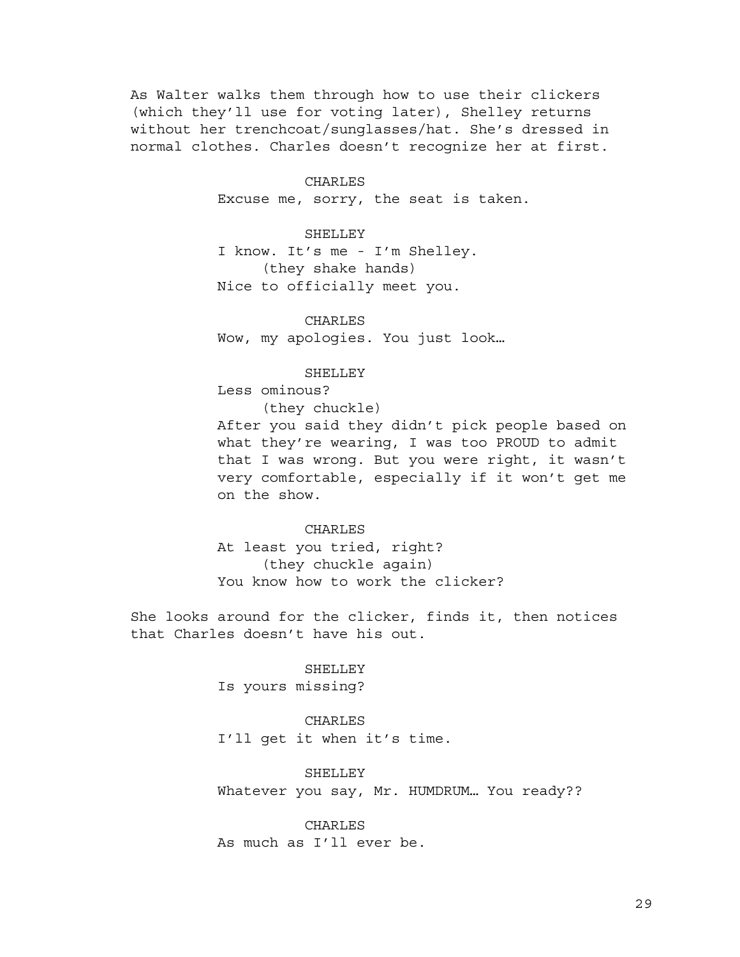As Walter walks them through how to use their clickers (which they'll use for voting later), Shelley returns without her trenchcoat/sunglasses/hat. She's dressed in normal clothes. Charles doesn't recognize her at first.

> CHARLES Excuse me, sorry, the seat is taken.

SHELLEY I know. It's me - I'm Shelley.

(they shake hands) Nice to officially meet you.

CHARLES Wow, my apologies. You just look…

SHELLEY

Less ominous?

(they chuckle)

After you said they didn't pick people based on what they're wearing, I was too PROUD to admit that I was wrong. But you were right, it wasn't very comfortable, especially if it won't get me on the show.

CHARLES At least you tried, right? (they chuckle again) You know how to work the clicker?

She looks around for the clicker, finds it, then notices that Charles doesn't have his out.

> SHELLEY Is yours missing?

CHARLES I'll get it when it's time.

SHELLEY Whatever you say, Mr. HUMDRUM… You ready??

CHARLES As much as I'll ever be.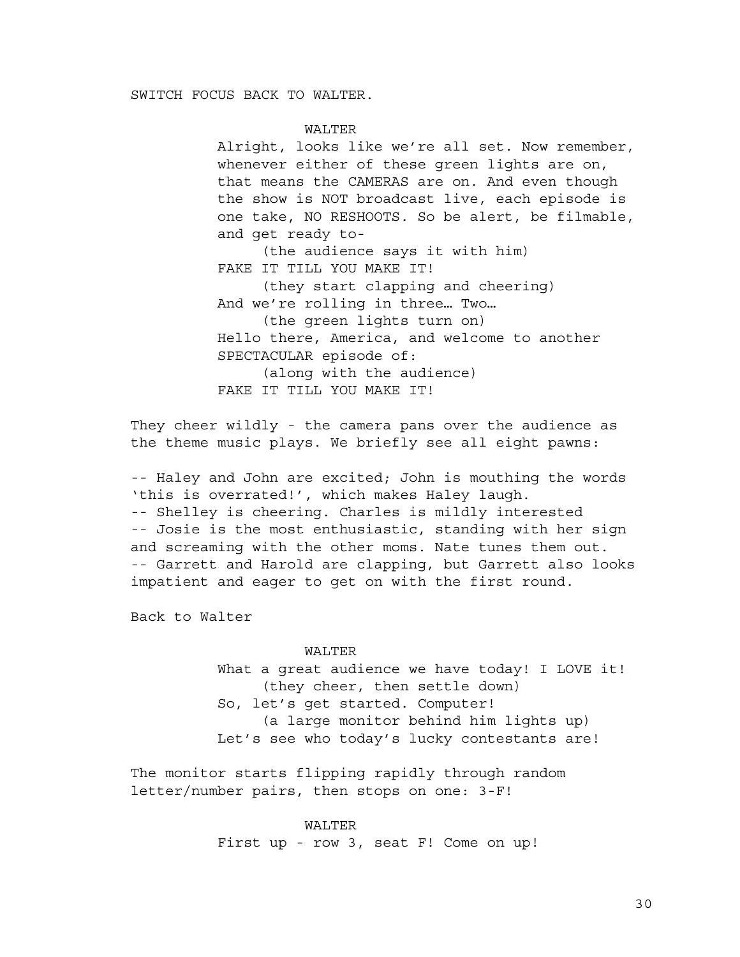### WALTER

Alright, looks like we're all set. Now remember, whenever either of these green lights are on, that means the CAMERAS are on. And even though the show is NOT broadcast live, each episode is one take, NO RESHOOTS. So be alert, be filmable, and get ready to-

(the audience says it with him) FAKE IT TILL YOU MAKE IT!

(they start clapping and cheering) And we're rolling in three… Two… (the green lights turn on) Hello there, America, and welcome to another SPECTACULAR episode of: (along with the audience)

FAKE IT TILL YOU MAKE IT!

They cheer wildly - the camera pans over the audience as the theme music plays. We briefly see all eight pawns:

-- Haley and John are excited; John is mouthing the words 'this is overrated!', which makes Haley laugh. -- Shelley is cheering. Charles is mildly interested -- Josie is the most enthusiastic, standing with her sign and screaming with the other moms. Nate tunes them out. -- Garrett and Harold are clapping, but Garrett also looks impatient and eager to get on with the first round.

Back to Walter

### WALTER

What a great audience we have today! I LOVE it! (they cheer, then settle down) So, let's get started. Computer! (a large monitor behind him lights up) Let's see who today's lucky contestants are!

The monitor starts flipping rapidly through random letter/number pairs, then stops on one: 3-F!

> WALTER First up - row 3, seat F! Come on up!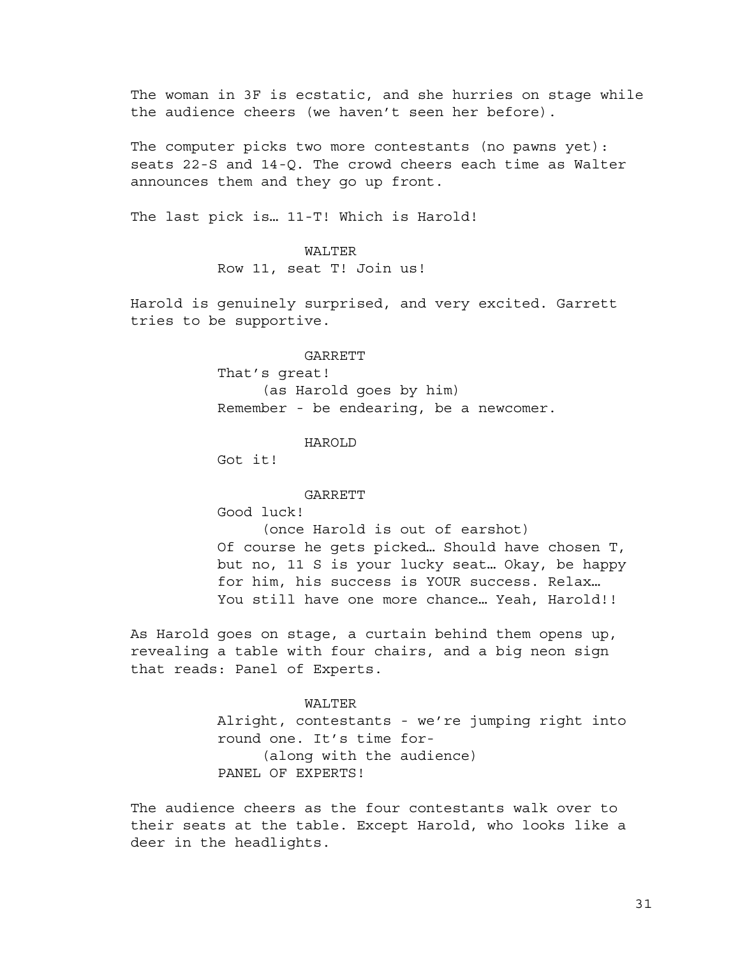The woman in 3F is ecstatic, and she hurries on stage while the audience cheers (we haven't seen her before).

The computer picks two more contestants (no pawns yet): seats 22-S and 14-Q. The crowd cheers each time as Walter announces them and they go up front.

The last pick is… 11-T! Which is Harold!

### WALTER

Row 11, seat T! Join us!

Harold is genuinely surprised, and very excited. Garrett tries to be supportive.

### GARRETT

That's great! (as Harold goes by him) Remember - be endearing, be a newcomer.

### HAROLD

Got it!

#### **GARRETT**

Good luck!

(once Harold is out of earshot) Of course he gets picked… Should have chosen T, but no, 11 S is your lucky seat… Okay, be happy for him, his success is YOUR success. Relax… You still have one more chance… Yeah, Harold!!

As Harold goes on stage, a curtain behind them opens up, revealing a table with four chairs, and a big neon sign that reads: Panel of Experts.

### WALTER

Alright, contestants - we're jumping right into round one. It's time for- (along with the audience) PANEL OF EXPERTS!

The audience cheers as the four contestants walk over to their seats at the table. Except Harold, who looks like a deer in the headlights.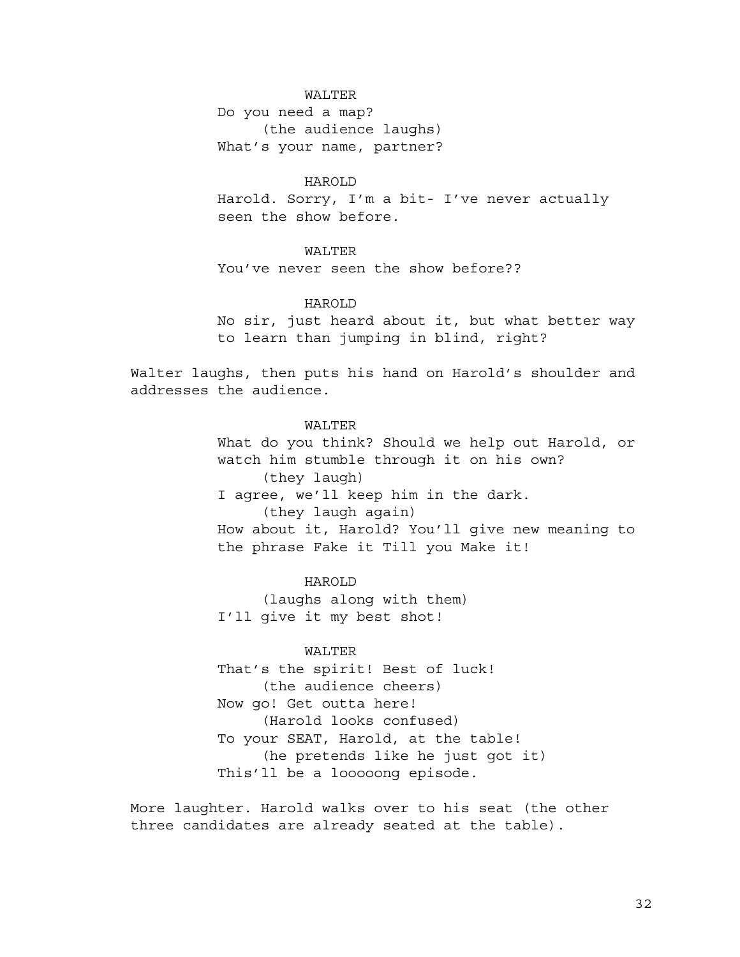# WALTER

Do you need a map? (the audience laughs) What's your name, partner?

HAROLD

Harold. Sorry, I'm a bit- I've never actually seen the show before.

# WALTER

You've never seen the show before??

# HAROLD

No sir, just heard about it, but what better way to learn than jumping in blind, right?

Walter laughs, then puts his hand on Harold's shoulder and addresses the audience.

# WALTER What do you think? Should we help out Harold, or watch him stumble through it on his own? (they laugh) I agree, we'll keep him in the dark. (they laugh again) How about it, Harold? You'll give new meaning to the phrase Fake it Till you Make it!

HAROLD (laughs along with them) I'll give it my best shot!

# WALTER

That's the spirit! Best of luck! (the audience cheers) Now go! Get outta here! (Harold looks confused) To your SEAT, Harold, at the table! (he pretends like he just got it) This'll be a looooong episode.

More laughter. Harold walks over to his seat (the other three candidates are already seated at the table).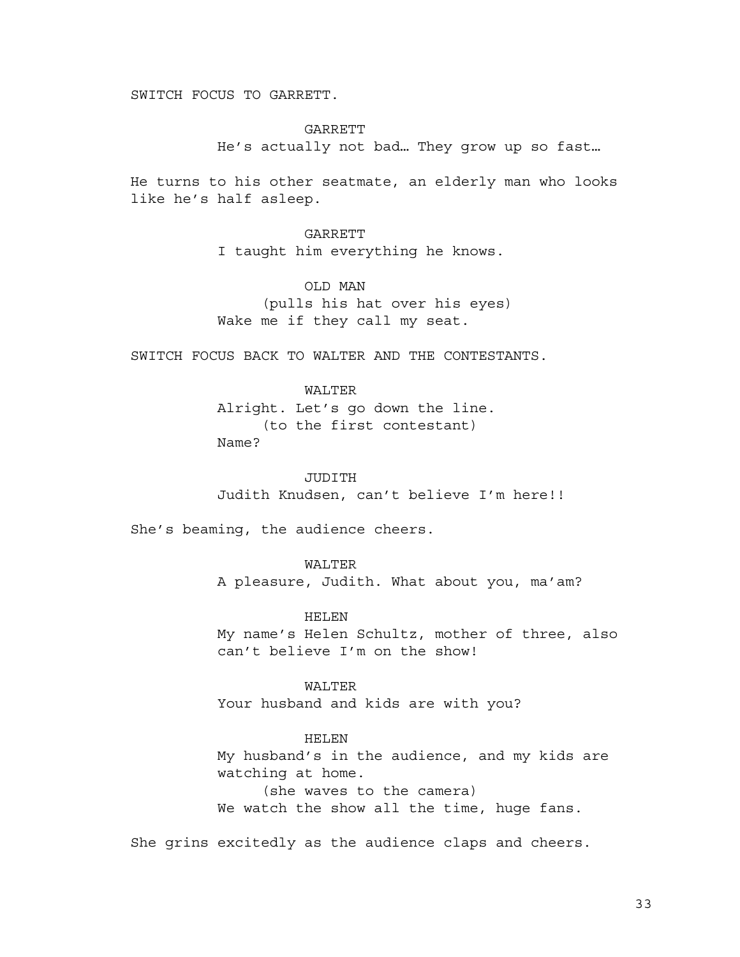SWITCH FOCUS TO GARRETT.

GARRETT He's actually not bad… They grow up so fast…

He turns to his other seatmate, an elderly man who looks like he's half asleep.

> **GARRETT** I taught him everything he knows.

OLD MAN (pulls his hat over his eyes) Wake me if they call my seat.

SWITCH FOCUS BACK TO WALTER AND THE CONTESTANTS.

WALTER Alright. Let's go down the line. (to the first contestant)

Name?

JUDITH Judith Knudsen, can't believe I'm here!!

She's beaming, the audience cheers.

WALTER

A pleasure, Judith. What about you, ma'am?

HELEN

My name's Helen Schultz, mother of three, also can't believe I'm on the show!

WALTER Your husband and kids are with you?

HELEN

My husband's in the audience, and my kids are watching at home. (she waves to the camera)

We watch the show all the time, huge fans.

She grins excitedly as the audience claps and cheers.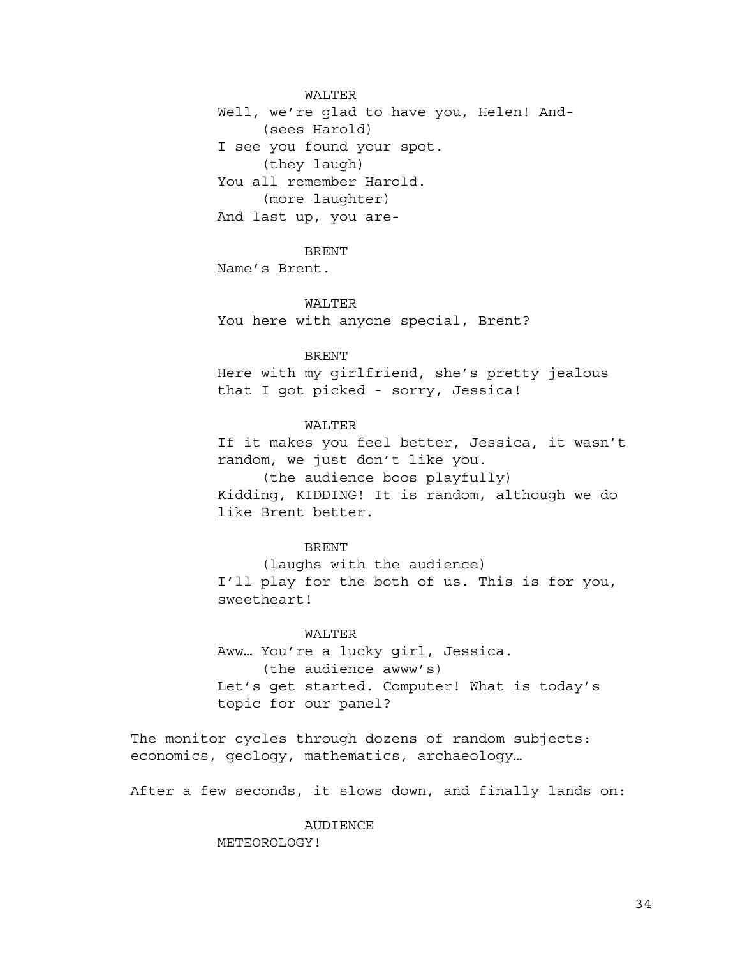WALTER

Well, we're glad to have you, Helen! And- (sees Harold) I see you found your spot. (they laugh) You all remember Harold. (more laughter) And last up, you are-

BRENT

Name's Brent.

### WALTER

You here with anyone special, Brent?

### **BRENT**

Here with my girlfriend, she's pretty jealous that I got picked - sorry, Jessica!

# WALTER

If it makes you feel better, Jessica, it wasn't random, we just don't like you.

(the audience boos playfully) Kidding, KIDDING! It is random, although we do like Brent better.

## BRENT

(laughs with the audience) I'll play for the both of us. This is for you, sweetheart!

### WALTER

Aww… You're a lucky girl, Jessica. (the audience awww's) Let's get started. Computer! What is today's topic for our panel?

The monitor cycles through dozens of random subjects: economics, geology, mathematics, archaeology…

After a few seconds, it slows down, and finally lands on:

AUDIENCE METEOROLOGY!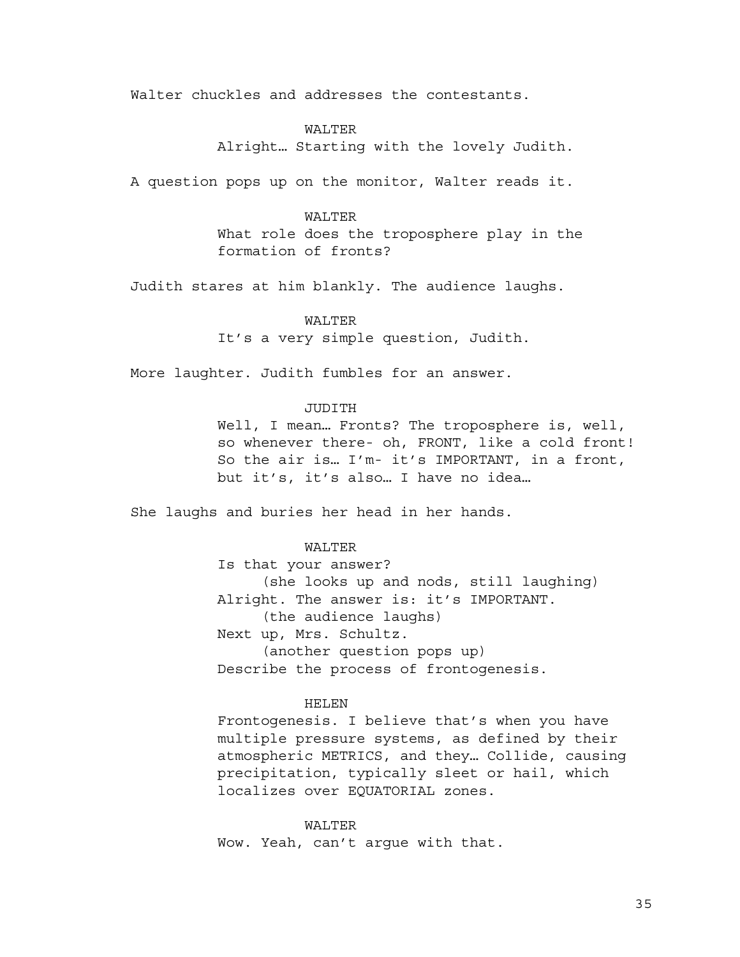Walter chuckles and addresses the contestants.

# WALTER

Alright… Starting with the lovely Judith.

A question pops up on the monitor, Walter reads it.

# WALTER

What role does the troposphere play in the formation of fronts?

Judith stares at him blankly. The audience laughs.

# WALTER

It's a very simple question, Judith.

More laughter. Judith fumbles for an answer.

# JUDITH

Well, I mean... Fronts? The troposphere is, well, so whenever there- oh, FRONT, like a cold front! So the air is… I'm- it's IMPORTANT, in a front, but it's, it's also… I have no idea…

She laughs and buries her head in her hands.

# WALTER

Is that your answer? (she looks up and nods, still laughing) Alright. The answer is: it's IMPORTANT. (the audience laughs) Next up, Mrs. Schultz. (another question pops up) Describe the process of frontogenesis.

### HELEN

Frontogenesis. I believe that's when you have multiple pressure systems, as defined by their atmospheric METRICS, and they… Collide, causing precipitation, typically sleet or hail, which localizes over EQUATORIAL zones.

### WALTER

Wow. Yeah, can't argue with that.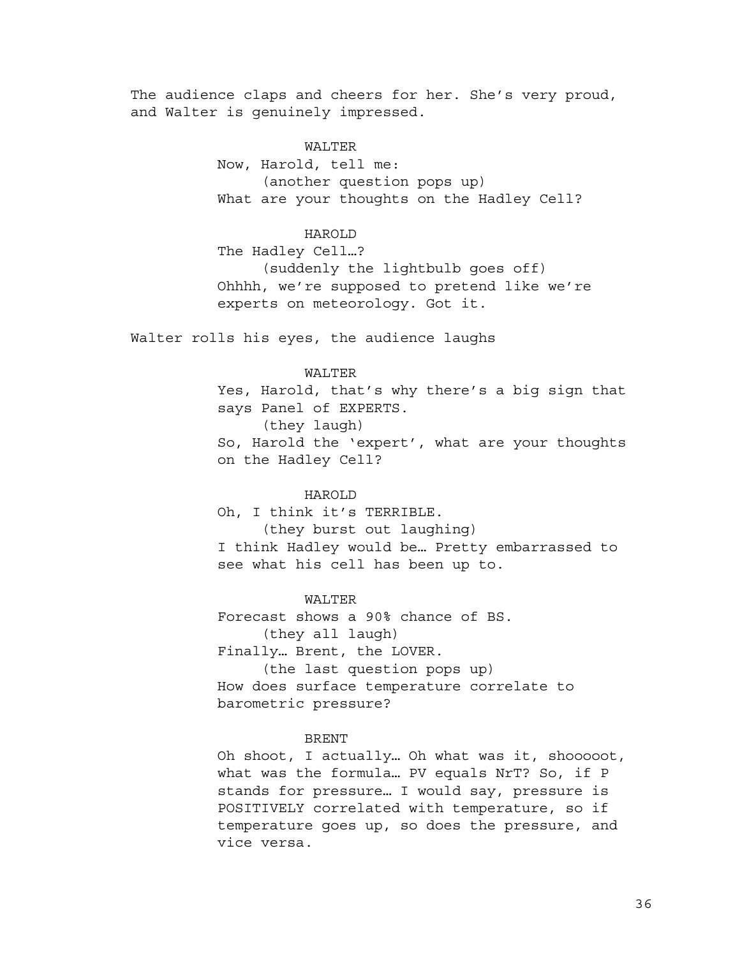The audience claps and cheers for her. She's very proud, and Walter is genuinely impressed.

## WALTER

Now, Harold, tell me: (another question pops up) What are your thoughts on the Hadley Cell?

# HAROLD

The Hadley Cell…? (suddenly the lightbulb goes off) Ohhhh, we're supposed to pretend like we're experts on meteorology. Got it.

Walter rolls his eyes, the audience laughs

## WALTER

Yes, Harold, that's why there's a big sign that says Panel of EXPERTS. (they laugh) So, Harold the 'expert', what are your thoughts on the Hadley Cell?

# HAROLD

Oh, I think it's TERRIBLE. (they burst out laughing) I think Hadley would be… Pretty embarrassed to see what his cell has been up to.

WALTER Forecast shows a 90% chance of BS. (they all laugh) Finally… Brent, the LOVER.

(the last question pops up) How does surface temperature correlate to barometric pressure?

#### BRENT

Oh shoot, I actually… Oh what was it, shooooot, what was the formula… PV equals NrT? So, if P stands for pressure… I would say, pressure is POSITIVELY correlated with temperature, so if temperature goes up, so does the pressure, and vice versa.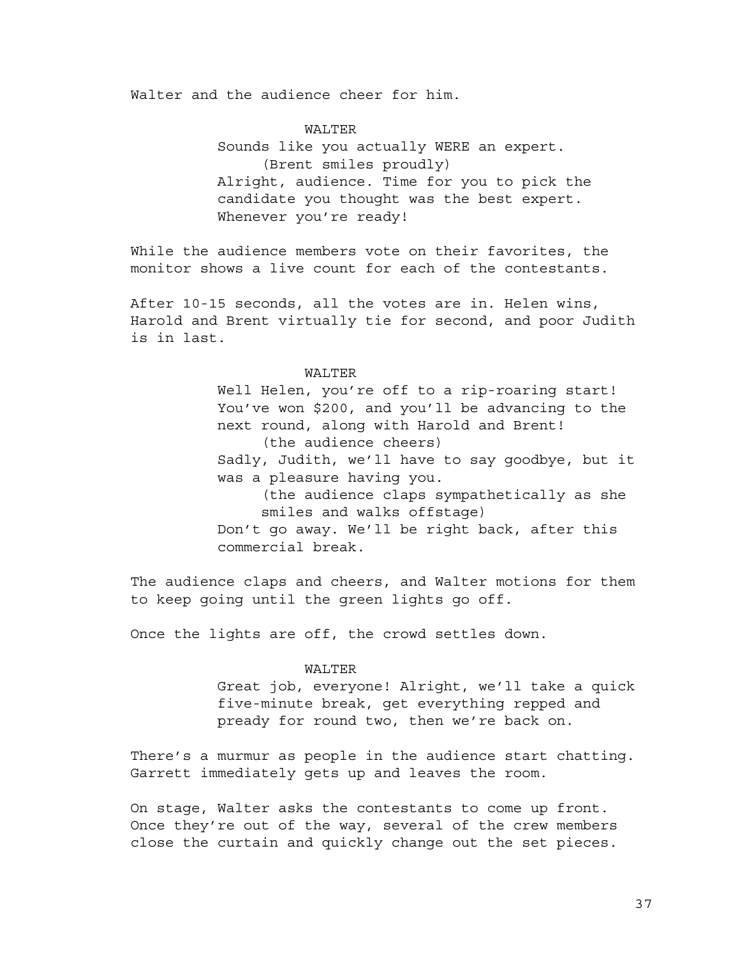Walter and the audience cheer for him.

# WALTER

Sounds like you actually WERE an expert. (Brent smiles proudly) Alright, audience. Time for you to pick the candidate you thought was the best expert. Whenever you're ready!

While the audience members vote on their favorites, the monitor shows a live count for each of the contestants.

After 10-15 seconds, all the votes are in. Helen wins, Harold and Brent virtually tie for second, and poor Judith is in last.

#### WALTER

Well Helen, you're off to a rip-roaring start! You've won \$200, and you'll be advancing to the next round, along with Harold and Brent! (the audience cheers) Sadly, Judith, we'll have to say goodbye, but it was a pleasure having you. (the audience claps sympathetically as she smiles and walks offstage) Don't go away. We'll be right back, after this commercial break.

The audience claps and cheers, and Walter motions for them to keep going until the green lights go off.

Once the lights are off, the crowd settles down.

#### WALTER

Great job, everyone! Alright, we'll take a quick five-minute break, get everything repped and pready for round two, then we're back on.

There's a murmur as people in the audience start chatting. Garrett immediately gets up and leaves the room.

On stage, Walter asks the contestants to come up front. Once they're out of the way, several of the crew members close the curtain and quickly change out the set pieces.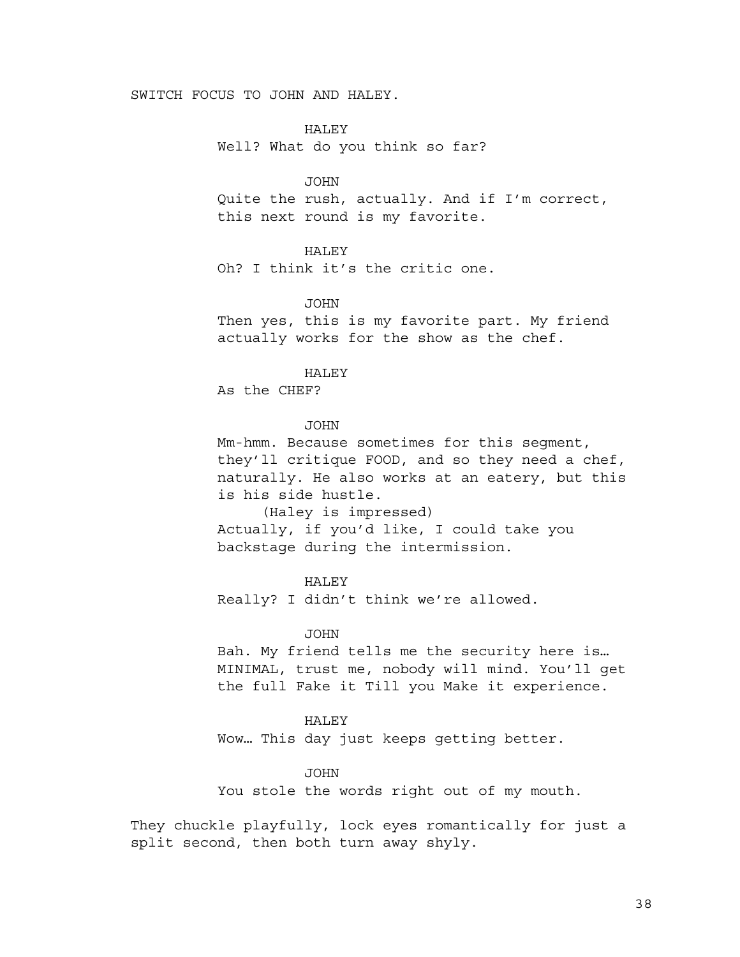# SWITCH FOCUS TO JOHN AND HALEY.

HALEY Well? What do you think so far?

JOHN

Quite the rush, actually. And if I'm correct, this next round is my favorite.

# HALEY

Oh? I think it's the critic one.

JOHN

Then yes, this is my favorite part. My friend actually works for the show as the chef.

HALEY

As the CHEF?

# **JOHN**

Mm-hmm. Because sometimes for this segment, they'll critique FOOD, and so they need a chef, naturally. He also works at an eatery, but this is his side hustle.

(Haley is impressed) Actually, if you'd like, I could take you backstage during the intermission.

#### HALEY

Really? I didn't think we're allowed.

#### JOHN

Bah. My friend tells me the security here is… MINIMAL, trust me, nobody will mind. You'll get the full Fake it Till you Make it experience.

#### HALEY

Wow… This day just keeps getting better.

#### JOHN

You stole the words right out of my mouth.

They chuckle playfully, lock eyes romantically for just a split second, then both turn away shyly.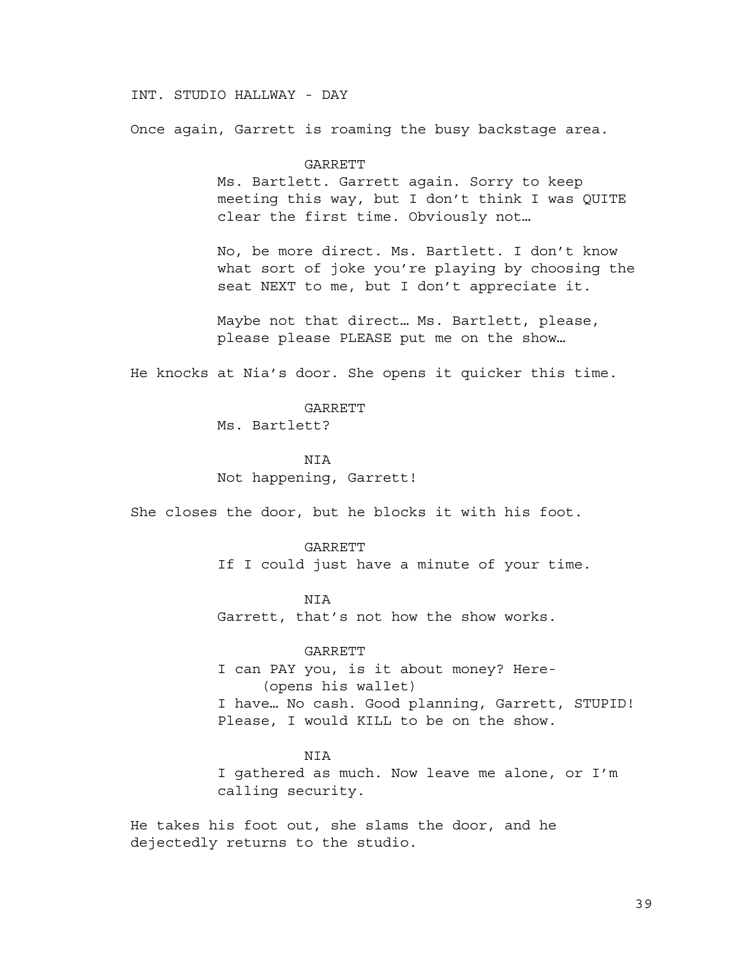# INT. STUDIO HALLWAY - DAY

Once again, Garrett is roaming the busy backstage area.

#### GARRETT

Ms. Bartlett. Garrett again. Sorry to keep meeting this way, but I don't think I was QUITE clear the first time. Obviously not…

No, be more direct. Ms. Bartlett. I don't know what sort of joke you're playing by choosing the seat NEXT to me, but I don't appreciate it.

Maybe not that direct… Ms. Bartlett, please, please please PLEASE put me on the show…

He knocks at Nia's door. She opens it quicker this time.

## GARRETT

Ms. Bartlett?

#### NIA

Not happening, Garrett!

She closes the door, but he blocks it with his foot.

#### GARRETT

If I could just have a minute of your time.

# NIA

Garrett, that's not how the show works.

# GARRETT

I can PAY you, is it about money? Here- (opens his wallet) I have… No cash. Good planning, Garrett, STUPID! Please, I would KILL to be on the show.

#### NIA

I gathered as much. Now leave me alone, or I'm calling security.

He takes his foot out, she slams the door, and he dejectedly returns to the studio.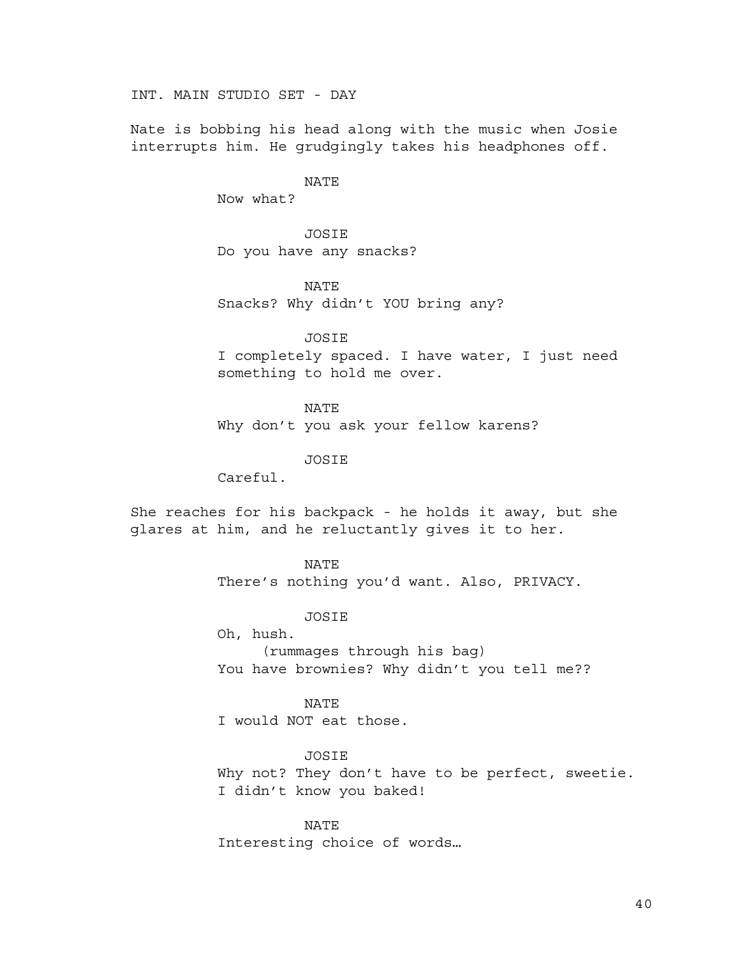INT. MAIN STUDIO SET - DAY

Nate is bobbing his head along with the music when Josie interrupts him. He grudgingly takes his headphones off.

# NATE

Now what?

JOSIE Do you have any snacks?

NATE

Snacks? Why didn't YOU bring any?

JOSIE

I completely spaced. I have water, I just need something to hold me over.

NATE

Why don't you ask your fellow karens?

JOSIE

Careful.

She reaches for his backpack - he holds it away, but she glares at him, and he reluctantly gives it to her.

## NATE

There's nothing you'd want. Also, PRIVACY.

**JOSTE** 

Oh, hush. (rummages through his bag) You have brownies? Why didn't you tell me??

NATE

I would NOT eat those.

JOSIE

Why not? They don't have to be perfect, sweetie. I didn't know you baked!

NATE Interesting choice of words…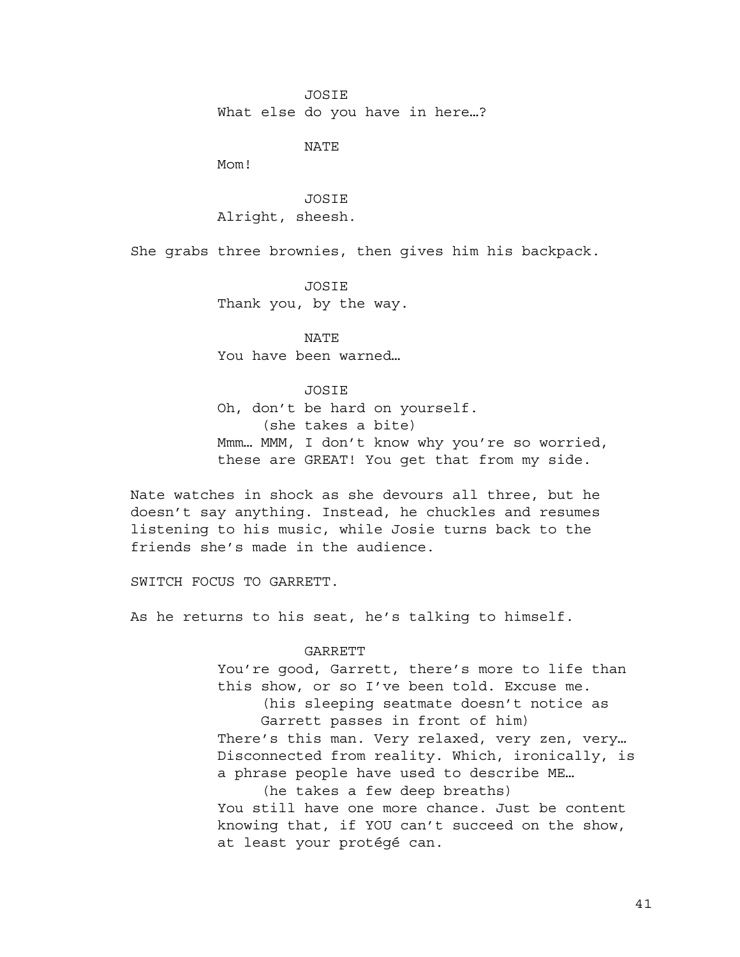JOSIE

What else do you have in here…?

NATE

Mom!

JOSIE Alright, sheesh.

She grabs three brownies, then gives him his backpack.

JOSIE Thank you, by the way.

NATE You have been warned…

#### JOSIE

Oh, don't be hard on yourself. (she takes a bite) Mmm… MMM, I don't know why you're so worried, these are GREAT! You get that from my side.

Nate watches in shock as she devours all three, but he doesn't say anything. Instead, he chuckles and resumes listening to his music, while Josie turns back to the friends she's made in the audience.

SWITCH FOCUS TO GARRETT.

As he returns to his seat, he's talking to himself.

## GARRETT

You're good, Garrett, there's more to life than this show, or so I've been told. Excuse me. (his sleeping seatmate doesn't notice as Garrett passes in front of him) There's this man. Very relaxed, very zen, very... Disconnected from reality. Which, ironically, is a phrase people have used to describe ME… (he takes a few deep breaths) You still have one more chance. Just be content knowing that, if YOU can't succeed on the show, at least your protégé can.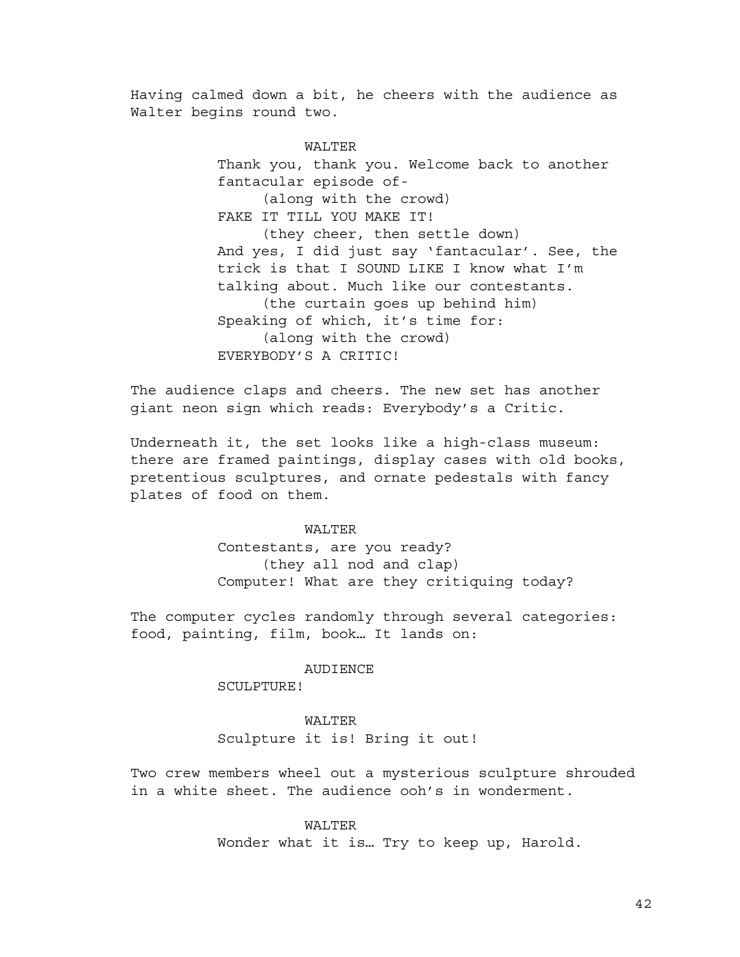Having calmed down a bit, he cheers with the audience as Walter begins round two.

> WALTER Thank you, thank you. Welcome back to another fantacular episode of- (along with the crowd) FAKE IT TILL YOU MAKE IT! (they cheer, then settle down) And yes, I did just say 'fantacular'. See, the trick is that I SOUND LIKE I know what I'm talking about. Much like our contestants. (the curtain goes up behind him) Speaking of which, it's time for: (along with the crowd) EVERYBODY'S A CRITIC!

The audience claps and cheers. The new set has another giant neon sign which reads: Everybody's a Critic.

Underneath it, the set looks like a high-class museum: there are framed paintings, display cases with old books, pretentious sculptures, and ornate pedestals with fancy plates of food on them.

## WALTER

Contestants, are you ready? (they all nod and clap) Computer! What are they critiquing today?

The computer cycles randomly through several categories: food, painting, film, book… It lands on:

#### AUDIENCE

SCULPTURE!

#### WALTER

Sculpture it is! Bring it out!

Two crew members wheel out a mysterious sculpture shrouded in a white sheet. The audience ooh's in wonderment.

## WALTER

Wonder what it is… Try to keep up, Harold.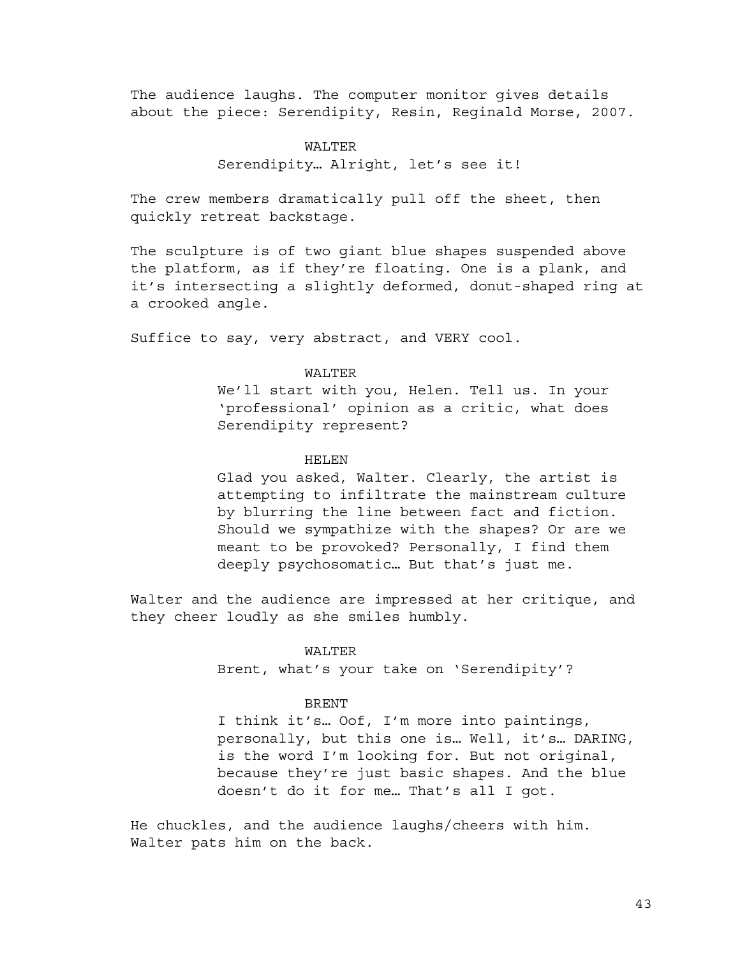The audience laughs. The computer monitor gives details about the piece: Serendipity, Resin, Reginald Morse, 2007.

# WALTER Serendipity… Alright, let's see it!

The crew members dramatically pull off the sheet, then quickly retreat backstage.

The sculpture is of two giant blue shapes suspended above the platform, as if they're floating. One is a plank, and it's intersecting a slightly deformed, donut-shaped ring at a crooked angle.

Suffice to say, very abstract, and VERY cool.

## WALTER

We'll start with you, Helen. Tell us. In your 'professional' opinion as a critic, what does Serendipity represent?

# HELEN

Glad you asked, Walter. Clearly, the artist is attempting to infiltrate the mainstream culture by blurring the line between fact and fiction. Should we sympathize with the shapes? Or are we meant to be provoked? Personally, I find them deeply psychosomatic… But that's just me.

Walter and the audience are impressed at her critique, and they cheer loudly as she smiles humbly.

## WALTER

Brent, what's your take on 'Serendipity'?

#### BRENT

I think it's… Oof, I'm more into paintings, personally, but this one is… Well, it's… DARING, is the word I'm looking for. But not original, because they're just basic shapes. And the blue doesn't do it for me… That's all I got.

He chuckles, and the audience laughs/cheers with him. Walter pats him on the back.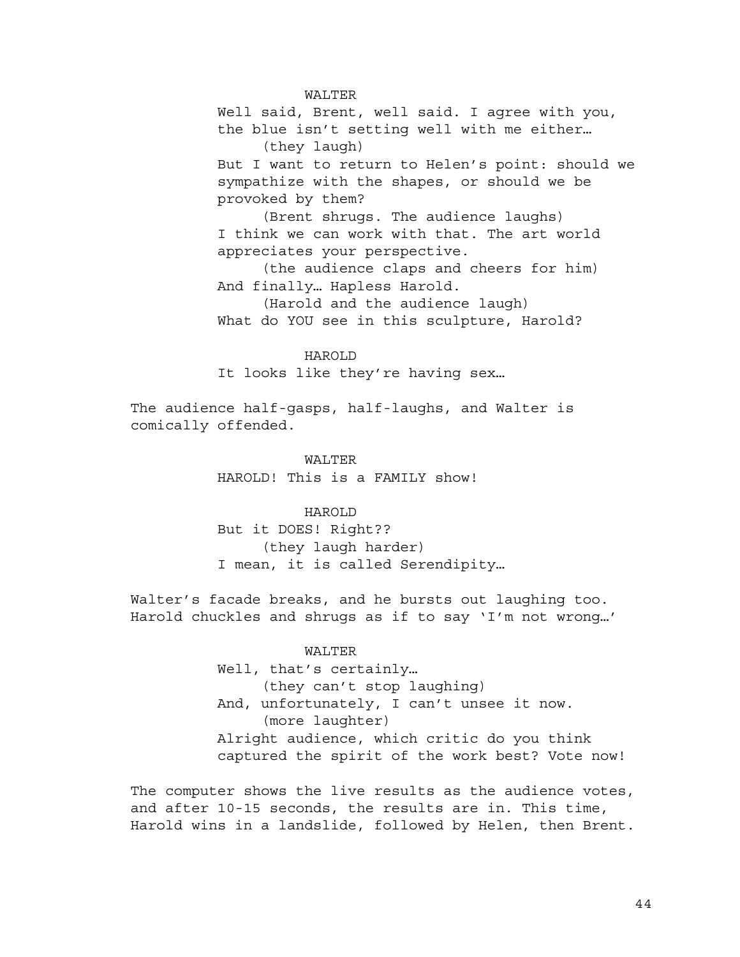WALTER

Well said, Brent, well said. I agree with you, the blue isn't setting well with me either… (they laugh) But I want to return to Helen's point: should we sympathize with the shapes, or should we be provoked by them?

(Brent shrugs. The audience laughs) I think we can work with that. The art world appreciates your perspective.

(the audience claps and cheers for him) And finally… Hapless Harold.

(Harold and the audience laugh) What do YOU see in this sculpture, Harold?

HAROLD It looks like they're having sex…

The audience half-gasps, half-laughs, and Walter is comically offended.

> WALTER HAROLD! This is a FAMILY show!

HAROLD But it DOES! Right??

(they laugh harder) I mean, it is called Serendipity…

Walter's facade breaks, and he bursts out laughing too. Harold chuckles and shrugs as if to say 'I'm not wrong…'

# WALTER

Well, that's certainly… (they can't stop laughing) And, unfortunately, I can't unsee it now. (more laughter) Alright audience, which critic do you think captured the spirit of the work best? Vote now!

The computer shows the live results as the audience votes, and after 10-15 seconds, the results are in. This time, Harold wins in a landslide, followed by Helen, then Brent.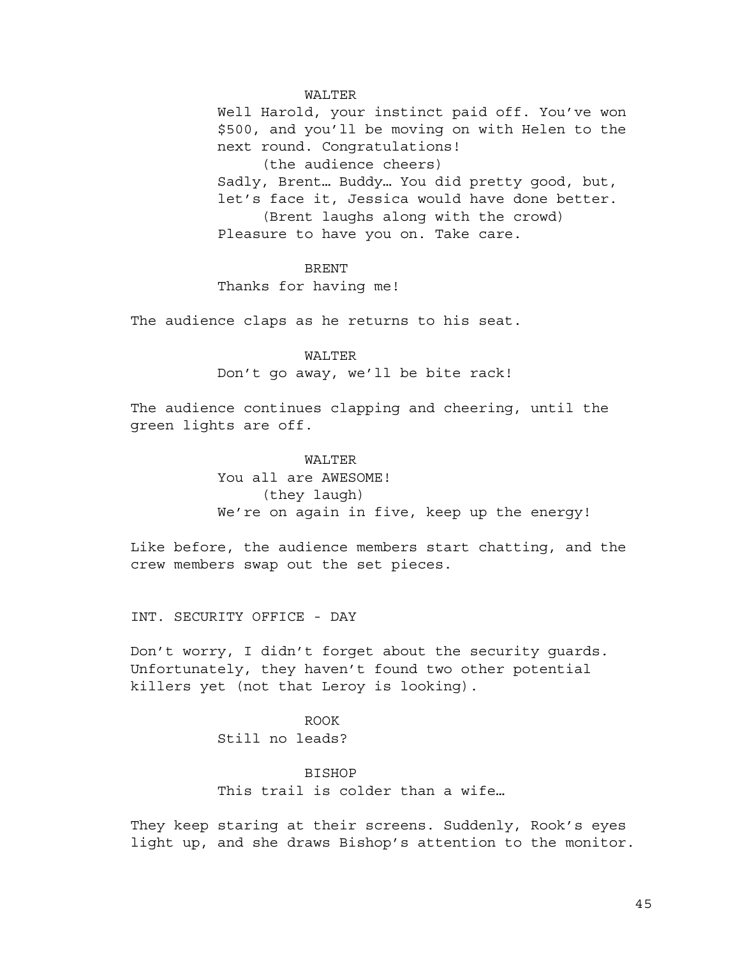#### WALTER

Well Harold, your instinct paid off. You've won \$500, and you'll be moving on with Helen to the next round. Congratulations! (the audience cheers) Sadly, Brent… Buddy… You did pretty good, but, let's face it, Jessica would have done better. (Brent laughs along with the crowd) Pleasure to have you on. Take care.

#### **BRENT**

Thanks for having me!

The audience claps as he returns to his seat.

# WALTER

Don't go away, we'll be bite rack!

The audience continues clapping and cheering, until the green lights are off.

#### WALTER

You all are AWESOME! (they laugh) We're on again in five, keep up the energy!

Like before, the audience members start chatting, and the crew members swap out the set pieces.

INT. SECURITY OFFICE - DAY

Don't worry, I didn't forget about the security guards. Unfortunately, they haven't found two other potential killers yet (not that Leroy is looking).

# ROOK Still no leads?

#### BISHOP

This trail is colder than a wife…

They keep staring at their screens. Suddenly, Rook's eyes light up, and she draws Bishop's attention to the monitor.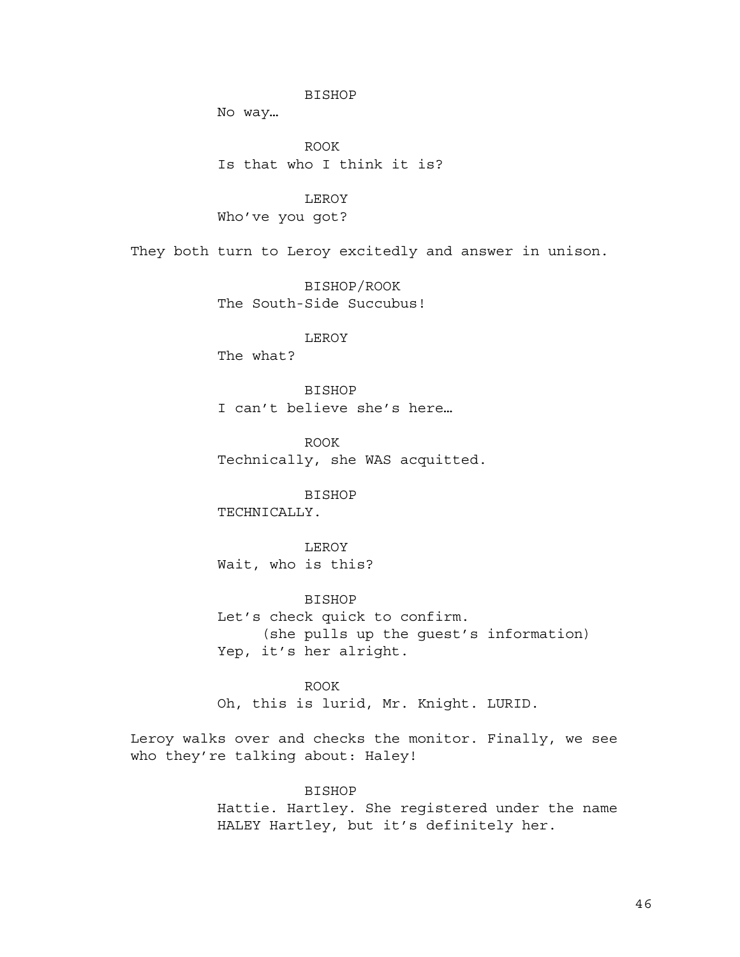#### BISHOP

No way…

ROOK Is that who I think it is?

LEROY Who've you got?

They both turn to Leroy excitedly and answer in unison.

BISHOP/ROOK The South-Side Succubus!

LEROY

The what?

BISHOP I can't believe she's here…

ROOK Technically, she WAS acquitted.

BISHOP TECHNICALLY.

LEROY Wait, who is this?

BISHOP Let's check quick to confirm. (she pulls up the guest's information) Yep, it's her alright.

ROOK Oh, this is lurid, Mr. Knight. LURID.

Leroy walks over and checks the monitor. Finally, we see who they're talking about: Haley!

> BISHOP Hattie. Hartley. She registered under the name HALEY Hartley, but it's definitely her.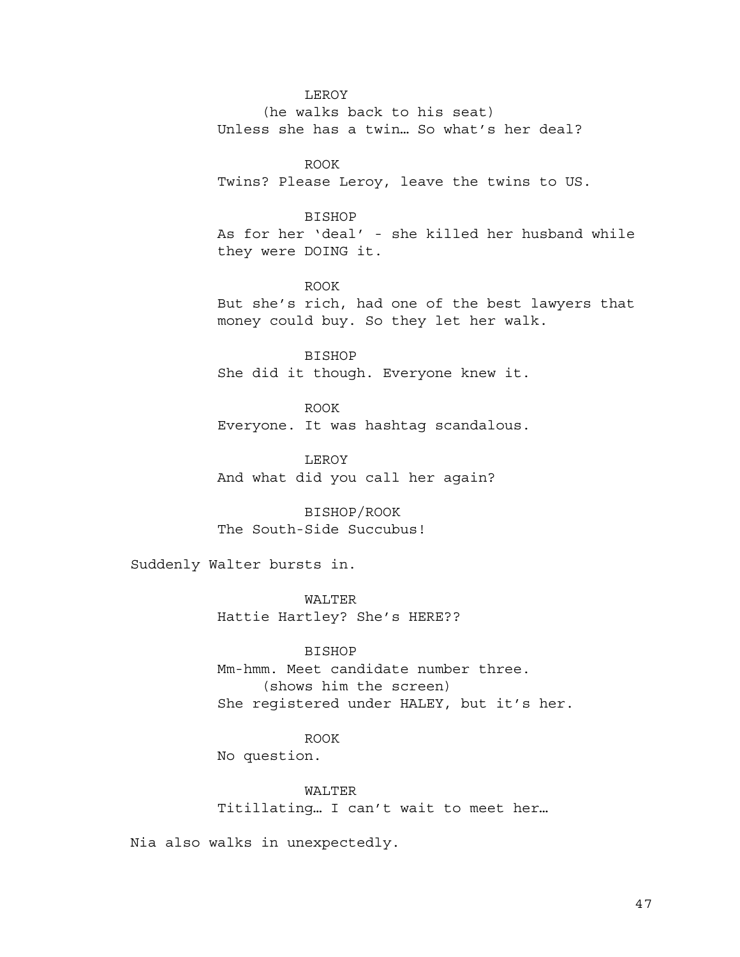#### LEROY

(he walks back to his seat) Unless she has a twin… So what's her deal?

ROOK Twins? Please Leroy, leave the twins to US.

#### BISHOP

As for her 'deal' - she killed her husband while they were DOING it.

ROOK But she's rich, had one of the best lawyers that money could buy. So they let her walk.

BISHOP She did it though. Everyone knew it.

ROOK Everyone. It was hashtag scandalous.

LEROY And what did you call her again?

BISHOP/ROOK The South-Side Succubus!

Suddenly Walter bursts in.

WALTER Hattie Hartley? She's HERE??

BISHOP Mm-hmm. Meet candidate number three. (shows him the screen) She registered under HALEY, but it's her.

# ROOK

No question.

WALTER Titillating… I can't wait to meet her…

Nia also walks in unexpectedly.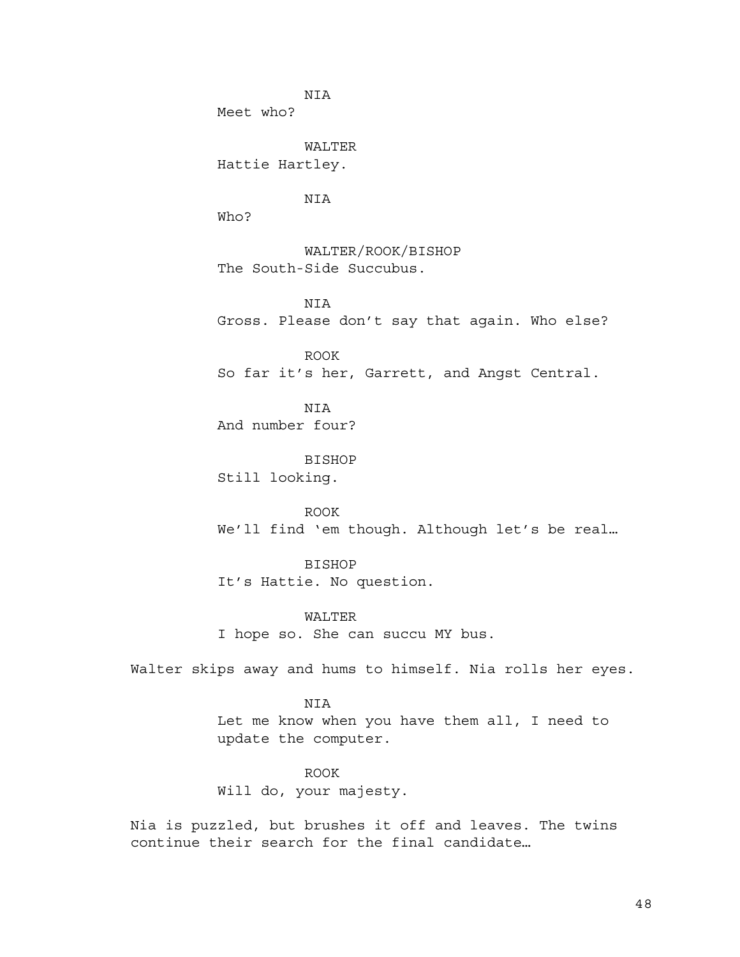NIA Meet who?

WALTER Hattie Hartley.

NIA

Who?

WALTER/ROOK/BISHOP The South-Side Succubus.

NIA Gross. Please don't say that again. Who else?

ROOK So far it's her, Garrett, and Angst Central.

**NTA** And number four?

BISHOP Still looking.

ROOK We'll find 'em though. Although let's be real…

BISHOP It's Hattie. No question.

WALTER I hope so. She can succu MY bus.

Walter skips away and hums to himself. Nia rolls her eyes.

NIA Let me know when you have them all, I need to update the computer.

ROOK Will do, your majesty.

Nia is puzzled, but brushes it off and leaves. The twins continue their search for the final candidate…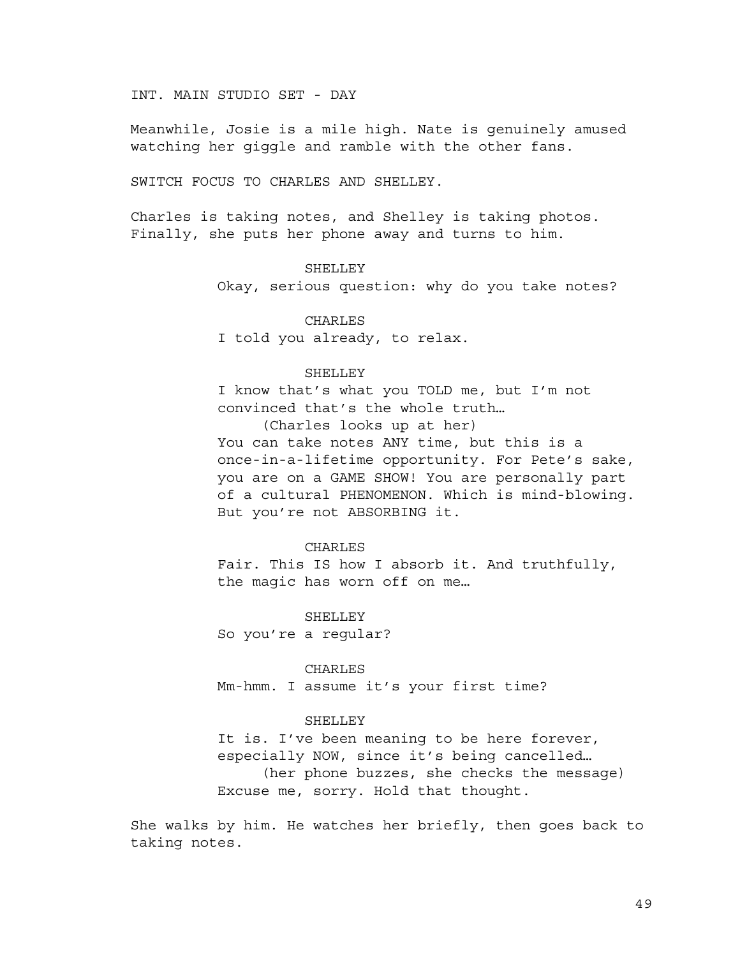INT. MAIN STUDIO SET - DAY

Meanwhile, Josie is a mile high. Nate is genuinely amused watching her giggle and ramble with the other fans.

SWITCH FOCUS TO CHARLES AND SHELLEY.

Charles is taking notes, and Shelley is taking photos. Finally, she puts her phone away and turns to him.

#### SHELLEY

Okay, serious question: why do you take notes?

CHARLES I told you already, to relax.

# SHELLEY

I know that's what you TOLD me, but I'm not convinced that's the whole truth…

(Charles looks up at her) You can take notes ANY time, but this is a once-in-a-lifetime opportunity. For Pete's sake, you are on a GAME SHOW! You are personally part of a cultural PHENOMENON. Which is mind-blowing. But you're not ABSORBING it.

#### CHARLES

Fair. This IS how I absorb it. And truthfully, the magic has worn off on me…

**SHELLEY** 

So you're a regular?

#### CHARLES

Mm-hmm. I assume it's your first time?

#### SHELLEY

It is. I've been meaning to be here forever, especially NOW, since it's being cancelled… (her phone buzzes, she checks the message) Excuse me, sorry. Hold that thought.

She walks by him. He watches her briefly, then goes back to taking notes.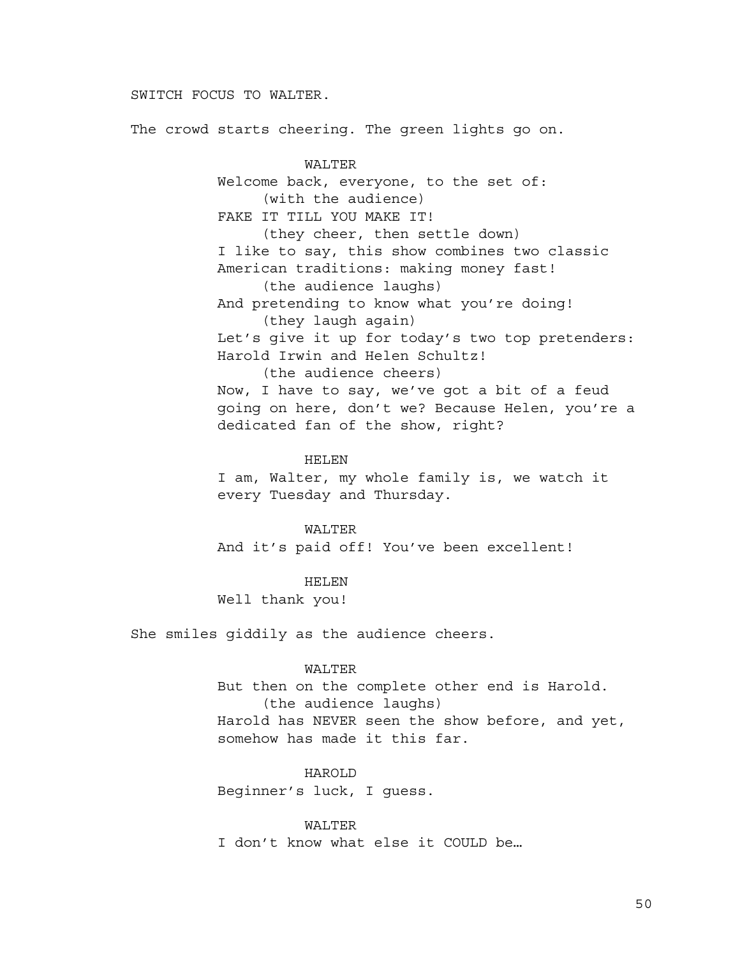# SWITCH FOCUS TO WALTER.

The crowd starts cheering. The green lights go on.

WALTER Welcome back, everyone, to the set of: (with the audience) FAKE IT TILL YOU MAKE IT! (they cheer, then settle down) I like to say, this show combines two classic American traditions: making money fast! (the audience laughs) And pretending to know what you're doing! (they laugh again) Let's give it up for today's two top pretenders: Harold Irwin and Helen Schultz! (the audience cheers) Now, I have to say, we've got a bit of a feud going on here, don't we? Because Helen, you're a dedicated fan of the show, right?

#### HELEN

I am, Walter, my whole family is, we watch it every Tuesday and Thursday.

WALTER And it's paid off! You've been excellent!

HELEN Well thank you!

She smiles giddily as the audience cheers.

## WALTER

But then on the complete other end is Harold. (the audience laughs) Harold has NEVER seen the show before, and yet, somehow has made it this far.

HAROLD

Beginner's luck, I guess.

WALTER

I don't know what else it COULD be…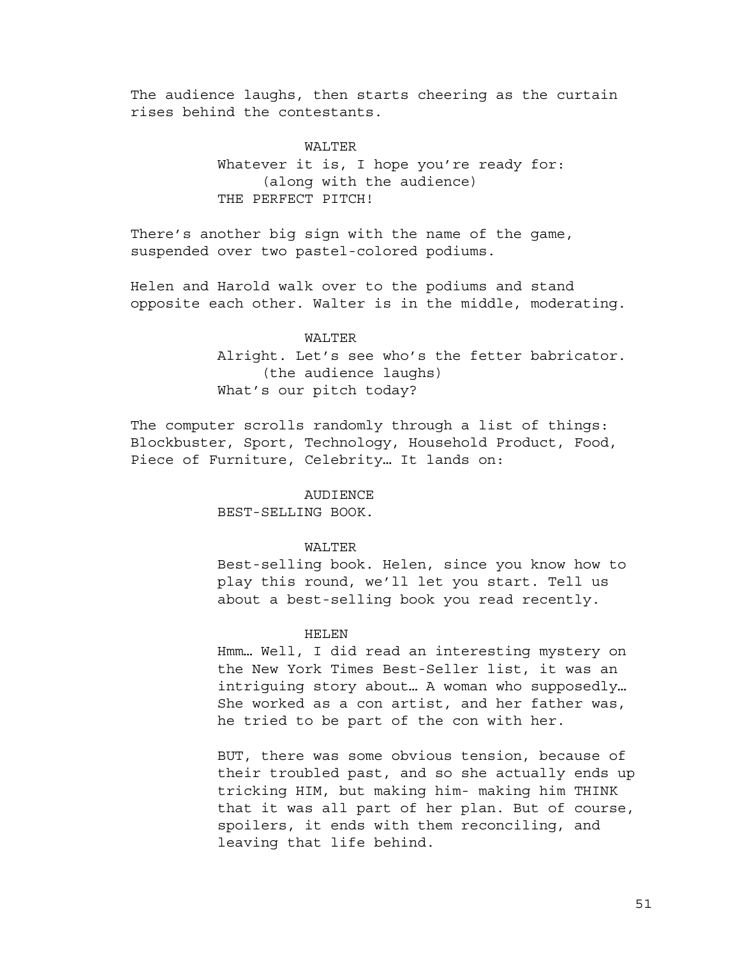The audience laughs, then starts cheering as the curtain rises behind the contestants.

#### WALTER

Whatever it is, I hope you're ready for: (along with the audience) THE PERFECT PITCH!

There's another big sign with the name of the game, suspended over two pastel-colored podiums.

Helen and Harold walk over to the podiums and stand opposite each other. Walter is in the middle, moderating.

#### WALTER

Alright. Let's see who's the fetter babricator. (the audience laughs) What's our pitch today?

The computer scrolls randomly through a list of things: Blockbuster, Sport, Technology, Household Product, Food, Piece of Furniture, Celebrity… It lands on:

#### **AUDIENCE**

BEST-SELLING BOOK.

## WALTER

Best-selling book. Helen, since you know how to play this round, we'll let you start. Tell us about a best-selling book you read recently.

## HELEN

Hmm… Well, I did read an interesting mystery on the New York Times Best-Seller list, it was an intriguing story about… A woman who supposedly… She worked as a con artist, and her father was, he tried to be part of the con with her.

BUT, there was some obvious tension, because of their troubled past, and so she actually ends up tricking HIM, but making him- making him THINK that it was all part of her plan. But of course, spoilers, it ends with them reconciling, and leaving that life behind.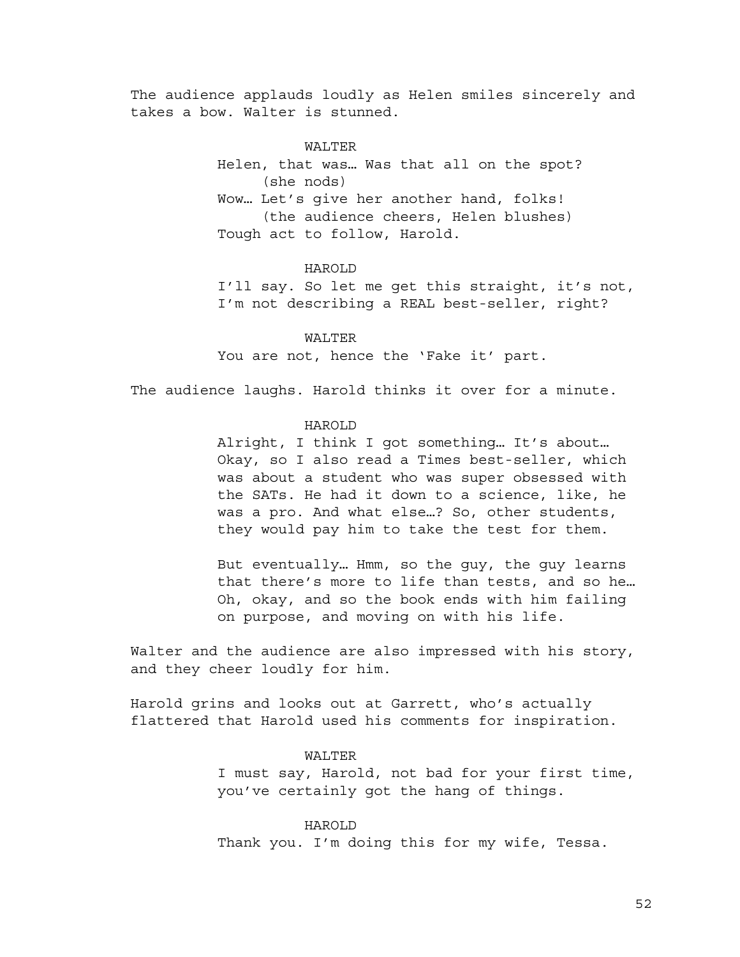The audience applauds loudly as Helen smiles sincerely and takes a bow. Walter is stunned.

# WALTER

Helen, that was… Was that all on the spot? (she nods) Wow… Let's give her another hand, folks! (the audience cheers, Helen blushes) Tough act to follow, Harold.

#### HAROLD

I'll say. So let me get this straight, it's not, I'm not describing a REAL best-seller, right?

# WALTER

You are not, hence the 'Fake it' part.

The audience laughs. Harold thinks it over for a minute.

# HAROLD

Alright, I think I got something… It's about… Okay, so I also read a Times best-seller, which was about a student who was super obsessed with the SATs. He had it down to a science, like, he was a pro. And what else…? So, other students, they would pay him to take the test for them.

But eventually… Hmm, so the guy, the guy learns that there's more to life than tests, and so he… Oh, okay, and so the book ends with him failing on purpose, and moving on with his life.

Walter and the audience are also impressed with his story, and they cheer loudly for him.

Harold grins and looks out at Garrett, who's actually flattered that Harold used his comments for inspiration.

## WALTER

I must say, Harold, not bad for your first time, you've certainly got the hang of things.

HAROLD Thank you. I'm doing this for my wife, Tessa.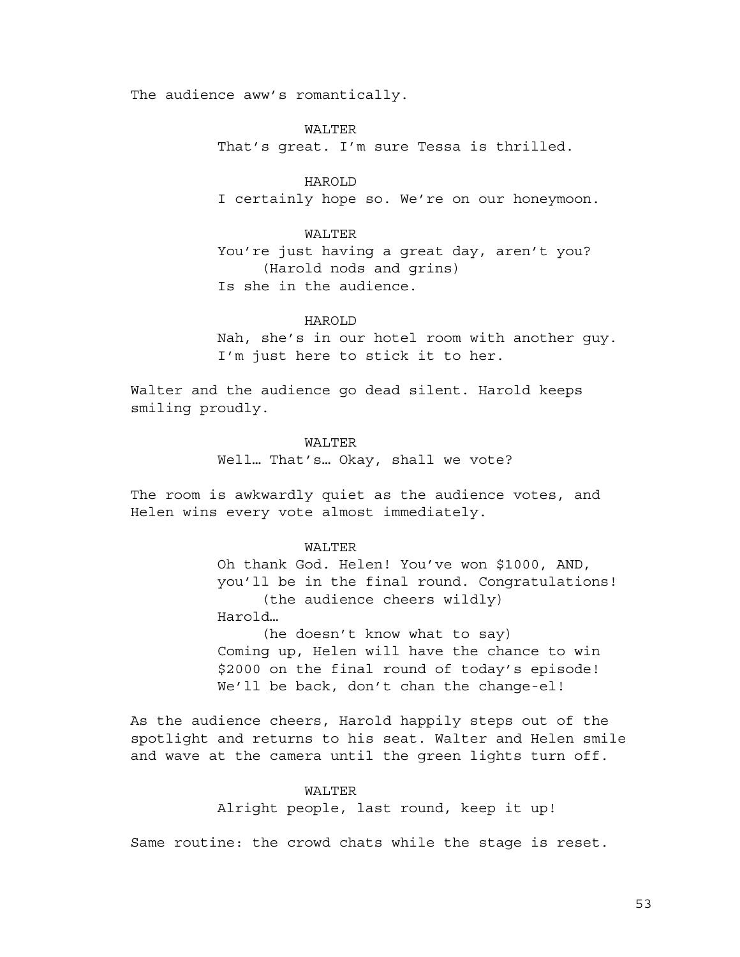The audience aww's romantically.

WALTER

That's great. I'm sure Tessa is thrilled.

HAROLD I certainly hope so. We're on our honeymoon.

## WALTER

You're just having a great day, aren't you? (Harold nods and grins) Is she in the audience.

#### HAROLD

Nah, she's in our hotel room with another guy. I'm just here to stick it to her.

Walter and the audience go dead silent. Harold keeps smiling proudly.

# WALTER

Well… That's… Okay, shall we vote?

The room is awkwardly quiet as the audience votes, and Helen wins every vote almost immediately.

## WALTER

Oh thank God. Helen! You've won \$1000, AND, you'll be in the final round. Congratulations! (the audience cheers wildly) Harold… (he doesn't know what to say) Coming up, Helen will have the chance to win \$2000 on the final round of today's episode! We'll be back, don't chan the change-el!

As the audience cheers, Harold happily steps out of the spotlight and returns to his seat. Walter and Helen smile and wave at the camera until the green lights turn off.

# WALTER

Alright people, last round, keep it up!

Same routine: the crowd chats while the stage is reset.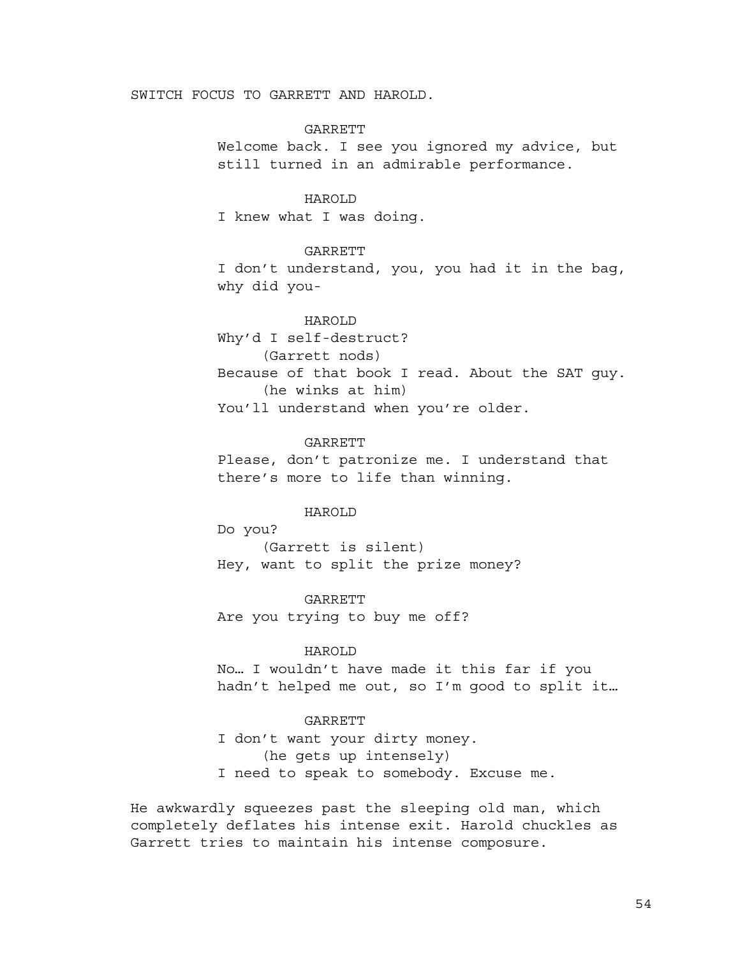# SWITCH FOCUS TO GARRETT AND HAROLD.

# GARRETT

Welcome back. I see you ignored my advice, but still turned in an admirable performance.

#### HAROLD

I knew what I was doing.

## GARRETT

I don't understand, you, you had it in the bag, why did you-

# HAROLD

Why'd I self-destruct? (Garrett nods) Because of that book I read. About the SAT guy. (he winks at him) You'll understand when you're older.

#### **GARRETT**

Please, don't patronize me. I understand that there's more to life than winning.

# HAROLD

Do you? (Garrett is silent) Hey, want to split the prize money?

GARRETT Are you trying to buy me off?

# HAROLD

No… I wouldn't have made it this far if you hadn't helped me out, so I'm good to split it…

# GARRETT

I don't want your dirty money. (he gets up intensely) I need to speak to somebody. Excuse me.

He awkwardly squeezes past the sleeping old man, which completely deflates his intense exit. Harold chuckles as Garrett tries to maintain his intense composure.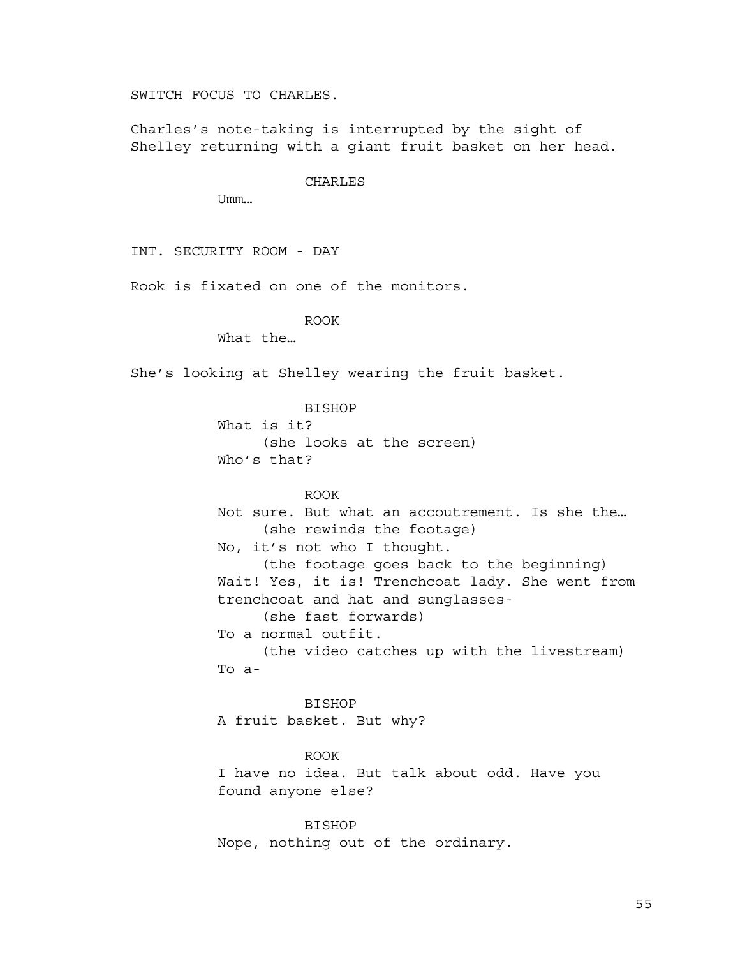SWITCH FOCUS TO CHARLES.

Charles's note-taking is interrupted by the sight of Shelley returning with a giant fruit basket on her head.

CHARLES

Umm…

INT. SECURITY ROOM - DAY

Rook is fixated on one of the monitors.

ROOK

What the…

She's looking at Shelley wearing the fruit basket.

BISHOP What is it? (she looks at the screen) Who's that?

ROOK Not sure. But what an accoutrement. Is she the… (she rewinds the footage) No, it's not who I thought. (the footage goes back to the beginning) Wait! Yes, it is! Trenchcoat lady. She went from trenchcoat and hat and sunglasses- (she fast forwards) To a normal outfit. (the video catches up with the livestream) To a-

BISHOP A fruit basket. But why?

ROOK I have no idea. But talk about odd. Have you found anyone else?

BISHOP Nope, nothing out of the ordinary.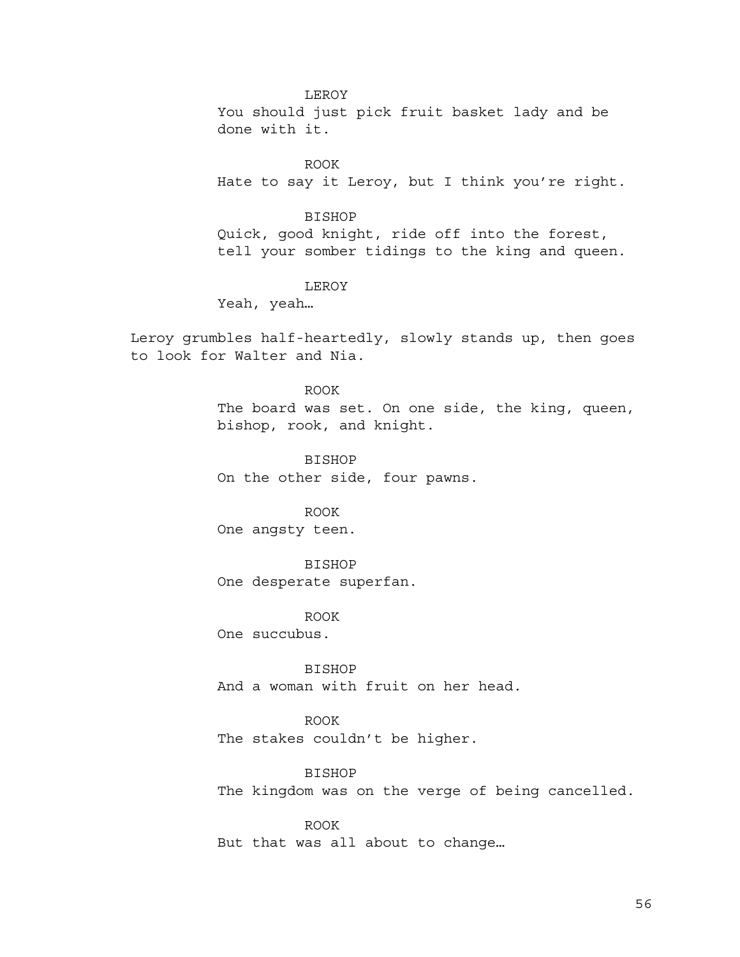# LEROY

You should just pick fruit basket lady and be done with it.

ROOK Hate to say it Leroy, but I think you're right.

BISHOP

Quick, good knight, ride off into the forest, tell your somber tidings to the king and queen.

# LEROY

Yeah, yeah…

Leroy grumbles half-heartedly, slowly stands up, then goes to look for Walter and Nia.

#### ROOK

The board was set. On one side, the king, queen, bishop, rook, and knight.

BISHOP

On the other side, four pawns.

# ROOK

One angsty teen.

# BISHOP

One desperate superfan.

ROOK

One succubus.

BISHOP And a woman with fruit on her head.

ROOK The stakes couldn't be higher.

BISHOP The kingdom was on the verge of being cancelled.

ROOK But that was all about to change…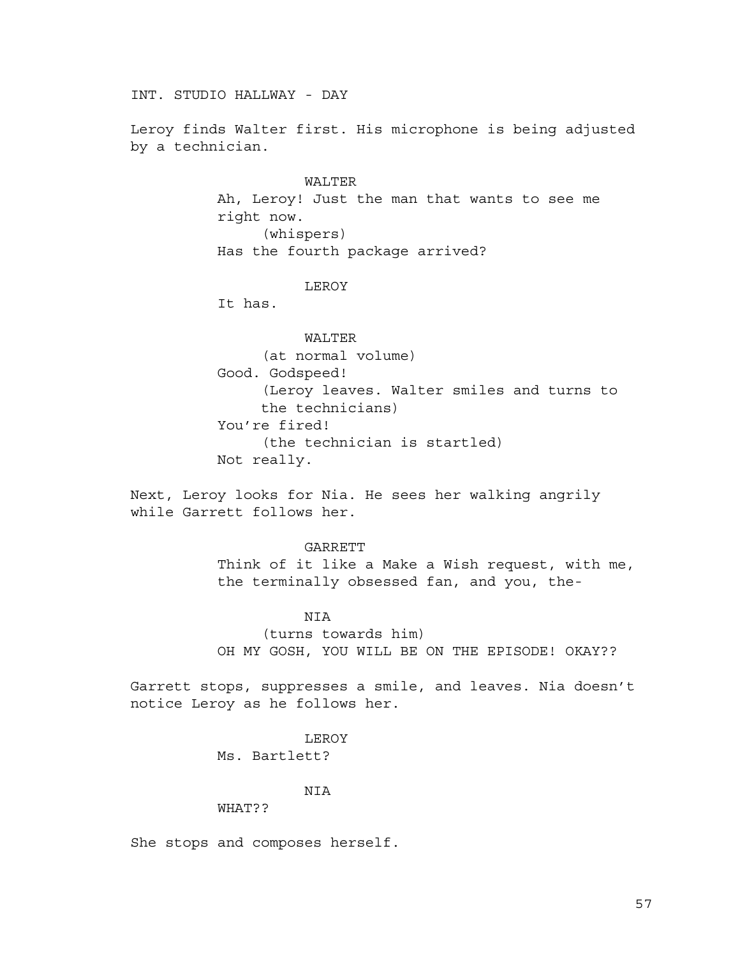INT. STUDIO HALLWAY - DAY

Leroy finds Walter first. His microphone is being adjusted by a technician.

> WALTER Ah, Leroy! Just the man that wants to see me right now. (whispers) Has the fourth package arrived?

# LEROY

It has.

WALTER (at normal volume) Good. Godspeed! (Leroy leaves. Walter smiles and turns to the technicians) You're fired! (the technician is startled) Not really.

Next, Leroy looks for Nia. He sees her walking angrily while Garrett follows her.

## GARRETT

Think of it like a Make a Wish request, with me, the terminally obsessed fan, and you, the-

#### **NTA**

(turns towards him) OH MY GOSH, YOU WILL BE ON THE EPISODE! OKAY??

Garrett stops, suppresses a smile, and leaves. Nia doesn't notice Leroy as he follows her.

#### LEROY

Ms. Bartlett?

#### NIA

#### WHAT??

She stops and composes herself.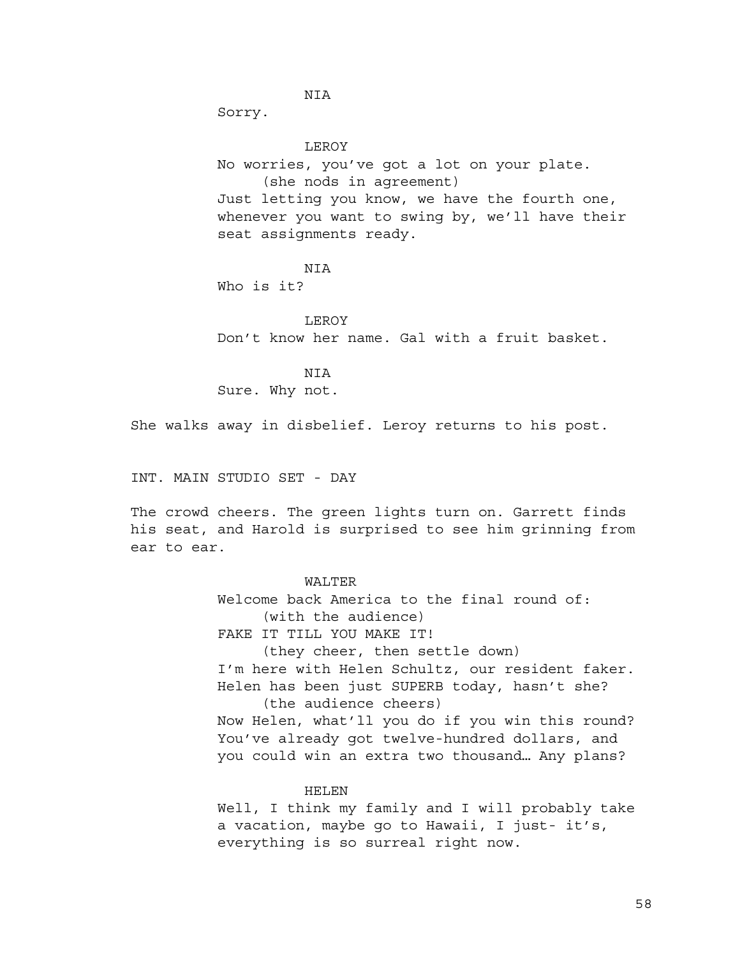NIA

Sorry.

LEROY

No worries, you've got a lot on your plate. (she nods in agreement) Just letting you know, we have the fourth one, whenever you want to swing by, we'll have their seat assignments ready.

**NTA** 

Who is it?

LEROY Don't know her name. Gal with a fruit basket.

NIA Sure. Why not.

She walks away in disbelief. Leroy returns to his post.

INT. MAIN STUDIO SET - DAY

The crowd cheers. The green lights turn on. Garrett finds his seat, and Harold is surprised to see him grinning from ear to ear.

WALTER

Welcome back America to the final round of: (with the audience)

FAKE IT TILL YOU MAKE IT!

(they cheer, then settle down) I'm here with Helen Schultz, our resident faker.

Helen has been just SUPERB today, hasn't she? (the audience cheers)

Now Helen, what'll you do if you win this round? You've already got twelve-hundred dollars, and you could win an extra two thousand… Any plans?

#### HELEN

Well, I think my family and I will probably take a vacation, maybe go to Hawaii, I just- it's, everything is so surreal right now.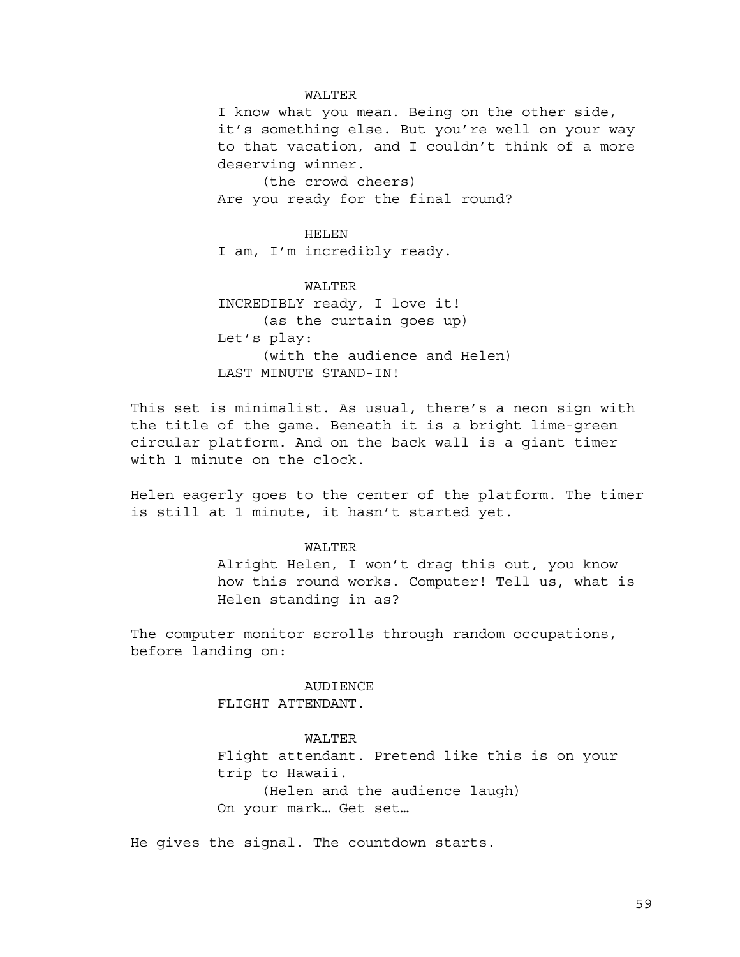#### WALTER

I know what you mean. Being on the other side, it's something else. But you're well on your way to that vacation, and I couldn't think of a more deserving winner.

(the crowd cheers) Are you ready for the final round?

HELEN I am, I'm incredibly ready.

WALTER INCREDIBLY ready, I love it! (as the curtain goes up) Let's play: (with the audience and Helen) LAST MINUTE STAND-IN!

This set is minimalist. As usual, there's a neon sign with the title of the game. Beneath it is a bright lime-green circular platform. And on the back wall is a giant timer with 1 minute on the clock.

Helen eagerly goes to the center of the platform. The timer is still at 1 minute, it hasn't started yet.

## WALTER

Alright Helen, I won't drag this out, you know how this round works. Computer! Tell us, what is Helen standing in as?

The computer monitor scrolls through random occupations, before landing on:

> AUDIENCE FLIGHT ATTENDANT.

> > WALTER

Flight attendant. Pretend like this is on your trip to Hawaii. (Helen and the audience laugh)

On your mark… Get set…

He gives the signal. The countdown starts.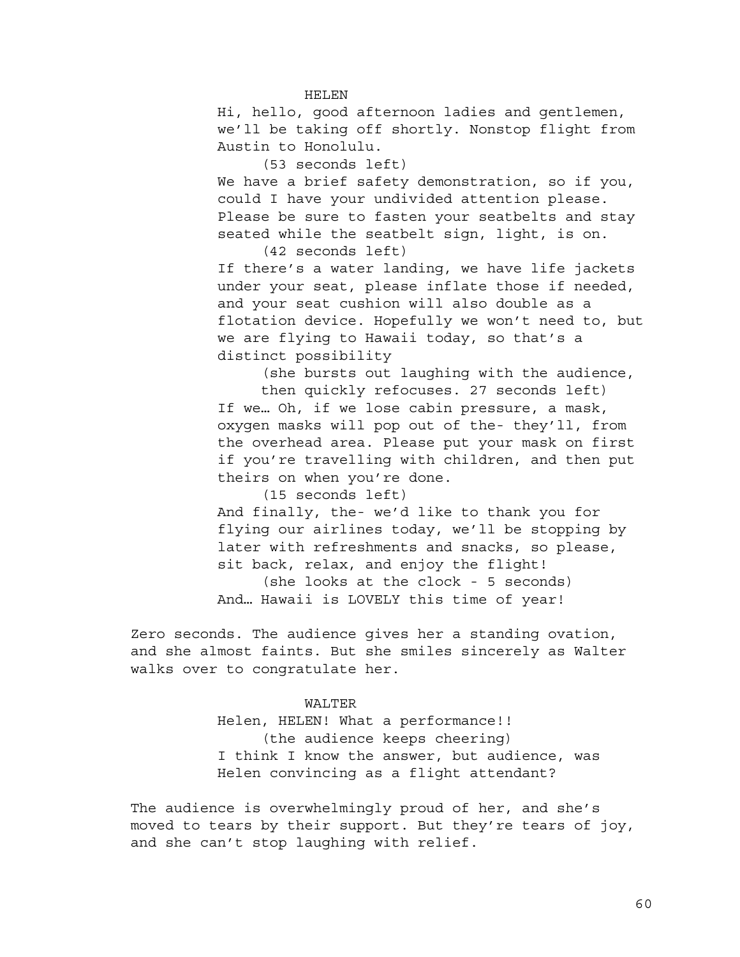HELEN

Hi, hello, good afternoon ladies and gentlemen, we'll be taking off shortly. Nonstop flight from Austin to Honolulu.

(53 seconds left)

We have a brief safety demonstration, so if you, could I have your undivided attention please. Please be sure to fasten your seatbelts and stay seated while the seatbelt sign, light, is on. (42 seconds left)

If there's a water landing, we have life jackets under your seat, please inflate those if needed, and your seat cushion will also double as a

flotation device. Hopefully we won't need to, but we are flying to Hawaii today, so that's a distinct possibility

(she bursts out laughing with the audience, then quickly refocuses. 27 seconds left)

If we… Oh, if we lose cabin pressure, a mask, oxygen masks will pop out of the- they'll, from the overhead area. Please put your mask on first if you're travelling with children, and then put theirs on when you're done.

(15 seconds left)

And finally, the- we'd like to thank you for flying our airlines today, we'll be stopping by later with refreshments and snacks, so please, sit back, relax, and enjoy the flight! (she looks at the clock - 5 seconds) And… Hawaii is LOVELY this time of year!

Zero seconds. The audience gives her a standing ovation, and she almost faints. But she smiles sincerely as Walter walks over to congratulate her.

> WALTER Helen, HELEN! What a performance!! (the audience keeps cheering) I think I know the answer, but audience, was Helen convincing as a flight attendant?

The audience is overwhelmingly proud of her, and she's moved to tears by their support. But they're tears of joy, and she can't stop laughing with relief.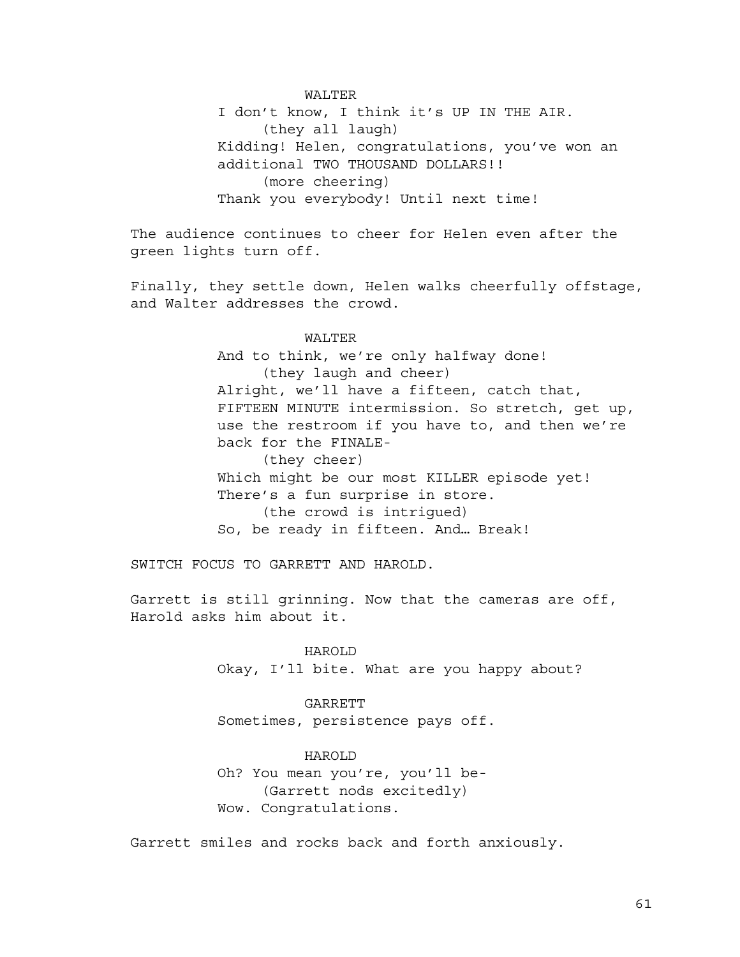WALTER I don't know, I think it's UP IN THE AIR. (they all laugh) Kidding! Helen, congratulations, you've won an additional TWO THOUSAND DOLLARS!! (more cheering) Thank you everybody! Until next time!

The audience continues to cheer for Helen even after the green lights turn off.

Finally, they settle down, Helen walks cheerfully offstage, and Walter addresses the crowd.

# WALTER

And to think, we're only halfway done! (they laugh and cheer) Alright, we'll have a fifteen, catch that, FIFTEEN MINUTE intermission. So stretch, get up, use the restroom if you have to, and then we're back for the FINALE- (they cheer) Which might be our most KILLER episode yet! There's a fun surprise in store. (the crowd is intrigued) So, be ready in fifteen. And… Break!

SWITCH FOCUS TO GARRETT AND HAROLD.

Garrett is still grinning. Now that the cameras are off, Harold asks him about it.

> HAROLD Okay, I'll bite. What are you happy about?

GARRETT Sometimes, persistence pays off.

HAROLD Oh? You mean you're, you'll be- (Garrett nods excitedly) Wow. Congratulations.

Garrett smiles and rocks back and forth anxiously.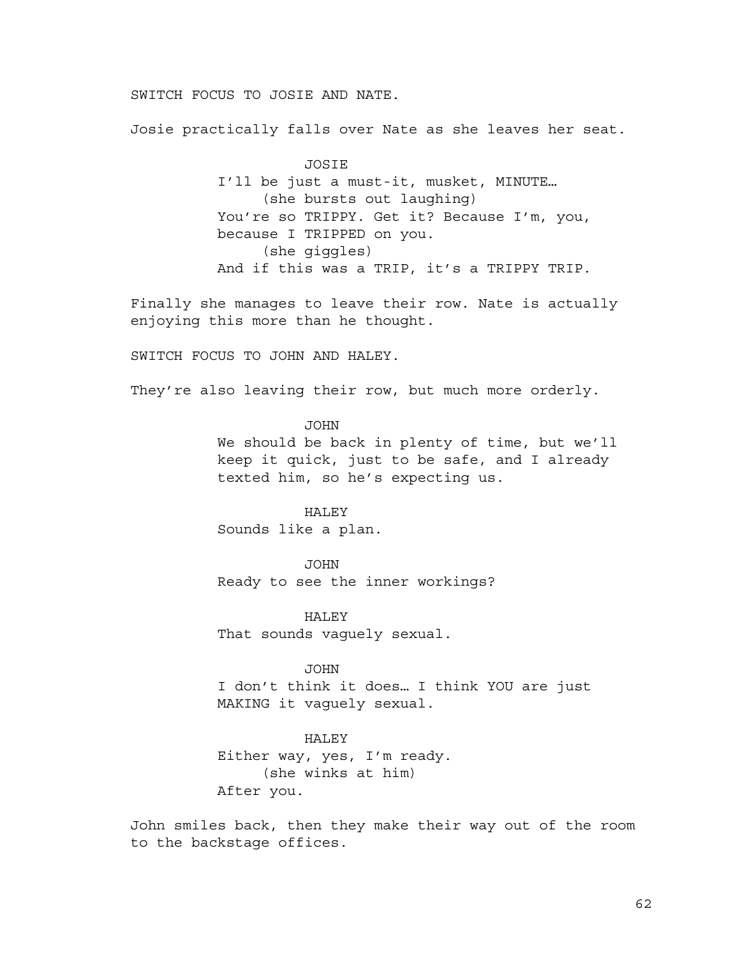SWITCH FOCUS TO JOSIE AND NATE.

Josie practically falls over Nate as she leaves her seat.

JOSIE I'll be just a must-it, musket, MINUTE… (she bursts out laughing) You're so TRIPPY. Get it? Because I'm, you, because I TRIPPED on you. (she giggles) And if this was a TRIP, it's a TRIPPY TRIP.

Finally she manages to leave their row. Nate is actually enjoying this more than he thought.

SWITCH FOCUS TO JOHN AND HALEY.

They're also leaving their row, but much more orderly.

JOHN

We should be back in plenty of time, but we'll keep it quick, just to be safe, and I already texted him, so he's expecting us.

# HALEY

Sounds like a plan.

JOHN Ready to see the inner workings?

**HALEY** That sounds vaguely sexual.

JOHN

I don't think it does… I think YOU are just MAKING it vaguely sexual.

#### HALEY

Either way, yes, I'm ready. (she winks at him) After you.

John smiles back, then they make their way out of the room to the backstage offices.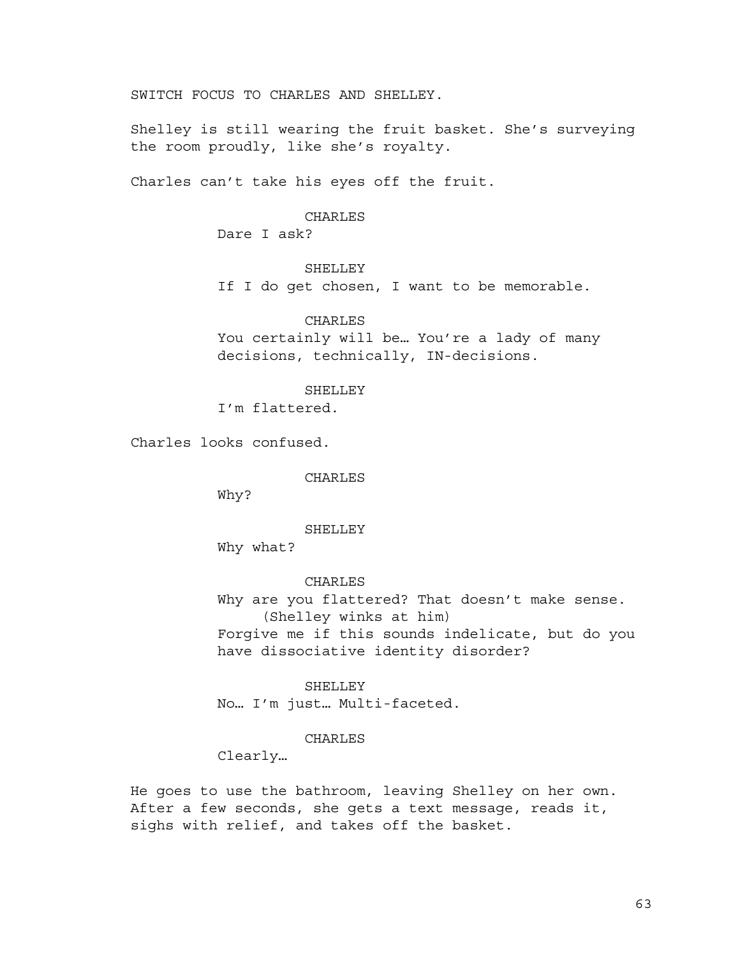SWITCH FOCUS TO CHARLES AND SHELLEY.

Shelley is still wearing the fruit basket. She's surveying the room proudly, like she's royalty.

Charles can't take his eyes off the fruit.

## CHARLES

Dare I ask?

## **SHELLEY**

If I do get chosen, I want to be memorable.

# CHARLES

You certainly will be… You're a lady of many decisions, technically, IN-decisions.

# SHELLEY

I'm flattered.

Charles looks confused.

CHARLES

Why?

#### SHELLEY

Why what?

# CHARLES Why are you flattered? That doesn't make sense. (Shelley winks at him) Forgive me if this sounds indelicate, but do you have dissociative identity disorder?

SHELLEY No… I'm just… Multi-faceted.

# CHARLES

Clearly…

He goes to use the bathroom, leaving Shelley on her own. After a few seconds, she gets a text message, reads it, sighs with relief, and takes off the basket.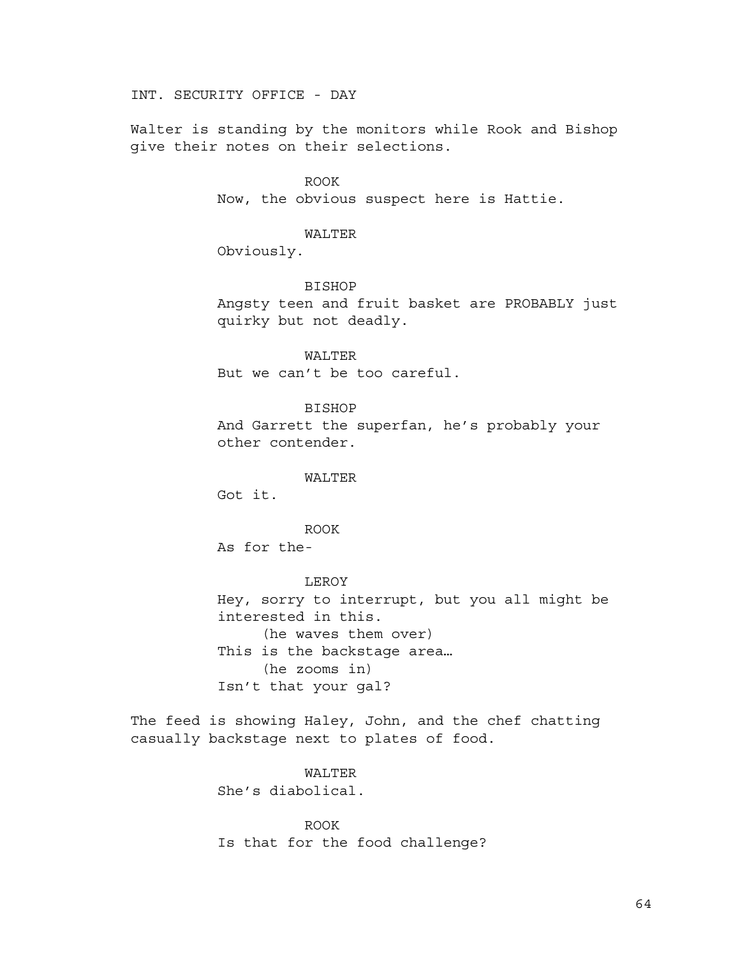INT. SECURITY OFFICE - DAY

Walter is standing by the monitors while Rook and Bishop give their notes on their selections.

> ROOK Now, the obvious suspect here is Hattie.

> > WALTER

Obviously.

BISHOP Angsty teen and fruit basket are PROBABLY just quirky but not deadly.

WALTER But we can't be too careful.

BISHOP And Garrett the superfan, he's probably your other contender.

WALTER

Got it.

ROOK

As for the-

LEROY Hey, sorry to interrupt, but you all might be interested in this. (he waves them over) This is the backstage area… (he zooms in) Isn't that your gal?

The feed is showing Haley, John, and the chef chatting casually backstage next to plates of food.

> WALTER She's diabolical.

ROOK Is that for the food challenge?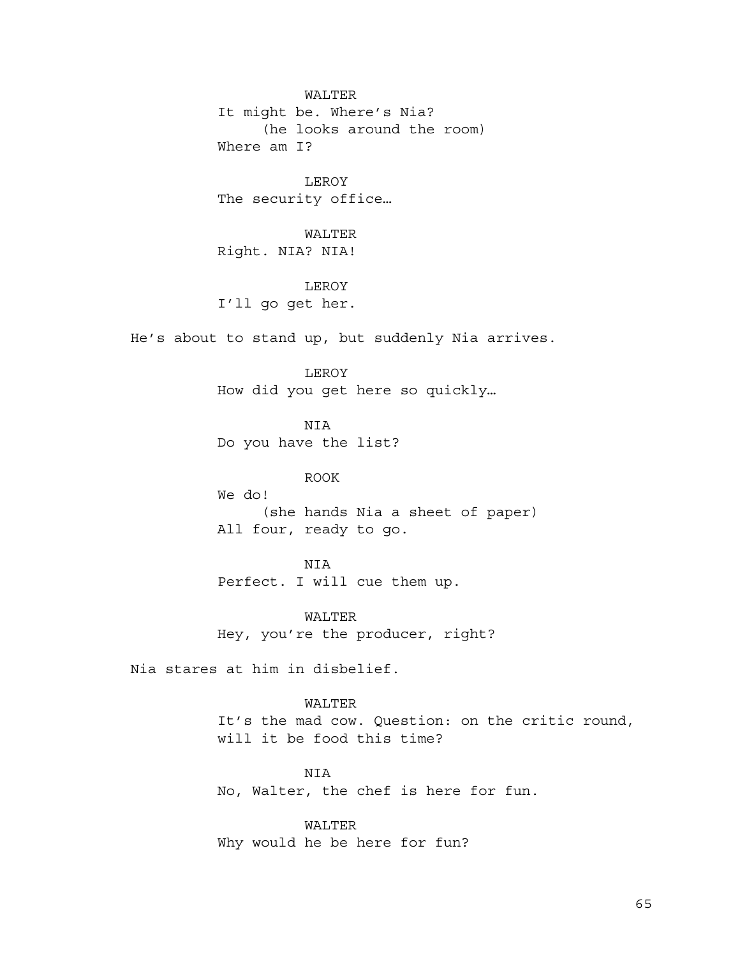WALTER It might be. Where's Nia? (he looks around the room) Where am I?

LEROY The security office…

WALTER Right. NIA? NIA!

LEROY

I'll go get her.

He's about to stand up, but suddenly Nia arrives.

LEROY How did you get here so quickly…

NIA Do you have the list?

ROOK

We do! (she hands Nia a sheet of paper) All four, ready to go.

NIA Perfect. I will cue them up.

WALTER Hey, you're the producer, right?

Nia stares at him in disbelief.

WALTER It's the mad cow. Question: on the critic round, will it be food this time?

NIA No, Walter, the chef is here for fun.

WALTER Why would he be here for fun?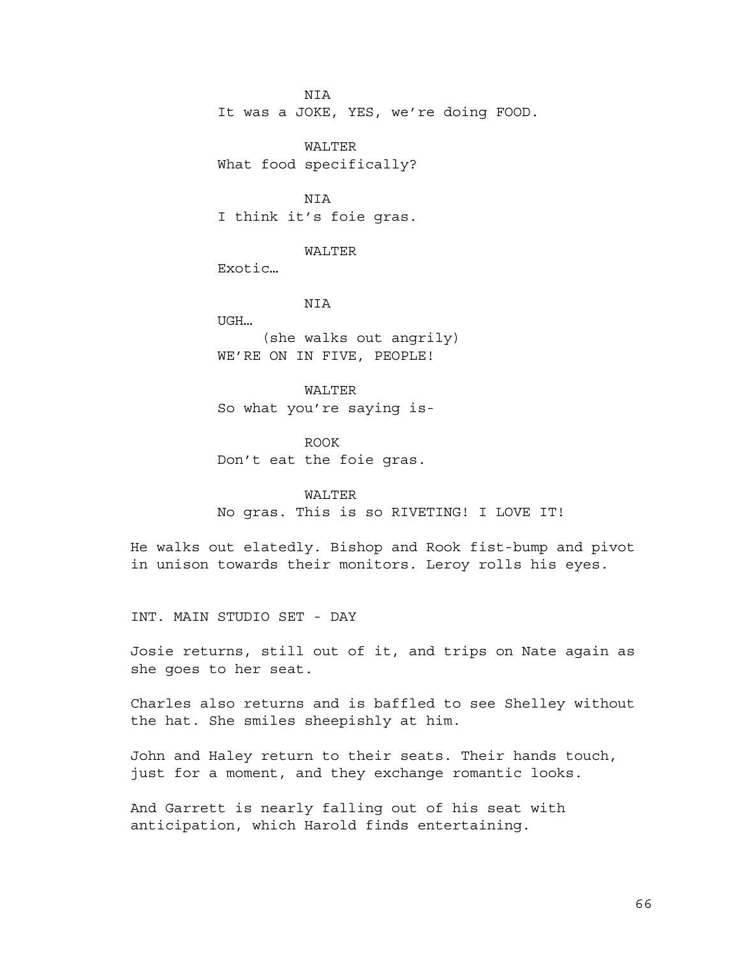NIA It was a JOKE, YES, we're doing FOOD.

WALTER What food specifically?

NIA I think it's foie gras.

WALTER

Exotic…

NIA UGH… (she walks out angrily) WE'RE ON IN FIVE, PEOPLE!

WALTER So what you're saying is-

ROOK Don't eat the foie gras.

# WALTER

No gras. This is so RIVETING! I LOVE IT!

He walks out elatedly. Bishop and Rook fist-bump and pivot in unison towards their monitors. Leroy rolls his eyes.

INT. MAIN STUDIO SET - DAY

Josie returns, still out of it, and trips on Nate again as she goes to her seat.

Charles also returns and is baffled to see Shelley without the hat. She smiles sheepishly at him.

John and Haley return to their seats. Their hands touch, just for a moment, and they exchange romantic looks.

And Garrett is nearly falling out of his seat with anticipation, which Harold finds entertaining.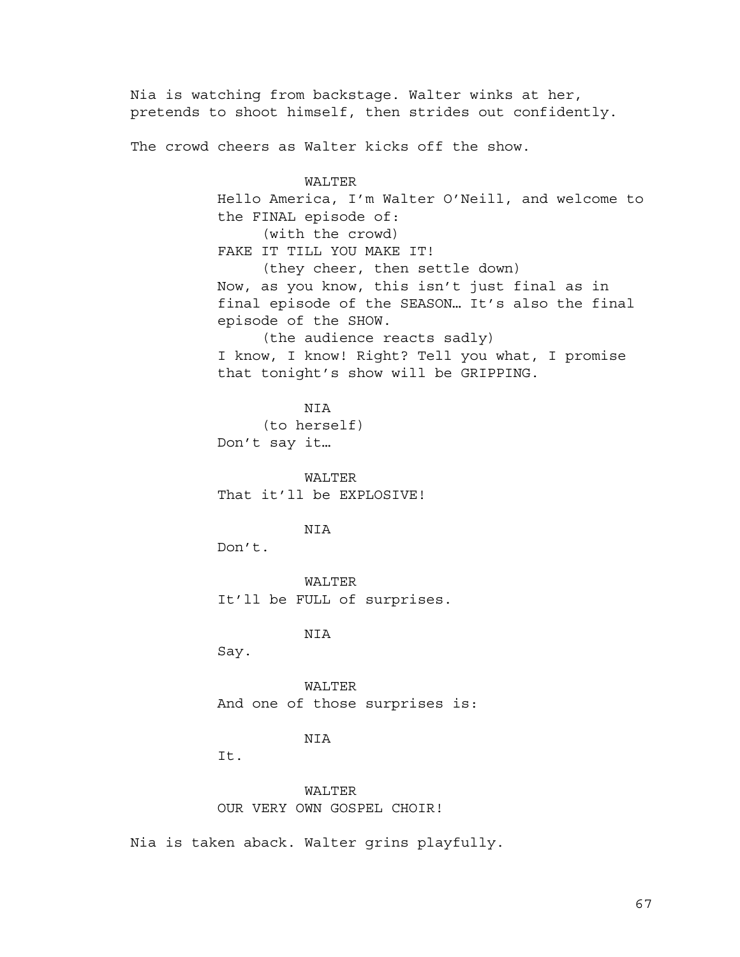Nia is watching from backstage. Walter winks at her, pretends to shoot himself, then strides out confidently. The crowd cheers as Walter kicks off the show. WALTER Hello America, I'm Walter O'Neill, and welcome to the FINAL episode of: (with the crowd) FAKE IT TILL YOU MAKE IT! (they cheer, then settle down) Now, as you know, this isn't just final as in final episode of the SEASON… It's also the final episode of the SHOW. (the audience reacts sadly) I know, I know! Right? Tell you what, I promise that tonight's show will be GRIPPING. NIA (to herself) Don't say it… WALTER That it'll be EXPLOSIVE! NIA Don't. WALTER It'll be FULL of surprises. NIA Say. WALTER And one of those surprises is: NIA It. WALTER OUR VERY OWN GOSPEL CHOIR!

Nia is taken aback. Walter grins playfully.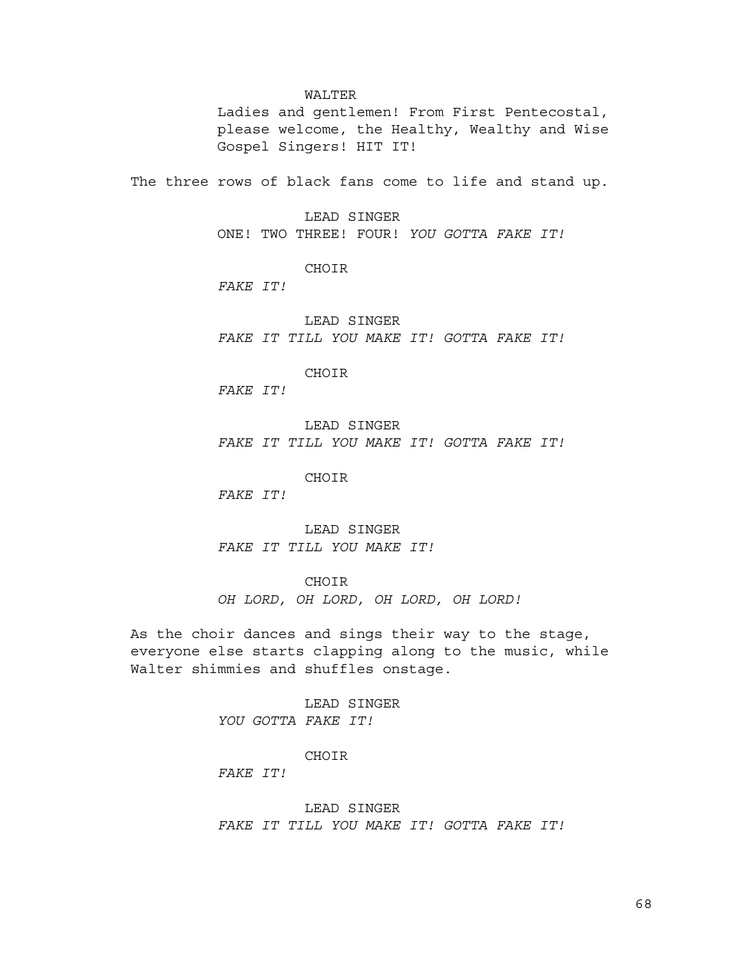#### WALTER

Ladies and gentlemen! From First Pentecostal, please welcome, the Healthy, Wealthy and Wise Gospel Singers! HIT IT!

The three rows of black fans come to life and stand up.

LEAD SINGER ONE! TWO THREE! FOUR! *YOU GOTTA FAKE IT!*

CHOIR

*FAKE IT!*

LEAD SINGER *FAKE IT TILL YOU MAKE IT! GOTTA FAKE IT!*

CHOIR

*FAKE IT!*

LEAD SINGER *FAKE IT TILL YOU MAKE IT! GOTTA FAKE IT!*

CHOIR

*FAKE IT!*

LEAD SINGER *FAKE IT TILL YOU MAKE IT!*

**CHOIR** 

*OH LORD, OH LORD, OH LORD, OH LORD!*

As the choir dances and sings their way to the stage, everyone else starts clapping along to the music, while Walter shimmies and shuffles onstage.

> LEAD SINGER *YOU GOTTA FAKE IT!*

## CHOIR

*FAKE IT!*

LEAD SINGER *FAKE IT TILL YOU MAKE IT! GOTTA FAKE IT!*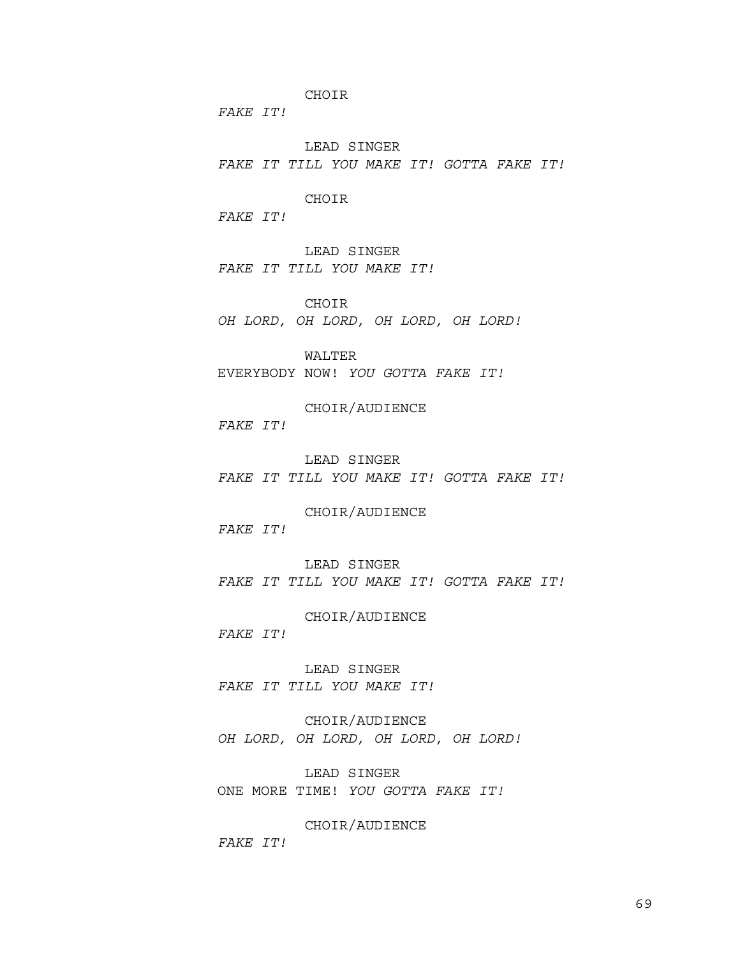CHOIR

*FAKE IT!*

LEAD SINGER *FAKE IT TILL YOU MAKE IT! GOTTA FAKE IT!*

CHOIR

*FAKE IT!*

LEAD SINGER *FAKE IT TILL YOU MAKE IT!*

CHOIR *OH LORD, OH LORD, OH LORD, OH LORD!*

WALTER EVERYBODY NOW! *YOU GOTTA FAKE IT!*

CHOIR/AUDIENCE *FAKE IT!*

LEAD SINGER *FAKE IT TILL YOU MAKE IT! GOTTA FAKE IT!*

CHOIR/AUDIENCE *FAKE IT!*

LEAD SINGER *FAKE IT TILL YOU MAKE IT! GOTTA FAKE IT!*

#### CHOIR/AUDIENCE

*FAKE IT!*

LEAD SINGER *FAKE IT TILL YOU MAKE IT!*

CHOIR/AUDIENCE *OH LORD, OH LORD, OH LORD, OH LORD!*

LEAD SINGER ONE MORE TIME! *YOU GOTTA FAKE IT!*

CHOIR/AUDIENCE *FAKE IT!*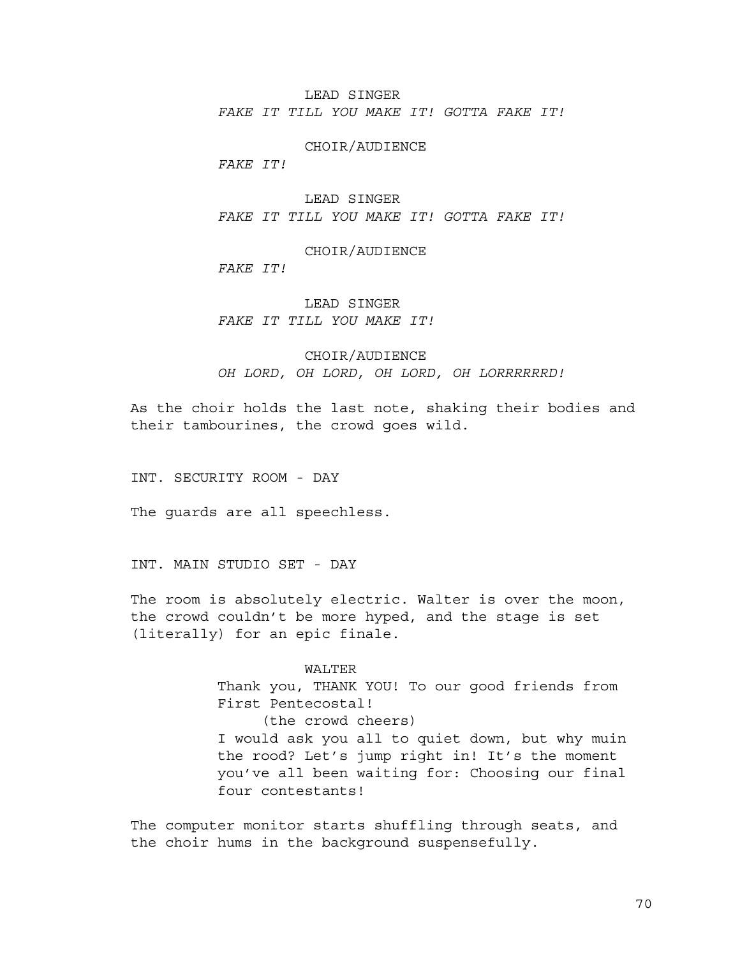LEAD SINGER

*FAKE IT TILL YOU MAKE IT! GOTTA FAKE IT!*

CHOIR/AUDIENCE

*FAKE IT!*

LEAD SINGER *FAKE IT TILL YOU MAKE IT! GOTTA FAKE IT!*

CHOIR/AUDIENCE *FAKE IT!*

LEAD SINGER *FAKE IT TILL YOU MAKE IT!*

CHOIR/AUDIENCE *OH LORD, OH LORD, OH LORD, OH LORRRRRRD!*

As the choir holds the last note, shaking their bodies and their tambourines, the crowd goes wild.

INT. SECURITY ROOM - DAY

The guards are all speechless.

INT. MAIN STUDIO SET - DAY

The room is absolutely electric. Walter is over the moon, the crowd couldn't be more hyped, and the stage is set (literally) for an epic finale.

#### WALTER

Thank you, THANK YOU! To our good friends from First Pentecostal! (the crowd cheers) I would ask you all to quiet down, but why muin the rood? Let's jump right in! It's the moment you've all been waiting for: Choosing our final four contestants!

The computer monitor starts shuffling through seats, and the choir hums in the background suspensefully.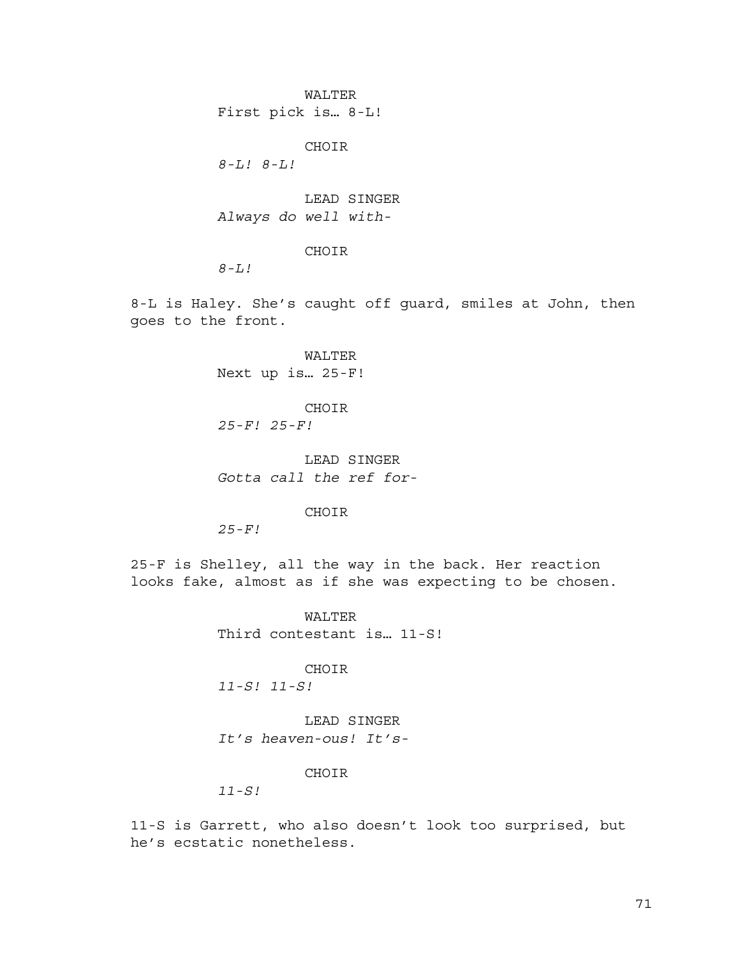WALTER First pick is… 8-L!

CHOIR

*8-L! 8-L!*

LEAD SINGER *Always do well with-*

CHOIR

*8-L!*

8-L is Haley. She's caught off guard, smiles at John, then goes to the front.

> WALTER Next up is… 25-F!

CHOIR *25-F! 25-F!*

LEAD SINGER *Gotta call the ref for-*

CHOIR

*25-F!*

25-F is Shelley, all the way in the back. Her reaction looks fake, almost as if she was expecting to be chosen.

> WALTER Third contestant is… 11-S!

> > CHOIR

*11-S! 11-S!*

LEAD SINGER *It's heaven-ous! It's-*

## CHOIR

*11-S!*

11-S is Garrett, who also doesn't look too surprised, but he's ecstatic nonetheless.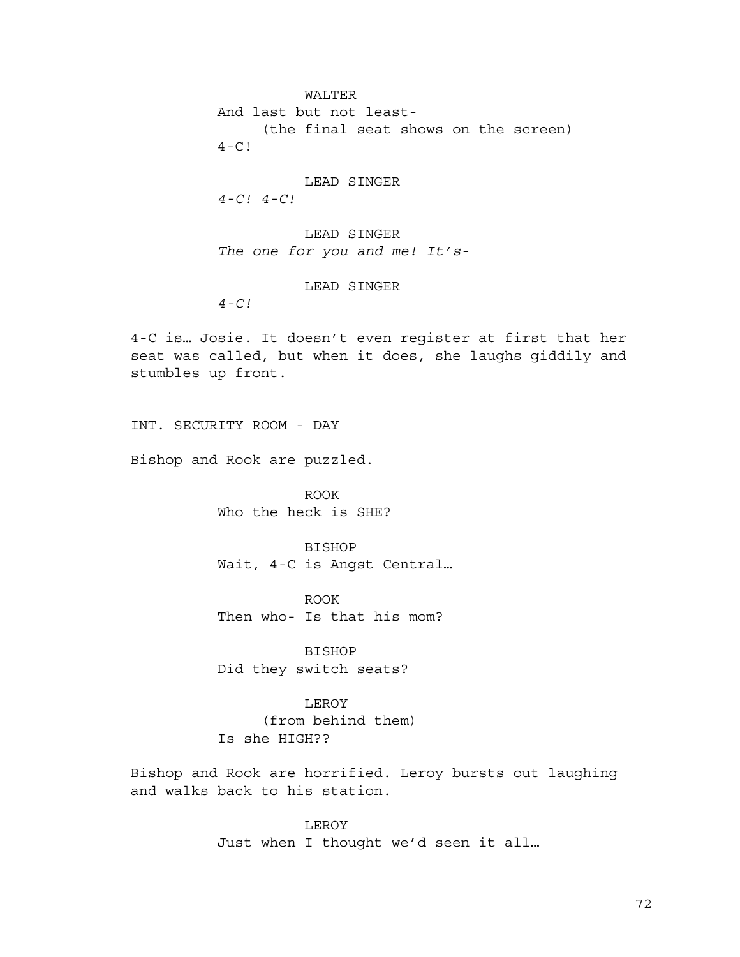WALTER And last but not least- (the final seat shows on the screen)  $4-C!$ 

LEAD SINGER *4-C! 4-C!*

LEAD SINGER *The one for you and me! It's-*

LEAD SINGER

*4-C!*

4-C is… Josie. It doesn't even register at first that her seat was called, but when it does, she laughs giddily and stumbles up front.

INT. SECURITY ROOM - DAY

Bishop and Rook are puzzled.

ROOK Who the heck is SHE?

BISHOP Wait, 4-C is Angst Central…

ROOK Then who- Is that his mom?

BISHOP Did they switch seats?

LEROY (from behind them) Is she HIGH??

Bishop and Rook are horrified. Leroy bursts out laughing and walks back to his station.

> LEROY Just when I thought we'd seen it all…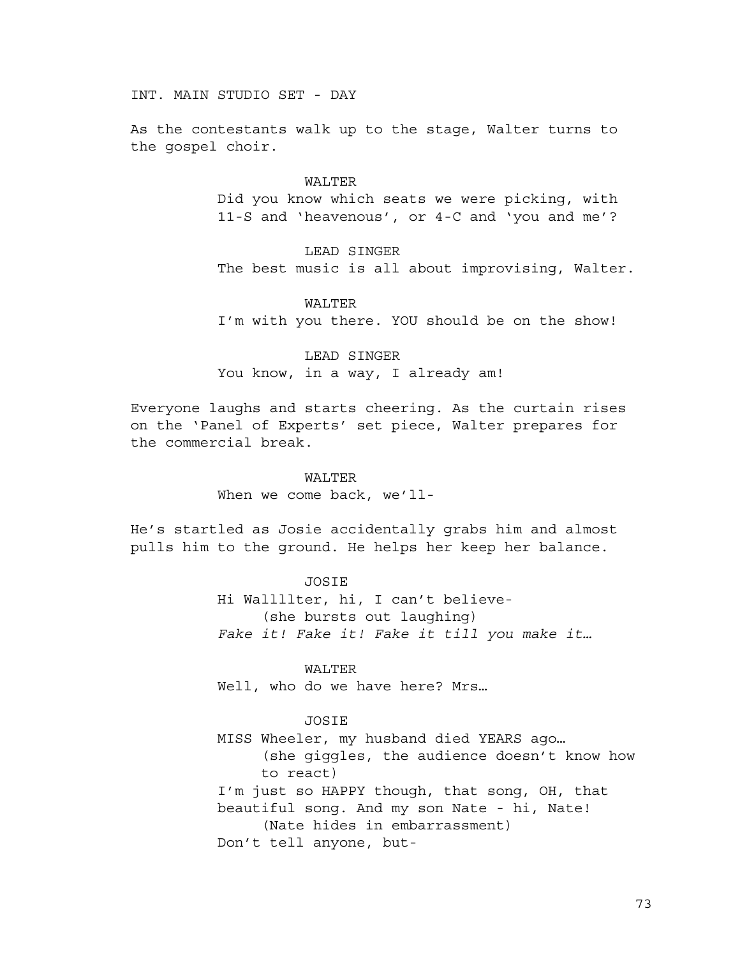INT. MAIN STUDIO SET - DAY

As the contestants walk up to the stage, Walter turns to the gospel choir.

> WALTER Did you know which seats we were picking, with 11-S and 'heavenous', or 4-C and 'you and me'?

LEAD SINGER The best music is all about improvising, Walter.

WALTER I'm with you there. YOU should be on the show!

LEAD SINGER You know, in a way, I already am!

Everyone laughs and starts cheering. As the curtain rises on the 'Panel of Experts' set piece, Walter prepares for the commercial break.

> WALTER When we come back, we'll-

He's startled as Josie accidentally grabs him and almost pulls him to the ground. He helps her keep her balance.

> JOSIE Hi Wallllter, hi, I can't believe- (she bursts out laughing) *Fake it! Fake it! Fake it till you make it…*

WALTER Well, who do we have here? Mrs...

# JOSIE

MISS Wheeler, my husband died YEARS ago… (she giggles, the audience doesn't know how to react) I'm just so HAPPY though, that song, OH, that beautiful song. And my son Nate - hi, Nate! (Nate hides in embarrassment) Don't tell anyone, but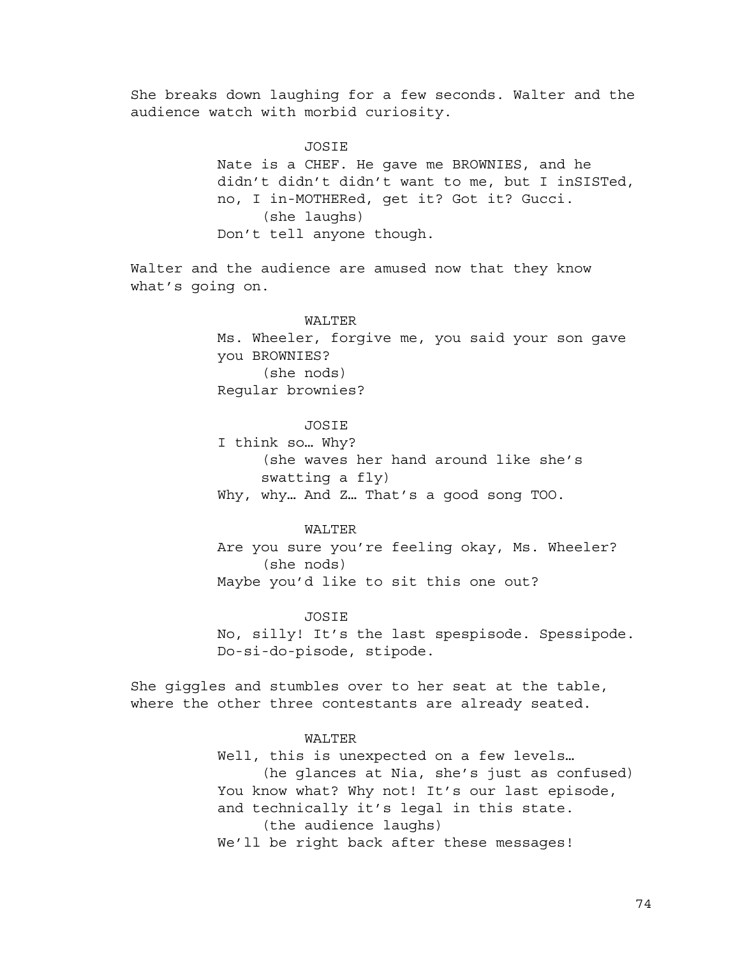She breaks down laughing for a few seconds. Walter and the audience watch with morbid curiosity.

JOSIE

Nate is a CHEF. He gave me BROWNIES, and he didn't didn't didn't want to me, but I inSISTed, no, I in-MOTHERed, get it? Got it? Gucci. (she laughs) Don't tell anyone though.

Walter and the audience are amused now that they know what's going on.

# WALTER

Ms. Wheeler, forgive me, you said your son gave you BROWNIES? (she nods) Regular brownies?

# **JOSIE**

I think so… Why? (she waves her hand around like she's swatting a fly) Why, why… And Z… That's a good song TOO.

WALTER Are you sure you're feeling okay, Ms. Wheeler? (she nods) Maybe you'd like to sit this one out?

### JOSIE

No, silly! It's the last spespisode. Spessipode. Do-si-do-pisode, stipode.

She giggles and stumbles over to her seat at the table, where the other three contestants are already seated.

### WALTER

Well, this is unexpected on a few levels… (he glances at Nia, she's just as confused) You know what? Why not! It's our last episode, and technically it's legal in this state. (the audience laughs) We'll be right back after these messages!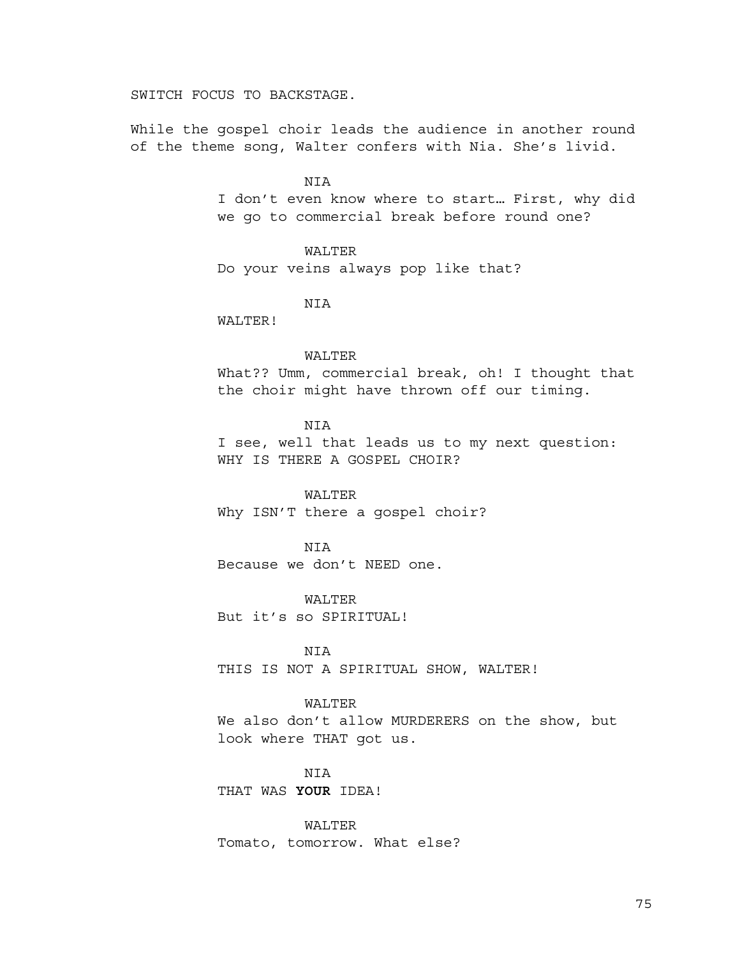SWITCH FOCUS TO BACKSTAGE.

While the gospel choir leads the audience in another round of the theme song, Walter confers with Nia. She's livid.

> NIA I don't even know where to start… First, why did we go to commercial break before round one?

> > WALTER

Do your veins always pop like that?

NIA

WALTER!

### WALTER

What?? Umm, commercial break, oh! I thought that the choir might have thrown off our timing.

# NIA

I see, well that leads us to my next question: WHY IS THERE A GOSPEL CHOIR?

# WALTER

Why ISN'T there a gospel choir?

# **NTA**

Because we don't NEED one.

WALTER

But it's so SPIRITUAL!

NIA

THIS IS NOT A SPIRITUAL SHOW, WALTER!

### WALTER

We also don't allow MURDERERS on the show, but look where THAT got us.

# NIA

THAT WAS **YOUR** IDEA!

WALTER Tomato, tomorrow. What else?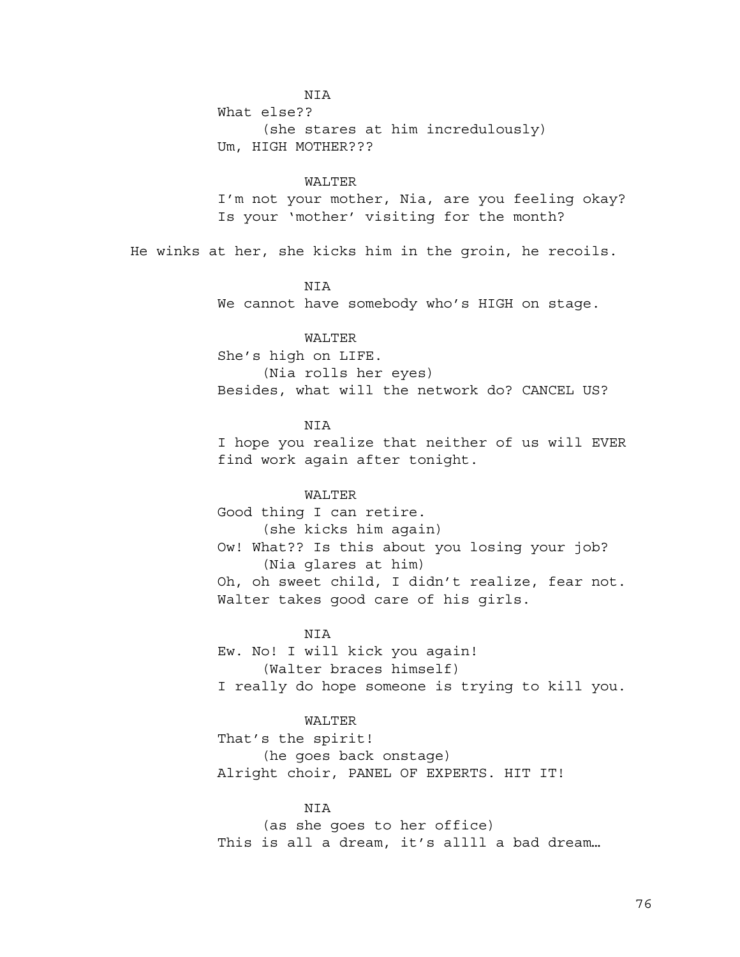NIA

What else?? (she stares at him incredulously) Um, HIGH MOTHER???

### WALTER

I'm not your mother, Nia, are you feeling okay? Is your 'mother' visiting for the month?

He winks at her, she kicks him in the groin, he recoils.

# NIA

We cannot have somebody who's HIGH on stage.

# WALTER

She's high on LIFE. (Nia rolls her eyes) Besides, what will the network do? CANCEL US?

# **NTA**

I hope you realize that neither of us will EVER find work again after tonight.

# WALTER

Good thing I can retire. (she kicks him again) Ow! What?? Is this about you losing your job? (Nia glares at him) Oh, oh sweet child, I didn't realize, fear not. Walter takes good care of his girls.

# NIA

Ew. No! I will kick you again! (Walter braces himself) I really do hope someone is trying to kill you.

# WALTER

That's the spirit! (he goes back onstage) Alright choir, PANEL OF EXPERTS. HIT IT!

# **NTA**

(as she goes to her office) This is all a dream, it's allll a bad dream...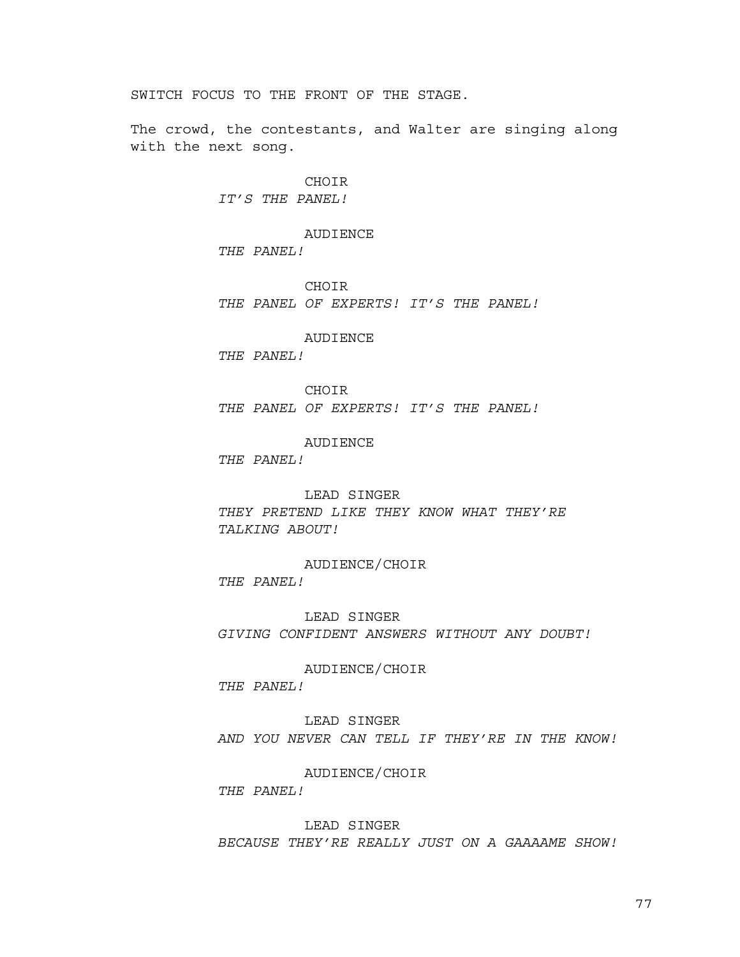SWITCH FOCUS TO THE FRONT OF THE STAGE.

The crowd, the contestants, and Walter are singing along with the next song.

> CHOIR *IT'S THE PANEL!*

AUDIENCE *THE PANEL!*

CHOIR *THE PANEL OF EXPERTS! IT'S THE PANEL!*

AUDIENCE

*THE PANEL!*

CHOIR *THE PANEL OF EXPERTS! IT'S THE PANEL!*

AUDIENCE

*THE PANEL!*

LEAD SINGER

*THEY PRETEND LIKE THEY KNOW WHAT THEY'RE TALKING ABOUT!*

AUDIENCE/CHOIR *THE PANEL!*

LEAD SINGER *GIVING CONFIDENT ANSWERS WITHOUT ANY DOUBT!*

AUDIENCE/CHOIR *THE PANEL!*

LEAD SINGER *AND YOU NEVER CAN TELL IF THEY'RE IN THE KNOW!*

AUDIENCE/CHOIR

*THE PANEL!*

LEAD SINGER

*BECAUSE THEY'RE REALLY JUST ON A GAAAAME SHOW!*

77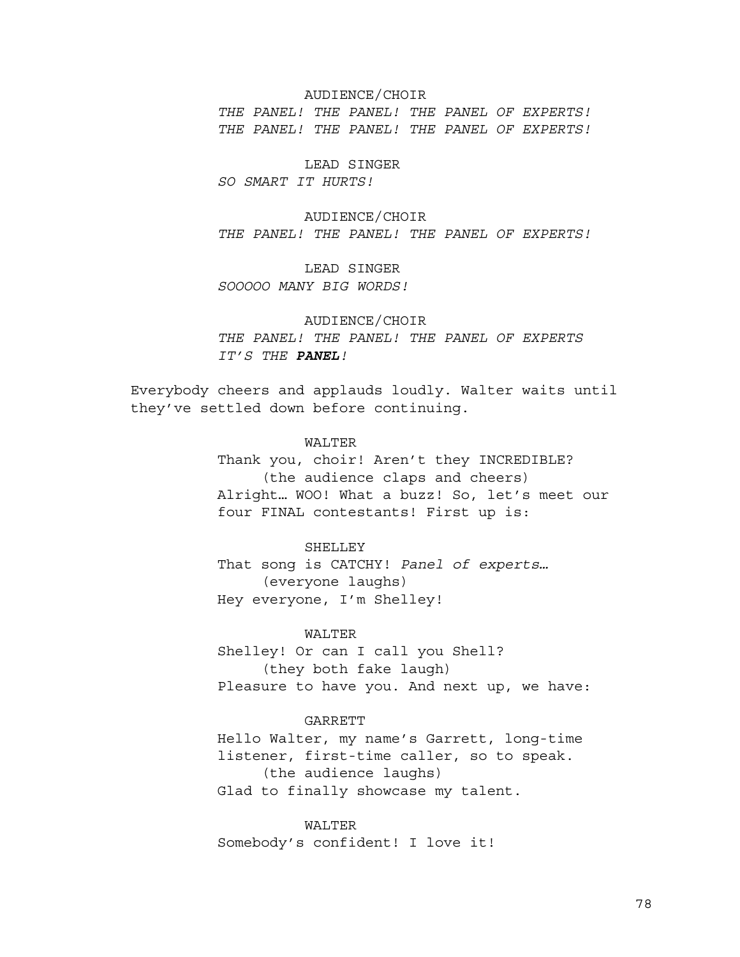# AUDIENCE/CHOIR

*THE PANEL! THE PANEL! THE PANEL OF EXPERTS! THE PANEL! THE PANEL! THE PANEL OF EXPERTS!*

LEAD SINGER

*SO SMART IT HURTS!*

AUDIENCE/CHOIR *THE PANEL! THE PANEL! THE PANEL OF EXPERTS!*

LEAD SINGER *SOOOOO MANY BIG WORDS!*

# AUDIENCE/CHOIR *THE PANEL! THE PANEL! THE PANEL OF EXPERTS IT'S THE PANEL!*

Everybody cheers and applauds loudly. Walter waits until they've settled down before continuing.

> WALTER Thank you, choir! Aren't they INCREDIBLE? (the audience claps and cheers) Alright… WOO! What a buzz! So, let's meet our four FINAL contestants! First up is:

# SHELLEY

That song is CATCHY! *Panel of experts…* (everyone laughs) Hey everyone, I'm Shelley!

# WALTER

Shelley! Or can I call you Shell? (they both fake laugh) Pleasure to have you. And next up, we have:

# **GARRETT**

Hello Walter, my name's Garrett, long-time listener, first-time caller, so to speak. (the audience laughs) Glad to finally showcase my talent.

WALTER Somebody's confident! I love it!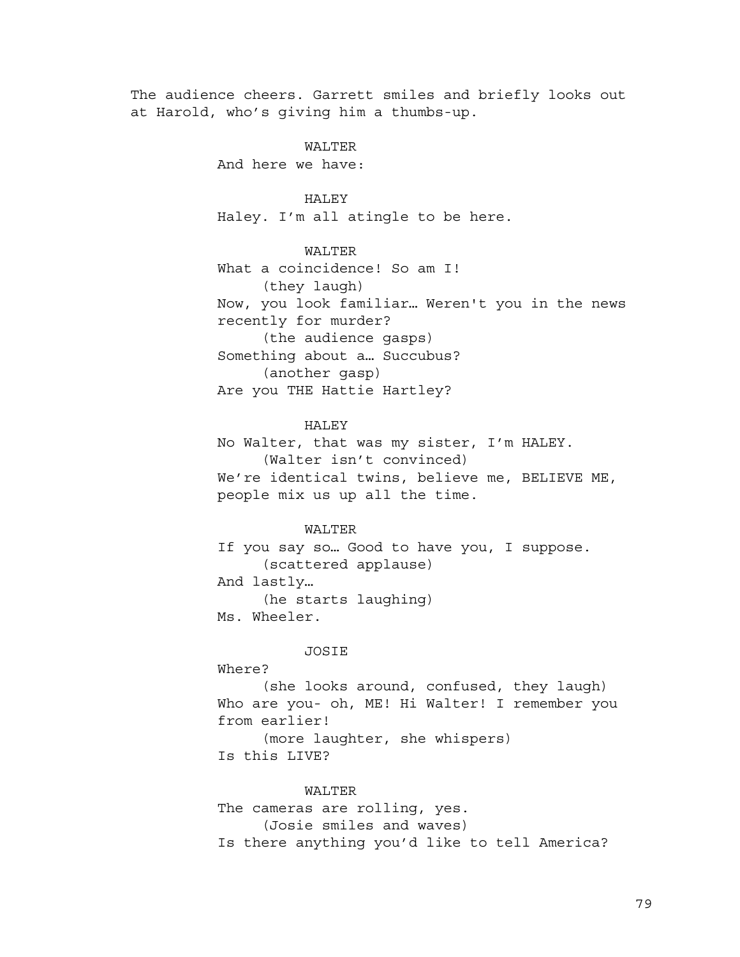The audience cheers. Garrett smiles and briefly looks out at Harold, who's giving him a thumbs-up.

WALTER

And here we have:

# HALEY

Haley. I'm all atingle to be here.

WALTER

What a coincidence! So am I! (they laugh) Now, you look familiar… Weren't you in the news recently for murder? (the audience gasps) Something about a… Succubus? (another gasp) Are you THE Hattie Hartley?

# HALEY

No Walter, that was my sister, I'm HALEY. (Walter isn't convinced) We're identical twins, believe me, BELIEVE ME, people mix us up all the time.

### WALTER

If you say so… Good to have you, I suppose. (scattered applause) And lastly… (he starts laughing) Ms. Wheeler.

## JOSIE

Where?

(she looks around, confused, they laugh) Who are you- oh, ME! Hi Walter! I remember you from earlier! (more laughter, she whispers)

Is this LIVE?

# WALTER

The cameras are rolling, yes. (Josie smiles and waves) Is there anything you'd like to tell America?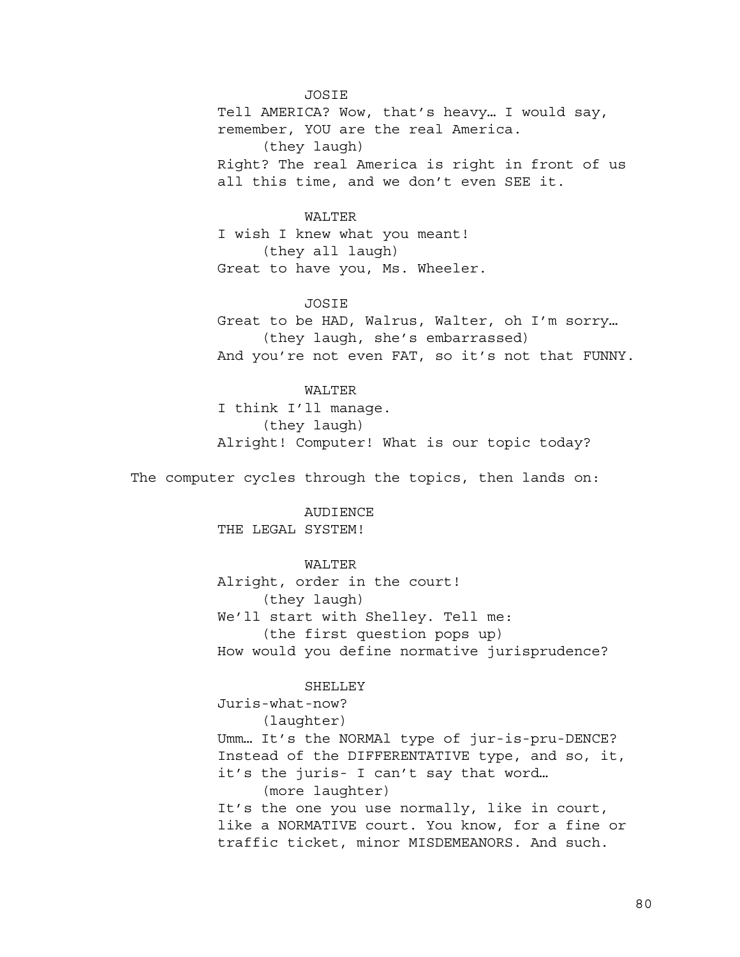JOSIE

Tell AMERICA? Wow, that's heavy… I would say, remember, YOU are the real America. (they laugh) Right? The real America is right in front of us all this time, and we don't even SEE it.

WALTER

I wish I knew what you meant! (they all laugh) Great to have you, Ms. Wheeler.

JOSIE

Great to be HAD, Walrus, Walter, oh I'm sorry… (they laugh, she's embarrassed) And you're not even FAT, so it's not that FUNNY.

WALTER

I think I'll manage. (they laugh) Alright! Computer! What is our topic today?

The computer cycles through the topics, then lands on:

AUDIENCE THE LEGAL SYSTEM!

WALTER

Alright, order in the court! (they laugh) We'll start with Shelley. Tell me: (the first question pops up) How would you define normative jurisprudence?

SHELLEY

Juris-what-now? (laughter) Umm… It's the NORMAl type of jur-is-pru-DENCE? Instead of the DIFFERENTATIVE type, and so, it, it's the juris- I can't say that word… (more laughter) It's the one you use normally, like in court, like a NORMATIVE court. You know, for a fine or traffic ticket, minor MISDEMEANORS. And such.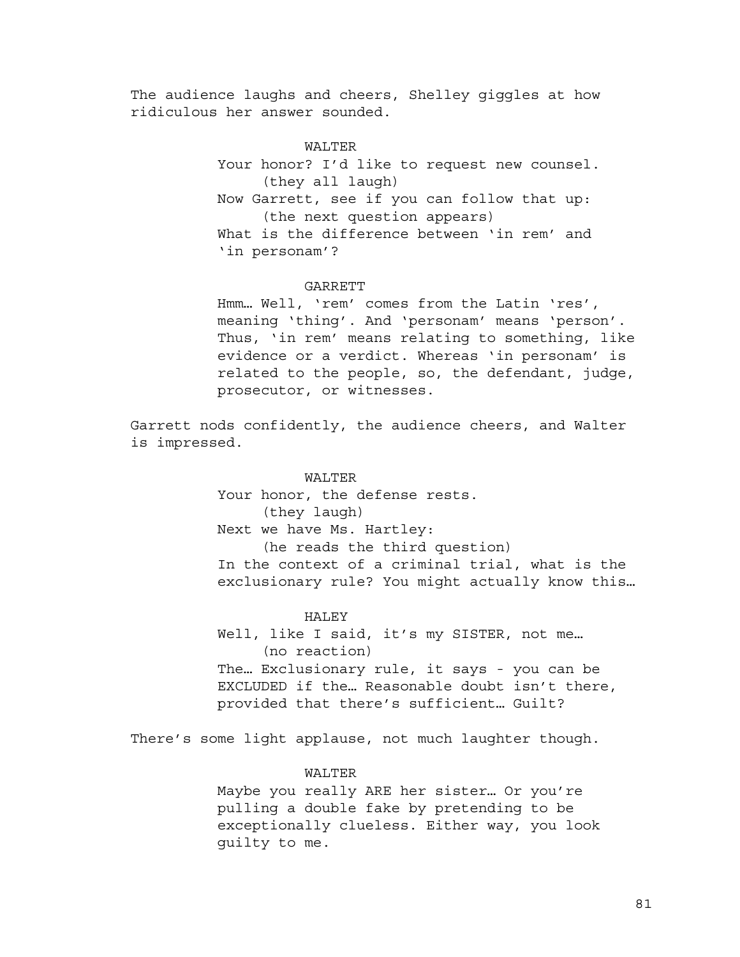The audience laughs and cheers, Shelley giggles at how ridiculous her answer sounded.

# WALTER

Your honor? I'd like to request new counsel. (they all laugh) Now Garrett, see if you can follow that up: (the next question appears) What is the difference between 'in rem' and 'in personam'?

#### GARRETT

Hmm… Well, 'rem' comes from the Latin 'res', meaning 'thing'. And 'personam' means 'person'. Thus, 'in rem' means relating to something, like evidence or a verdict. Whereas 'in personam' is related to the people, so, the defendant, judge, prosecutor, or witnesses.

Garrett nods confidently, the audience cheers, and Walter is impressed.

### WALTER

Your honor, the defense rests. (they laugh) Next we have Ms. Hartley: (he reads the third question) In the context of a criminal trial, what is the exclusionary rule? You might actually know this…

#### HALEY

Well, like I said, it's my SISTER, not me... (no reaction) The… Exclusionary rule, it says - you can be EXCLUDED if the… Reasonable doubt isn't there, provided that there's sufficient… Guilt?

There's some light applause, not much laughter though.

## WALTER

Maybe you really ARE her sister… Or you're pulling a double fake by pretending to be exceptionally clueless. Either way, you look guilty to me.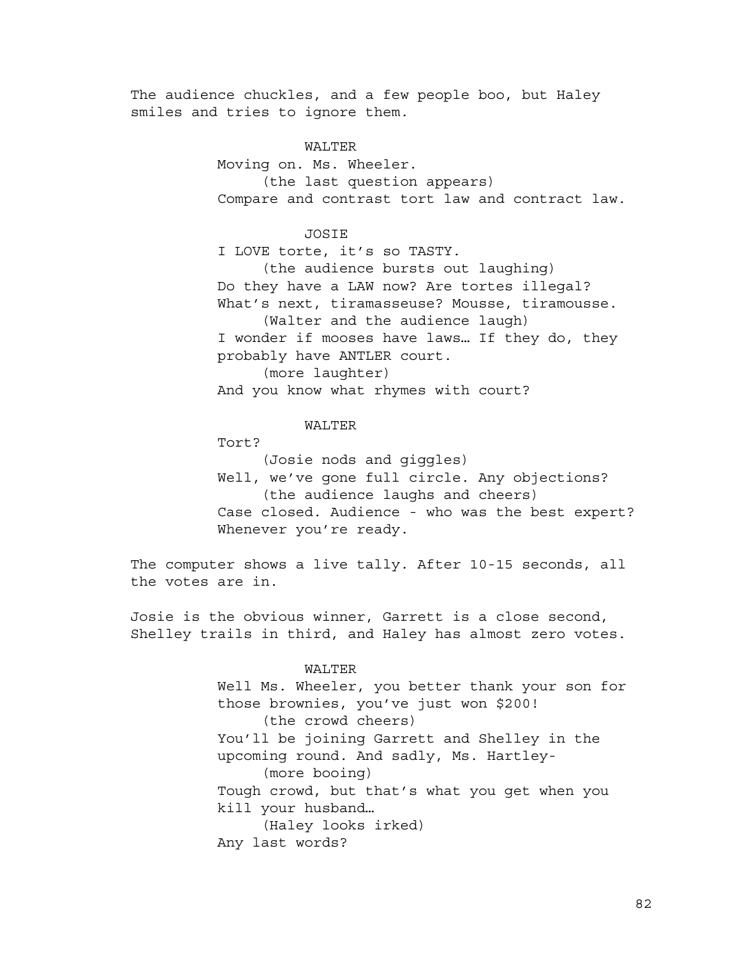The audience chuckles, and a few people boo, but Haley smiles and tries to ignore them.

> WALTER Moving on. Ms. Wheeler. (the last question appears) Compare and contrast tort law and contract law.

> > **JOSTE**

I LOVE torte, it's so TASTY.

(the audience bursts out laughing) Do they have a LAW now? Are tortes illegal? What's next, tiramasseuse? Mousse, tiramousse. (Walter and the audience laugh)

I wonder if mooses have laws… If they do, they probably have ANTLER court.

(more laughter)

And you know what rhymes with court?

# WALTER

Tort?

(Josie nods and giggles)

Well, we've gone full circle. Any objections? (the audience laughs and cheers)

Case closed. Audience - who was the best expert? Whenever you're ready.

The computer shows a live tally. After 10-15 seconds, all the votes are in.

Josie is the obvious winner, Garrett is a close second, Shelley trails in third, and Haley has almost zero votes.

## WALTER

Well Ms. Wheeler, you better thank your son for those brownies, you've just won \$200! (the crowd cheers) You'll be joining Garrett and Shelley in the upcoming round. And sadly, Ms. Hartley- (more booing) Tough crowd, but that's what you get when you kill your husband… (Haley looks irked) Any last words?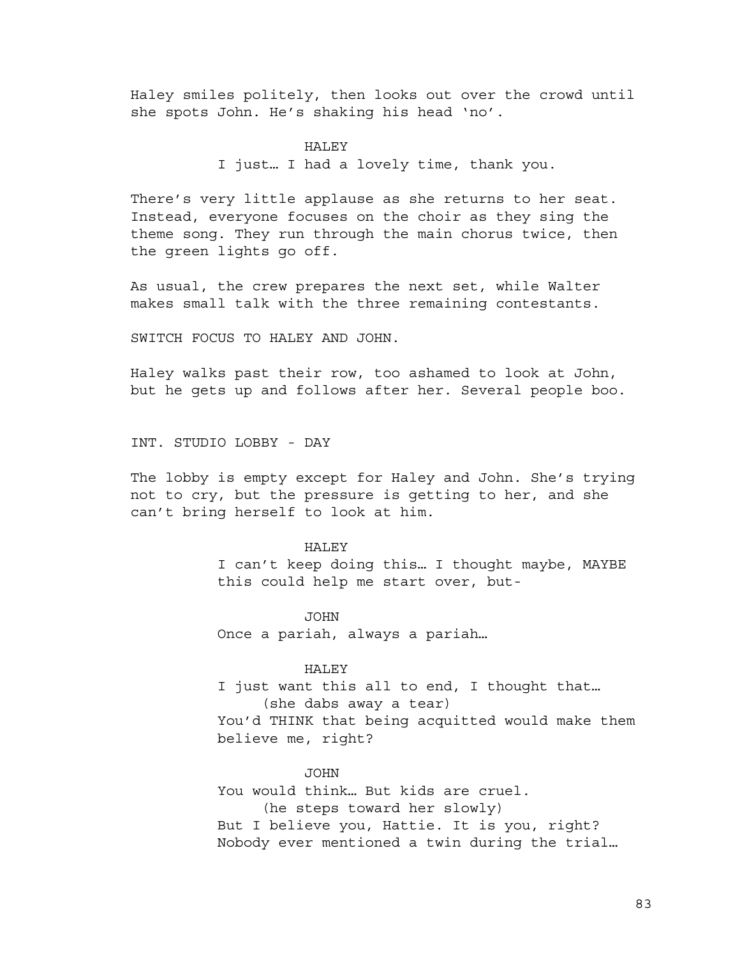Haley smiles politely, then looks out over the crowd until she spots John. He's shaking his head 'no'.

# HALEY

I just… I had a lovely time, thank you.

There's very little applause as she returns to her seat. Instead, everyone focuses on the choir as they sing the theme song. They run through the main chorus twice, then the green lights go off.

As usual, the crew prepares the next set, while Walter makes small talk with the three remaining contestants.

SWITCH FOCUS TO HALEY AND JOHN.

Haley walks past their row, too ashamed to look at John, but he gets up and follows after her. Several people boo.

INT. STUDIO LOBBY - DAY

The lobby is empty except for Haley and John. She's trying not to cry, but the pressure is getting to her, and she can't bring herself to look at him.

#### HALEY

I can't keep doing this… I thought maybe, MAYBE this could help me start over, but-

JOHN Once a pariah, always a pariah…

# HALEY

I just want this all to end, I thought that… (she dabs away a tear) You'd THINK that being acquitted would make them believe me, right?

#### **JOHN**

You would think… But kids are cruel. (he steps toward her slowly) But I believe you, Hattie. It is you, right? Nobody ever mentioned a twin during the trial…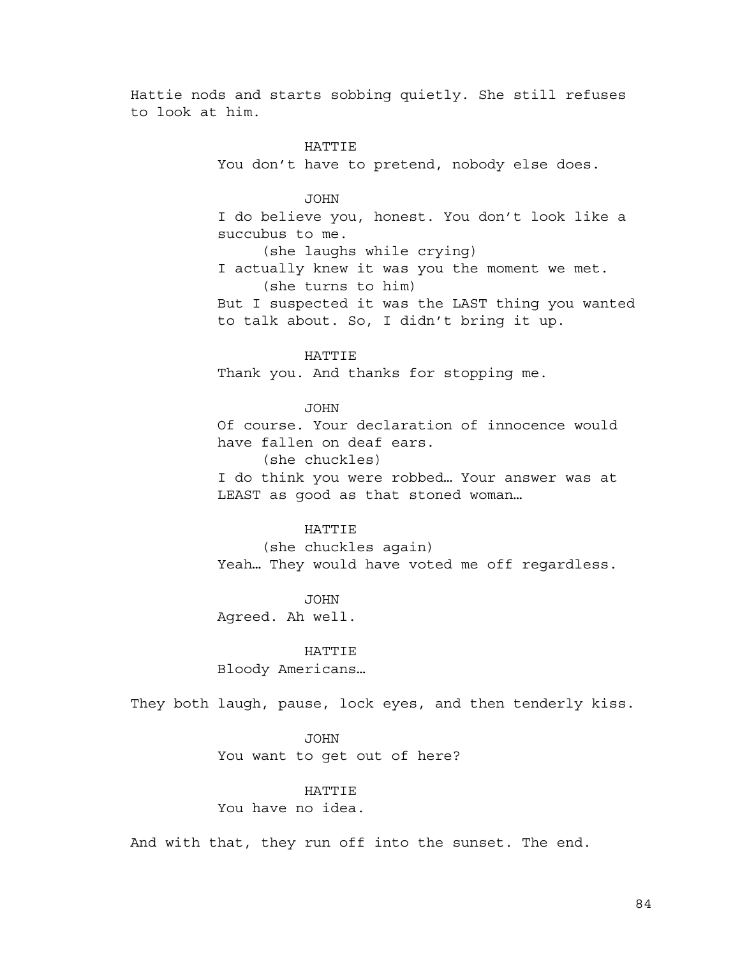Hattie nods and starts sobbing quietly. She still refuses to look at him.

# HATTIE

You don't have to pretend, nobody else does.

### JOHN

I do believe you, honest. You don't look like a succubus to me.

(she laughs while crying)

I actually knew it was you the moment we met. (she turns to him)

But I suspected it was the LAST thing you wanted to talk about. So, I didn't bring it up.

# **HATTIE**

Thank you. And thanks for stopping me.

### JOHN

Of course. Your declaration of innocence would have fallen on deaf ears. (she chuckles)

I do think you were robbed… Your answer was at LEAST as good as that stoned woman…

### HATTIE

(she chuckles again) Yeah… They would have voted me off regardless.

#### JOHN

Agreed. Ah well.

## HATTIE

Bloody Americans…

They both laugh, pause, lock eyes, and then tenderly kiss.

# JOHN

You want to get out of here?

# HATTIE

You have no idea.

And with that, they run off into the sunset. The end.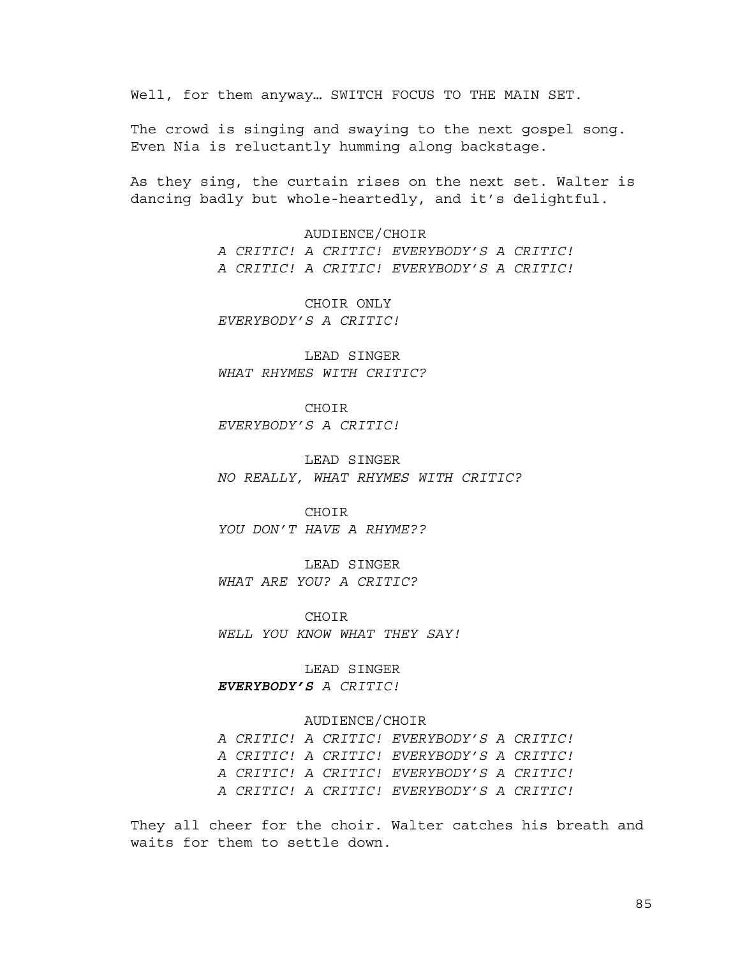Well, for them anyway… SWITCH FOCUS TO THE MAIN SET.

The crowd is singing and swaying to the next gospel song. Even Nia is reluctantly humming along backstage.

As they sing, the curtain rises on the next set. Walter is dancing badly but whole-heartedly, and it's delightful.

> AUDIENCE/CHOIR *A CRITIC! A CRITIC! EVERYBODY'S A CRITIC! A CRITIC! A CRITIC! EVERYBODY'S A CRITIC!*

CHOIR ONLY *EVERYBODY'S A CRITIC!*

LEAD SINGER *WHAT RHYMES WITH CRITIC?*

**CHOTR** *EVERYBODY'S A CRITIC!*

LEAD SINGER *NO REALLY, WHAT RHYMES WITH CRITIC?*

CHOIR *YOU DON'T HAVE A RHYME??*

LEAD SINGER *WHAT ARE YOU? A CRITIC?*

**CHOTR** *WELL YOU KNOW WHAT THEY SAY!*

LEAD SINGER *EVERYBODY'S A CRITIC!*

### AUDIENCE/CHOIR

*A CRITIC! A CRITIC! EVERYBODY'S A CRITIC! A CRITIC! A CRITIC! EVERYBODY'S A CRITIC! A CRITIC! A CRITIC! EVERYBODY'S A CRITIC! A CRITIC! A CRITIC! EVERYBODY'S A CRITIC!*

They all cheer for the choir. Walter catches his breath and waits for them to settle down.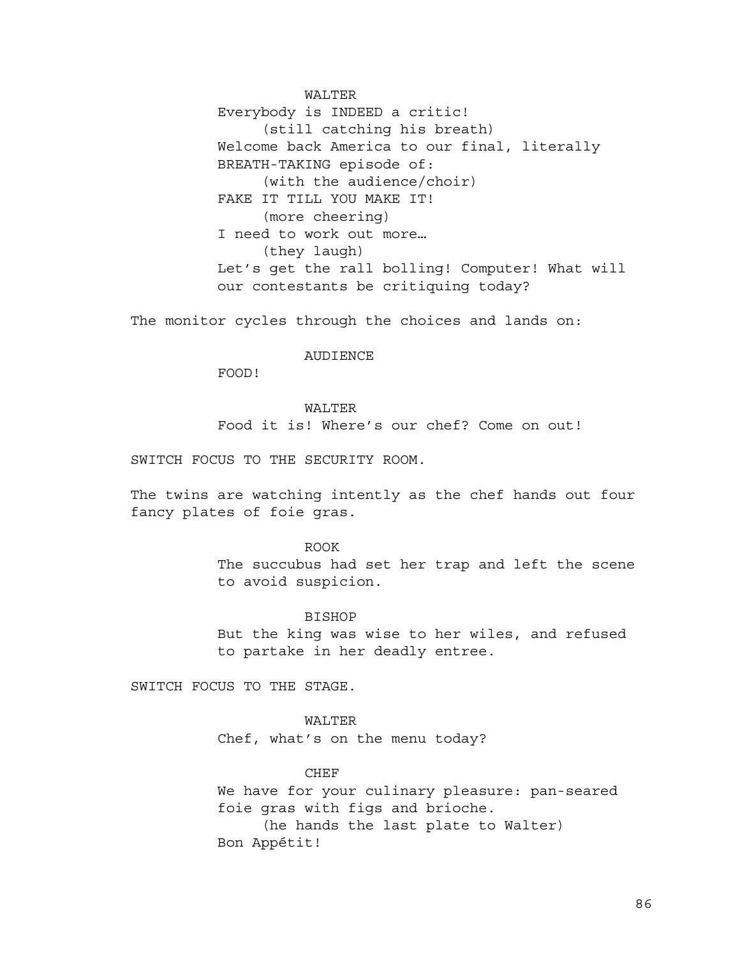WALTER Everybody is INDEED a critic! (still catching his breath) Welcome back America to our final, literally BREATH-TAKING episode of: (with the audience/choir) FAKE IT TILL YOU MAKE IT! (more cheering) I need to work out more… (they laugh) Let's get the rall bolling! Computer! What will our contestants be critiquing today?

The monitor cycles through the choices and lands on:

# **AUDIENCE**

FOOD!

# WALTER

Food it is! Where's our chef? Come on out!

SWITCH FOCUS TO THE SECURITY ROOM.

The twins are watching intently as the chef hands out four fancy plates of foie gras.

### ROOK

The succubus had set her trap and left the scene to avoid suspicion.

### **BISHOP**

But the king was wise to her wiles, and refused to partake in her deadly entree.

SWITCH FOCUS TO THE STAGE.

WALTER Chef, what's on the menu today?

## CHEF

We have for your culinary pleasure: pan-seared foie gras with figs and brioche. (he hands the last plate to Walter) Bon Appétit!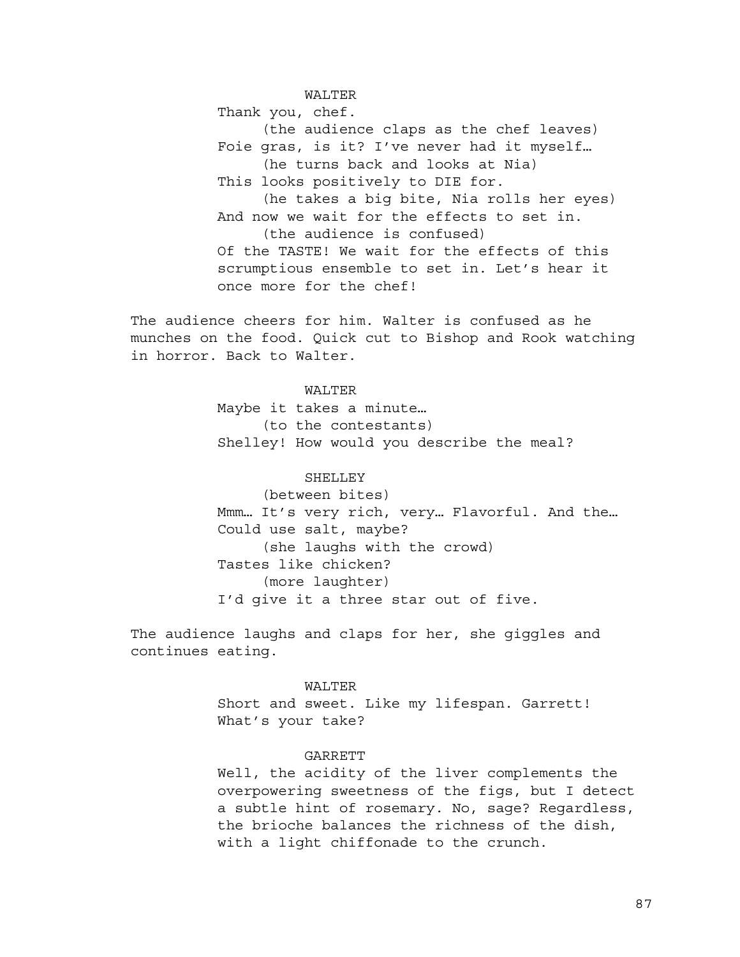WALTER

Thank you, chef.

(the audience claps as the chef leaves) Foie gras, is it? I've never had it myself… (he turns back and looks at Nia) This looks positively to DIE for. (he takes a big bite, Nia rolls her eyes) And now we wait for the effects to set in. (the audience is confused) Of the TASTE! We wait for the effects of this scrumptious ensemble to set in. Let's hear it once more for the chef!

The audience cheers for him. Walter is confused as he munches on the food. Quick cut to Bishop and Rook watching in horror. Back to Walter.

# WALTER

Maybe it takes a minute… (to the contestants) Shelley! How would you describe the meal?

### SHELLEY

(between bites) Mmm… It's very rich, very… Flavorful. And the… Could use salt, maybe? (she laughs with the crowd) Tastes like chicken? (more laughter) I'd give it a three star out of five.

The audience laughs and claps for her, she giggles and continues eating.

### WALTER

Short and sweet. Like my lifespan. Garrett! What's your take?

#### **GARRETT**

Well, the acidity of the liver complements the overpowering sweetness of the figs, but I detect a subtle hint of rosemary. No, sage? Regardless, the brioche balances the richness of the dish, with a light chiffonade to the crunch.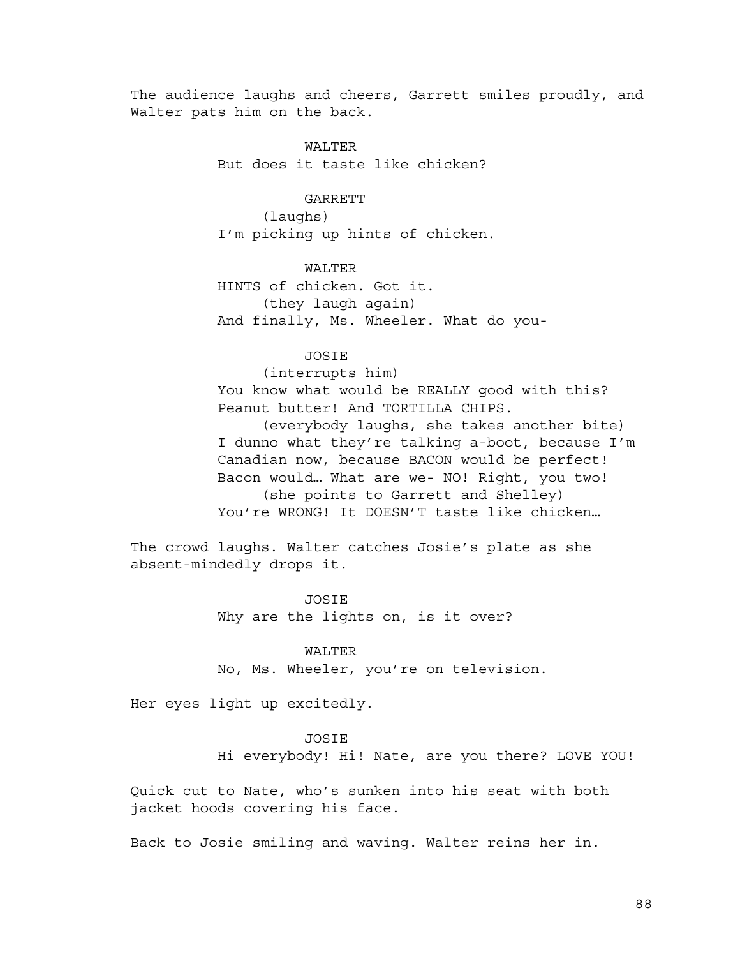The audience laughs and cheers, Garrett smiles proudly, and Walter pats him on the back.

> WALTER But does it taste like chicken?

**GARRETT** (laughs) I'm picking up hints of chicken.

WALTER HINTS of chicken. Got it. (they laugh again) And finally, Ms. Wheeler. What do you-

JOSIE

(interrupts him)

You know what would be REALLY good with this? Peanut butter! And TORTILLA CHIPS.

(everybody laughs, she takes another bite) I dunno what they're talking a-boot, because I'm Canadian now, because BACON would be perfect! Bacon would… What are we- NO! Right, you two! (she points to Garrett and Shelley) You're WRONG! It DOESN'T taste like chicken…

The crowd laughs. Walter catches Josie's plate as she absent-mindedly drops it.

> JOSIE Why are the lights on, is it over?

> > WALTER

No, Ms. Wheeler, you're on television.

Her eyes light up excitedly.

### JOSIE

Hi everybody! Hi! Nate, are you there? LOVE YOU!

Quick cut to Nate, who's sunken into his seat with both jacket hoods covering his face.

Back to Josie smiling and waving. Walter reins her in.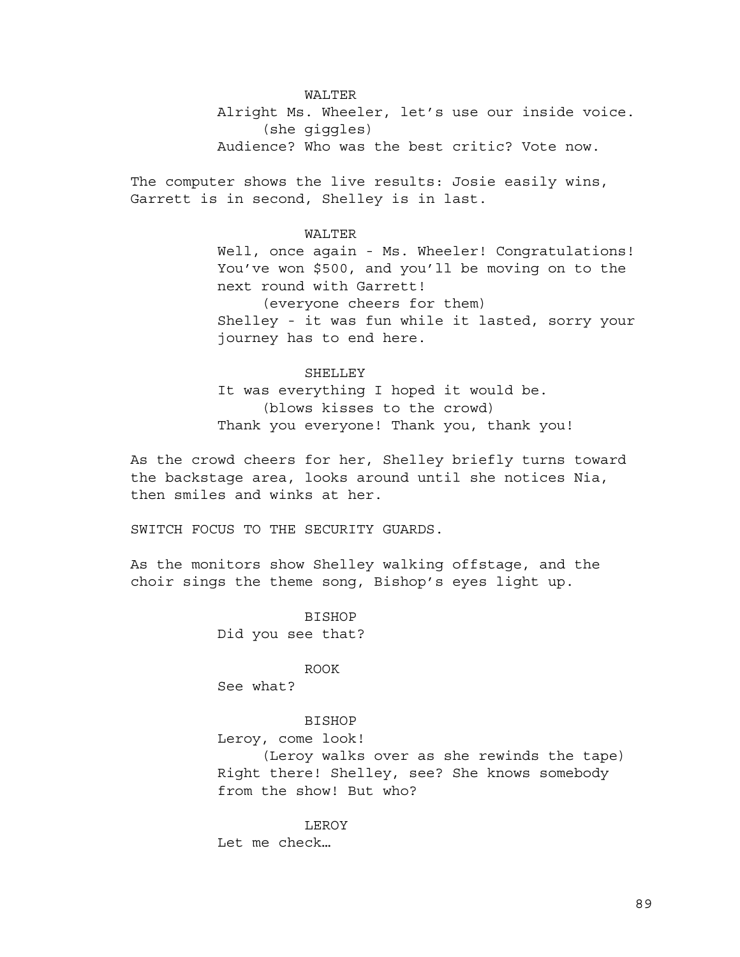WALTER Alright Ms. Wheeler, let's use our inside voice. (she giggles) Audience? Who was the best critic? Vote now.

The computer shows the live results: Josie easily wins, Garrett is in second, Shelley is in last.

# WALTER

Well, once again - Ms. Wheeler! Congratulations! You've won \$500, and you'll be moving on to the next round with Garrett! (everyone cheers for them) Shelley - it was fun while it lasted, sorry your journey has to end here.

# SHELLEY

It was everything I hoped it would be. (blows kisses to the crowd) Thank you everyone! Thank you, thank you!

As the crowd cheers for her, Shelley briefly turns toward the backstage area, looks around until she notices Nia, then smiles and winks at her.

SWITCH FOCUS TO THE SECURITY GUARDS.

As the monitors show Shelley walking offstage, and the choir sings the theme song, Bishop's eyes light up.

> **BISHOP** Did you see that?

ROOK See what?

### BISHOP

Leroy, come look!

(Leroy walks over as she rewinds the tape) Right there! Shelley, see? She knows somebody from the show! But who?

LEROY Let me check…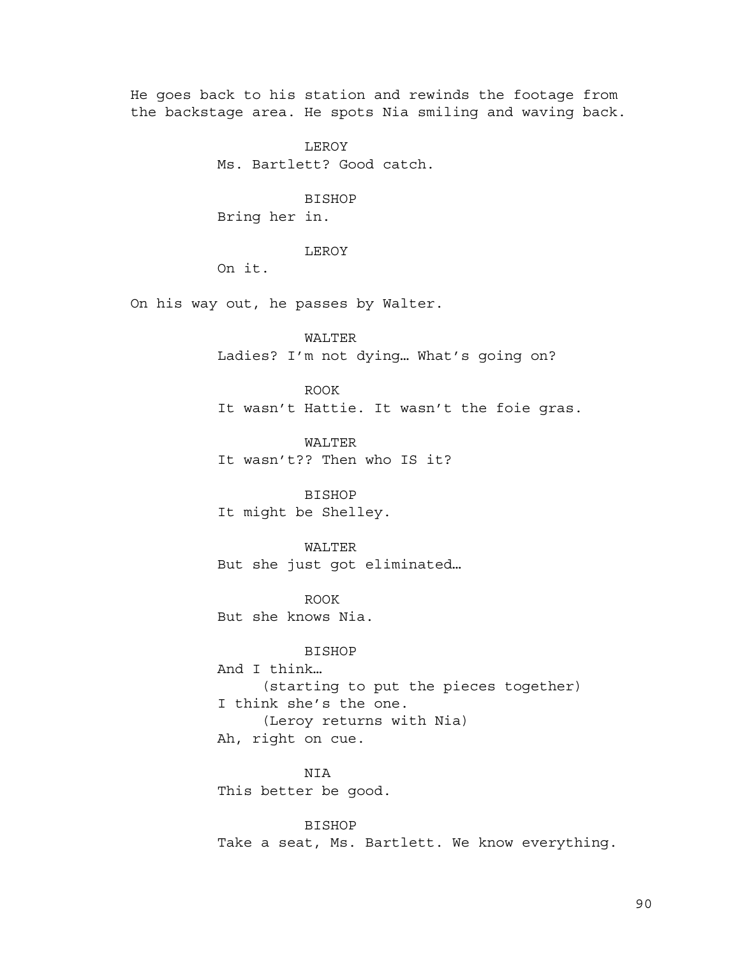He goes back to his station and rewinds the footage from the backstage area. He spots Nia smiling and waving back.

> LEROY Ms. Bartlett? Good catch.

# BISHOP

Bring her in.

# LEROY

On it.

On his way out, he passes by Walter.

WALTER Ladies? I'm not dying… What's going on?

ROOK It wasn't Hattie. It wasn't the foie gras.

WALTER It wasn't?? Then who IS it?

**BISHOP** It might be Shelley.

WALTER But she just got eliminated…

ROOK But she knows Nia.

BISHOP And I think… (starting to put the pieces together) I think she's the one. (Leroy returns with Nia) Ah, right on cue.

NIA This better be good.

BISHOP Take a seat, Ms. Bartlett. We know everything.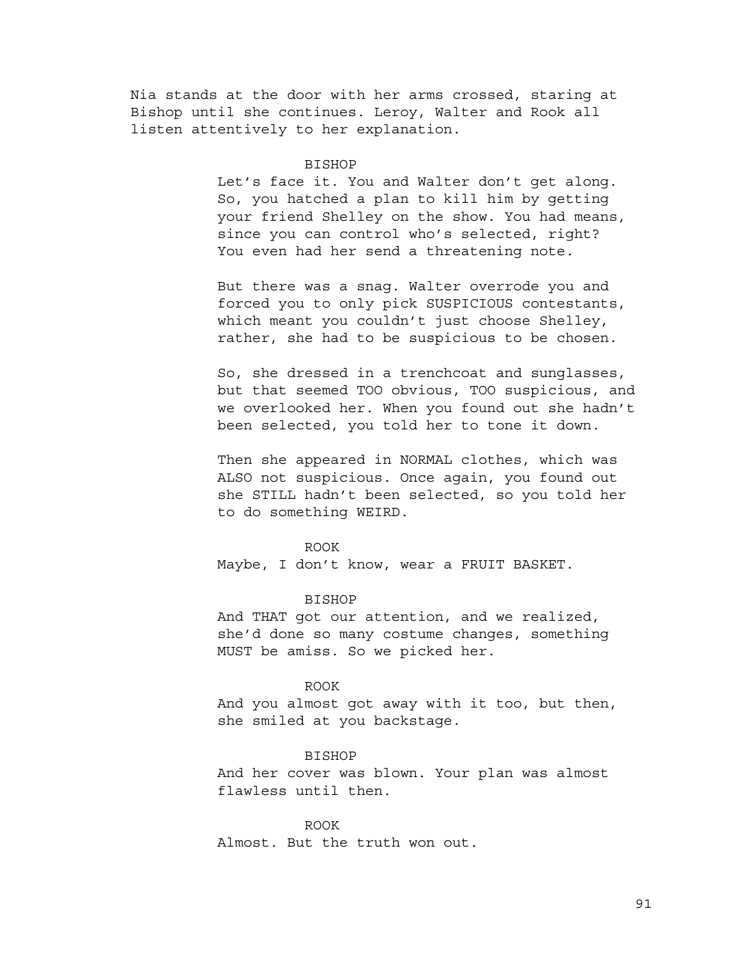Nia stands at the door with her arms crossed, staring at Bishop until she continues. Leroy, Walter and Rook all listen attentively to her explanation.

#### BISHOP

Let's face it. You and Walter don't get along. So, you hatched a plan to kill him by getting your friend Shelley on the show. You had means, since you can control who's selected, right? You even had her send a threatening note.

But there was a snag. Walter overrode you and forced you to only pick SUSPICIOUS contestants, which meant you couldn't just choose Shelley, rather, she had to be suspicious to be chosen.

So, she dressed in a trenchcoat and sunglasses, but that seemed TOO obvious, TOO suspicious, and we overlooked her. When you found out she hadn't been selected, you told her to tone it down.

Then she appeared in NORMAL clothes, which was ALSO not suspicious. Once again, you found out she STILL hadn't been selected, so you told her to do something WEIRD.

### ROOK

Maybe, I don't know, wear a FRUIT BASKET.

#### BISHOP

And THAT got our attention, and we realized, she'd done so many costume changes, something MUST be amiss. So we picked her.

### ROOK

And you almost got away with it too, but then, she smiled at you backstage.

#### BISHOP

And her cover was blown. Your plan was almost flawless until then.

ROOK Almost. But the truth won out.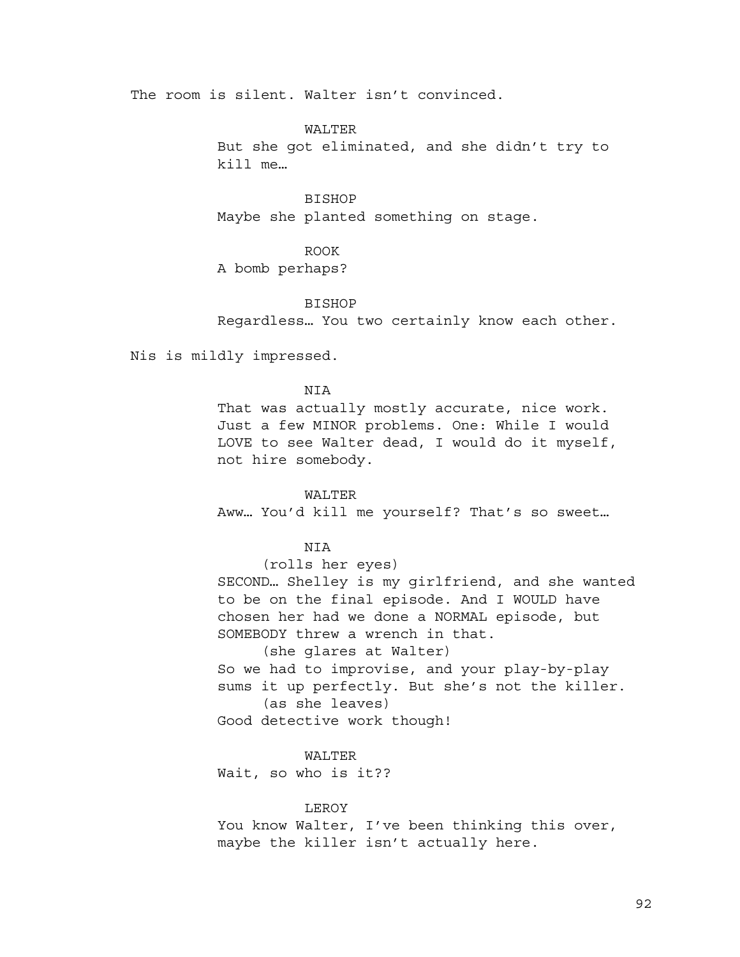The room is silent. Walter isn't convinced.

# WALTER

But she got eliminated, and she didn't try to kill me…

# BISHOP

Maybe she planted something on stage.

# ROOK

A bomb perhaps?

#### BISHOP

Regardless… You two certainly know each other.

Nis is mildly impressed.

### NIA

That was actually mostly accurate, nice work. Just a few MINOR problems. One: While I would LOVE to see Walter dead, I would do it myself, not hire somebody.

# WALTER

Aww… You'd kill me yourself? That's so sweet…

# **NTA**

(rolls her eyes) SECOND… Shelley is my girlfriend, and she wanted to be on the final episode. And I WOULD have chosen her had we done a NORMAL episode, but SOMEBODY threw a wrench in that.

(she glares at Walter) So we had to improvise, and your play-by-play sums it up perfectly. But she's not the killer. (as she leaves)

Good detective work though!

#### WALTER

Wait, so who is it??

### LEROY

You know Walter, I've been thinking this over, maybe the killer isn't actually here.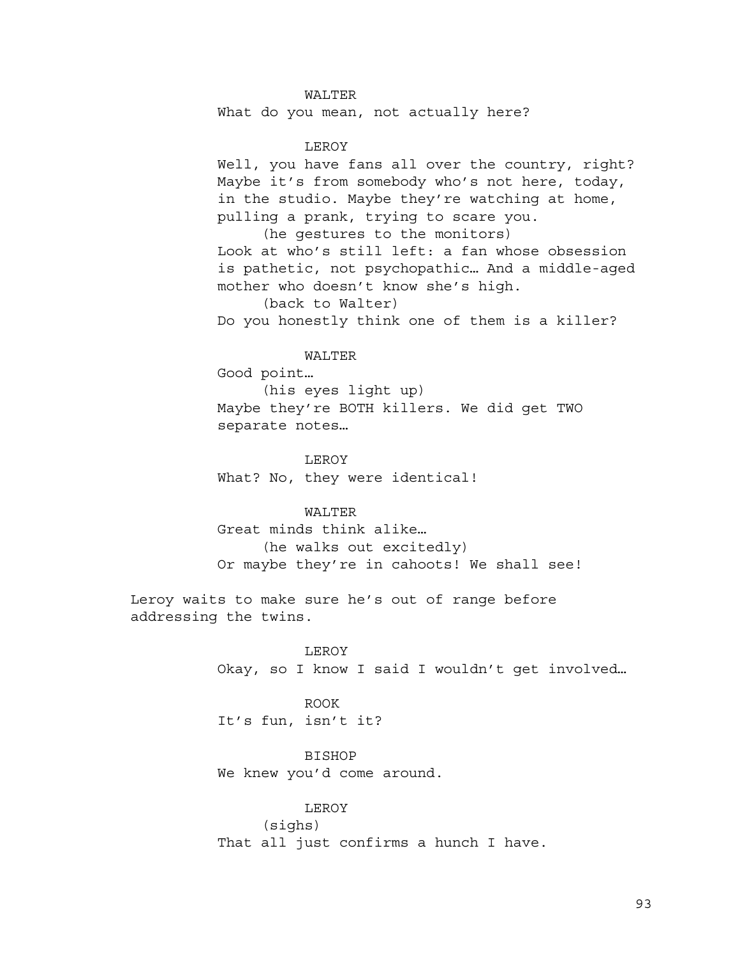# WALTER

What do you mean, not actually here?

# LEROY

Well, you have fans all over the country, right? Maybe it's from somebody who's not here, today, in the studio. Maybe they're watching at home, pulling a prank, trying to scare you.

(he gestures to the monitors) Look at who's still left: a fan whose obsession is pathetic, not psychopathic… And a middle-aged mother who doesn't know she's high.

(back to Walter)

Do you honestly think one of them is a killer?

WALTER

Good point…

(his eyes light up) Maybe they're BOTH killers. We did get TWO separate notes…

LEROY What? No, they were identical!

# WALTER

Great minds think alike… (he walks out excitedly) Or maybe they're in cahoots! We shall see!

Leroy waits to make sure he's out of range before addressing the twins.

> LEROY Okay, so I know I said I wouldn't get involved…

ROOK It's fun, isn't it?

BISHOP We knew you'd come around.

LEROY (sighs) That all just confirms a hunch I have.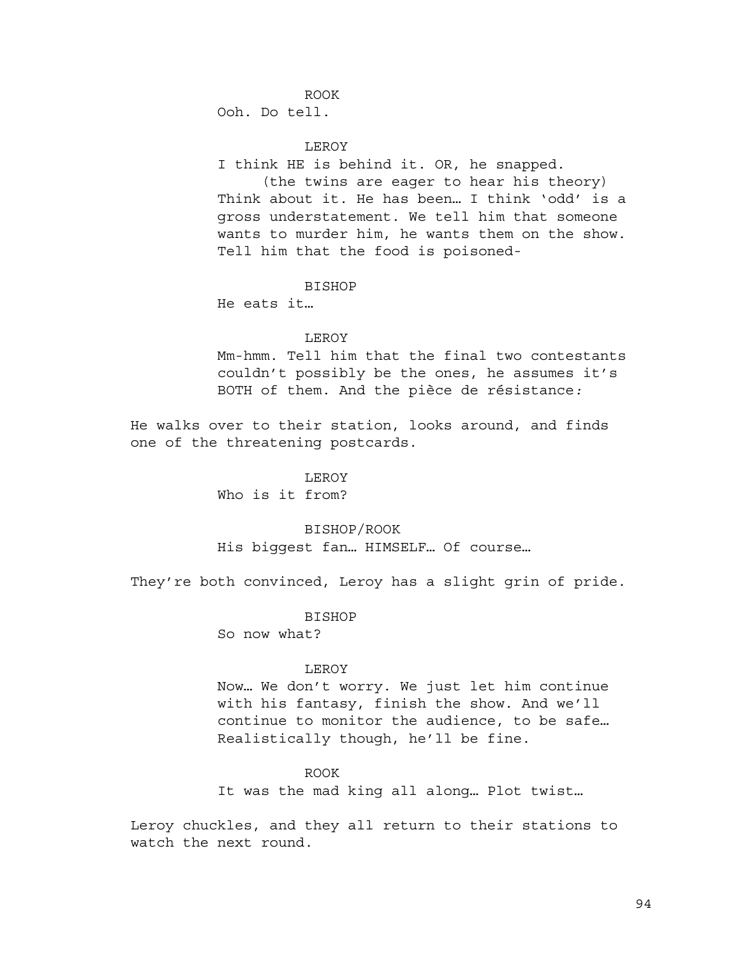ROOK

Ooh. Do tell.

LEROY

I think HE is behind it. OR, he snapped.

(the twins are eager to hear his theory) Think about it. He has been… I think 'odd' is a gross understatement. We tell him that someone wants to murder him, he wants them on the show. Tell him that the food is poisoned-

BISHOP

He eats it…

## LEROY

Mm-hmm. Tell him that the final two contestants couldn't possibly be the ones, he assumes it's BOTH of them. And the pièce de résistance*:*

He walks over to their station, looks around, and finds one of the threatening postcards.

LEROY

Who is it from?

### BISHOP/ROOK

His biggest fan… HIMSELF… Of course…

They're both convinced, Leroy has a slight grin of pride.

**BISHOP** 

So now what?

#### LEROY

Now… We don't worry. We just let him continue with his fantasy, finish the show. And we'll continue to monitor the audience, to be safe… Realistically though, he'll be fine.

### ROOK

It was the mad king all along… Plot twist…

Leroy chuckles, and they all return to their stations to watch the next round.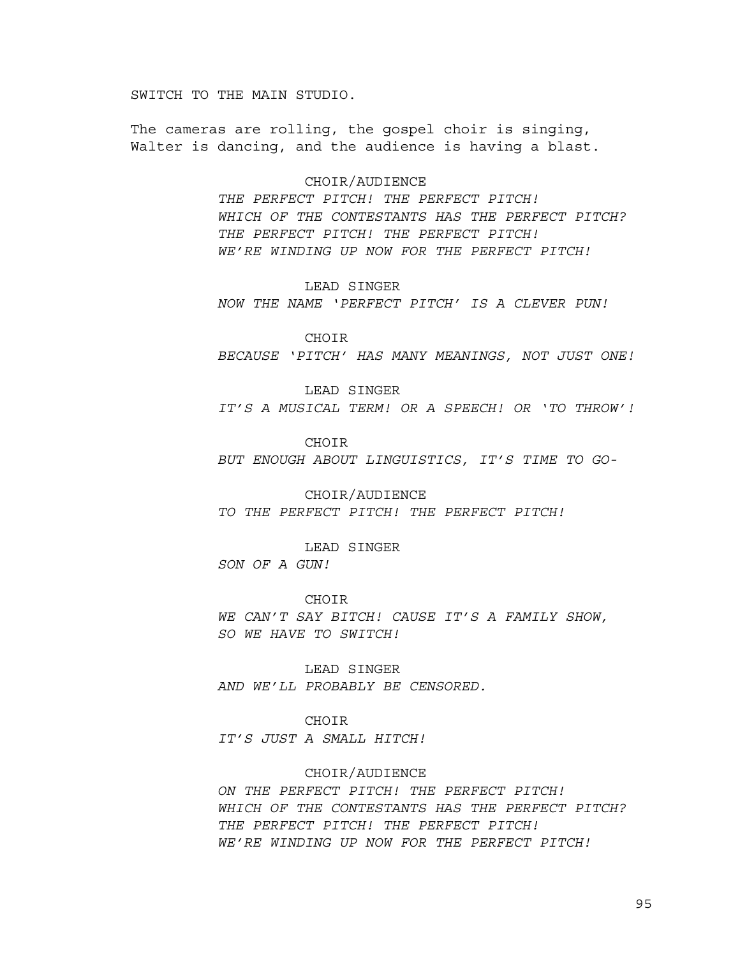SWITCH TO THE MAIN STUDIO.

The cameras are rolling, the gospel choir is singing, Walter is dancing, and the audience is having a blast.

### CHOIR/AUDIENCE

*THE PERFECT PITCH! THE PERFECT PITCH! WHICH OF THE CONTESTANTS HAS THE PERFECT PITCH? THE PERFECT PITCH! THE PERFECT PITCH! WE'RE WINDING UP NOW FOR THE PERFECT PITCH!*

LEAD SINGER

*NOW THE NAME 'PERFECT PITCH' IS A CLEVER PUN!*

CHOIR

*BECAUSE 'PITCH' HAS MANY MEANINGS, NOT JUST ONE!*

LEAD SINGER

*IT'S A MUSICAL TERM! OR A SPEECH! OR 'TO THROW'!*

CHOIR

*BUT ENOUGH ABOUT LINGUISTICS, IT'S TIME TO GO-*

CHOIR/AUDIENCE *TO THE PERFECT PITCH! THE PERFECT PITCH!*

LEAD SINGER

*SON OF A GUN!*

CHOIR

*WE CAN'T SAY BITCH! CAUSE IT'S A FAMILY SHOW, SO WE HAVE TO SWITCH!*

LEAD SINGER

*AND WE'LL PROBABLY BE CENSORED.*

CHOIR

*IT'S JUST A SMALL HITCH!*

## CHOIR/AUDIENCE

*ON THE PERFECT PITCH! THE PERFECT PITCH! WHICH OF THE CONTESTANTS HAS THE PERFECT PITCH? THE PERFECT PITCH! THE PERFECT PITCH! WE'RE WINDING UP NOW FOR THE PERFECT PITCH!*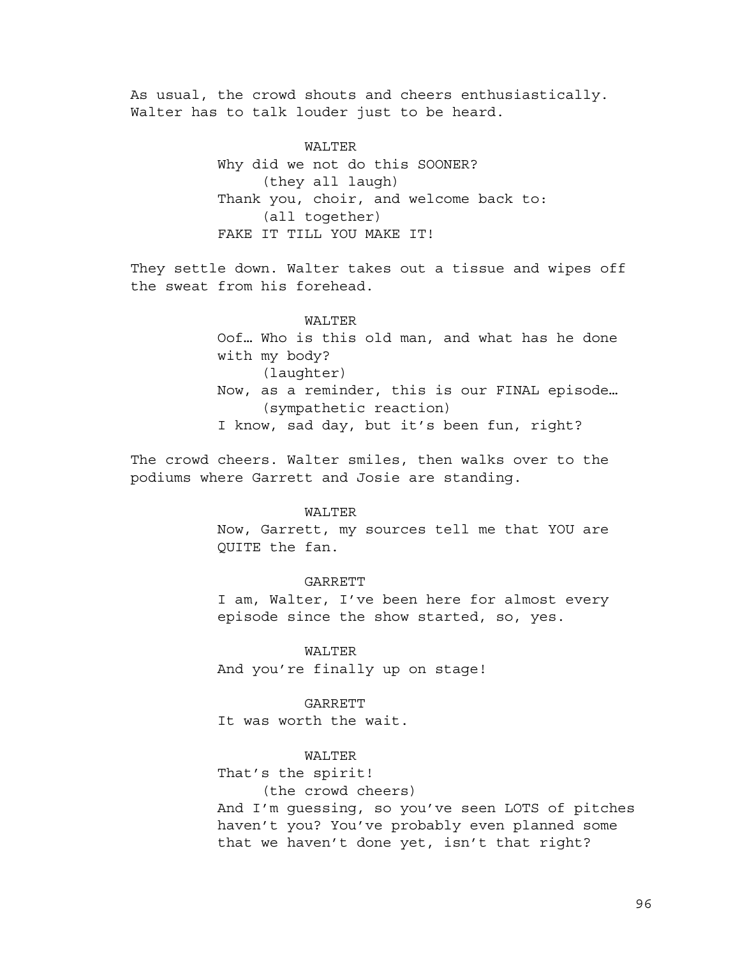As usual, the crowd shouts and cheers enthusiastically. Walter has to talk louder just to be heard.

> WALTER Why did we not do this SOONER? (they all laugh) Thank you, choir, and welcome back to: (all together) FAKE IT TILL YOU MAKE IT!

They settle down. Walter takes out a tissue and wipes off the sweat from his forehead.

# WALTER

Oof… Who is this old man, and what has he done with my body? (laughter) Now, as a reminder, this is our FINAL episode… (sympathetic reaction) I know, sad day, but it's been fun, right?

The crowd cheers. Walter smiles, then walks over to the podiums where Garrett and Josie are standing.

# WALTER

Now, Garrett, my sources tell me that YOU are QUITE the fan.

### **GARRETT**

I am, Walter, I've been here for almost every episode since the show started, so, yes.

WALTER

And you're finally up on stage!

### GARRETT

It was worth the wait.

# WALTER

That's the spirit!

(the crowd cheers)

And I'm guessing, so you've seen LOTS of pitches haven't you? You've probably even planned some that we haven't done yet, isn't that right?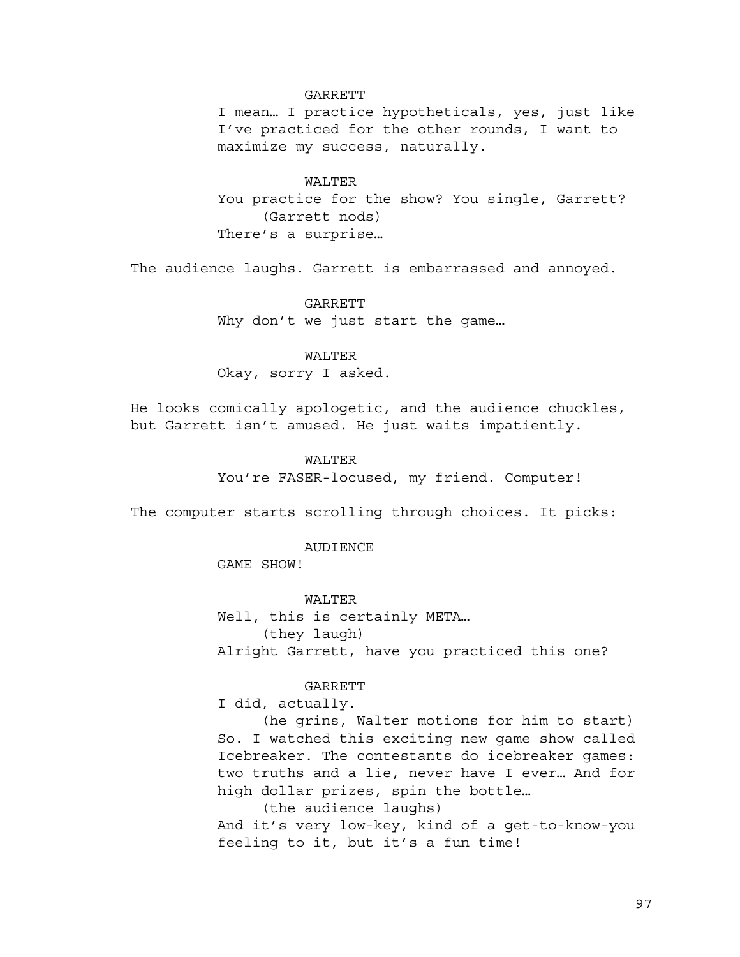### GARRETT

I mean… I practice hypotheticals, yes, just like I've practiced for the other rounds, I want to maximize my success, naturally.

WALTER You practice for the show? You single, Garrett? (Garrett nods) There's a surprise…

The audience laughs. Garrett is embarrassed and annoyed.

GARRETT Why don't we just start the game…

WALTER Okay, sorry I asked.

He looks comically apologetic, and the audience chuckles, but Garrett isn't amused. He just waits impatiently.

### WALTER

You're FASER-locused, my friend. Computer!

The computer starts scrolling through choices. It picks:

### AUDIENCE

GAME SHOW!

WALTER Well, this is certainly META… (they laugh) Alright Garrett, have you practiced this one?

# GARRETT

I did, actually.

(he grins, Walter motions for him to start) So. I watched this exciting new game show called Icebreaker. The contestants do icebreaker games: two truths and a lie, never have I ever… And for high dollar prizes, spin the bottle…

(the audience laughs) And it's very low-key, kind of a get-to-know-you feeling to it, but it's a fun time!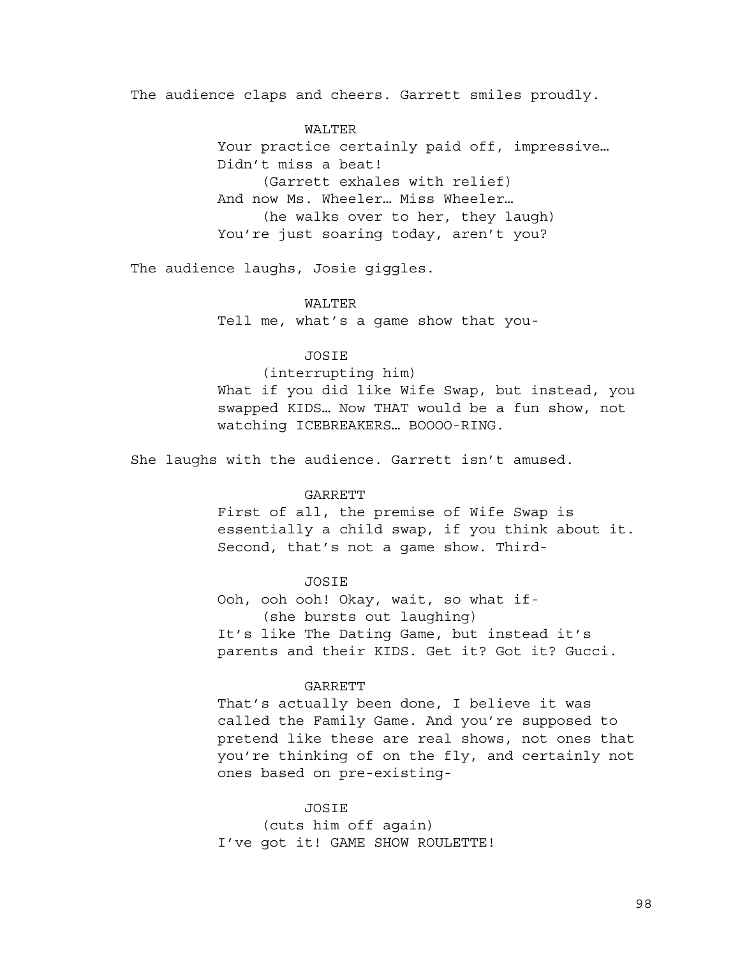The audience claps and cheers. Garrett smiles proudly.

WALTER Your practice certainly paid off, impressive... Didn't miss a beat! (Garrett exhales with relief) And now Ms. Wheeler… Miss Wheeler… (he walks over to her, they laugh) You're just soaring today, aren't you?

The audience laughs, Josie giggles.

### WALTER

Tell me, what's a game show that you-

# JOSIE

(interrupting him)

What if you did like Wife Swap, but instead, you swapped KIDS… Now THAT would be a fun show, not watching ICEBREAKERS… BOOOO-RING.

She laughs with the audience. Garrett isn't amused.

### **GARRETT**

First of all, the premise of Wife Swap is essentially a child swap, if you think about it. Second, that's not a game show. Third-

### JOSIE

Ooh, ooh ooh! Okay, wait, so what if- (she bursts out laughing) It's like The Dating Game, but instead it's parents and their KIDS. Get it? Got it? Gucci.

### GARRETT

That's actually been done, I believe it was called the Family Game. And you're supposed to pretend like these are real shows, not ones that you're thinking of on the fly, and certainly not ones based on pre-existing-

### JOSIE

(cuts him off again) I've got it! GAME SHOW ROULETTE!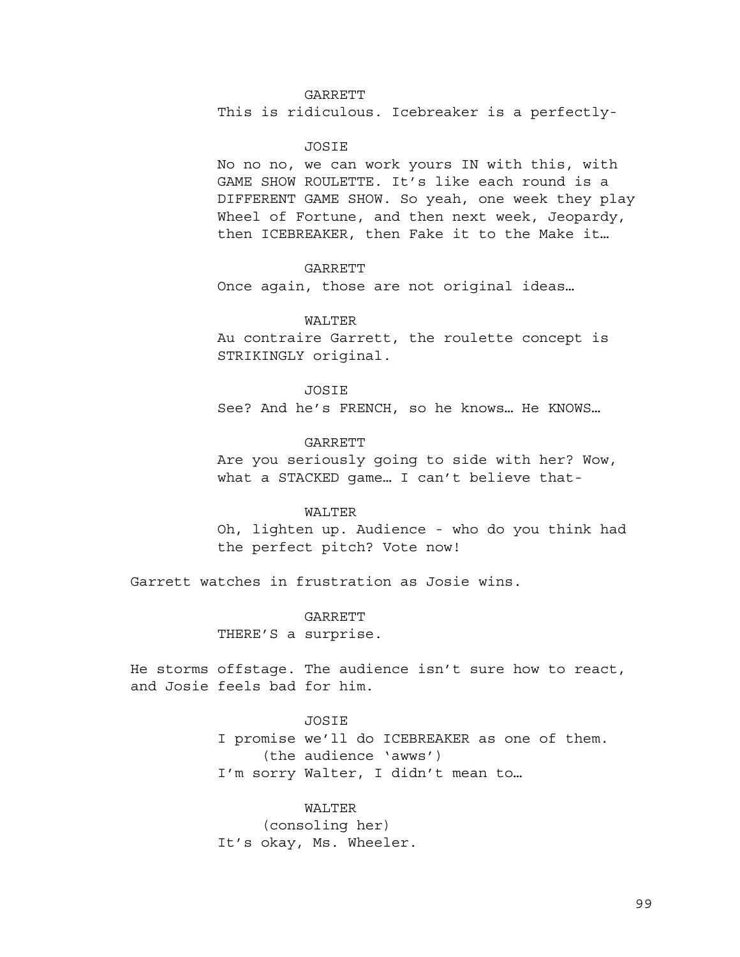# GARRETT

This is ridiculous. Icebreaker is a perfectly-

### JOSIE

No no no, we can work yours IN with this, with GAME SHOW ROULETTE. It's like each round is a DIFFERENT GAME SHOW. So yeah, one week they play Wheel of Fortune, and then next week, Jeopardy, then ICEBREAKER, then Fake it to the Make it…

### **GARRETT**

Once again, those are not original ideas…

### WALTER

Au contraire Garrett, the roulette concept is STRIKINGLY original.

#### JOSIE

See? And he's FRENCH, so he knows… He KNOWS…

GARRETT Are you seriously going to side with her? Wow, what a STACKED game… I can't believe that-

# WALTER

Oh, lighten up. Audience - who do you think had the perfect pitch? Vote now!

Garrett watches in frustration as Josie wins.

**GARRETT** 

THERE'S a surprise.

He storms offstage. The audience isn't sure how to react, and Josie feels bad for him.

### JOSIE

I promise we'll do ICEBREAKER as one of them. (the audience 'awws') I'm sorry Walter, I didn't mean to…

### WALTER

(consoling her) It's okay, Ms. Wheeler.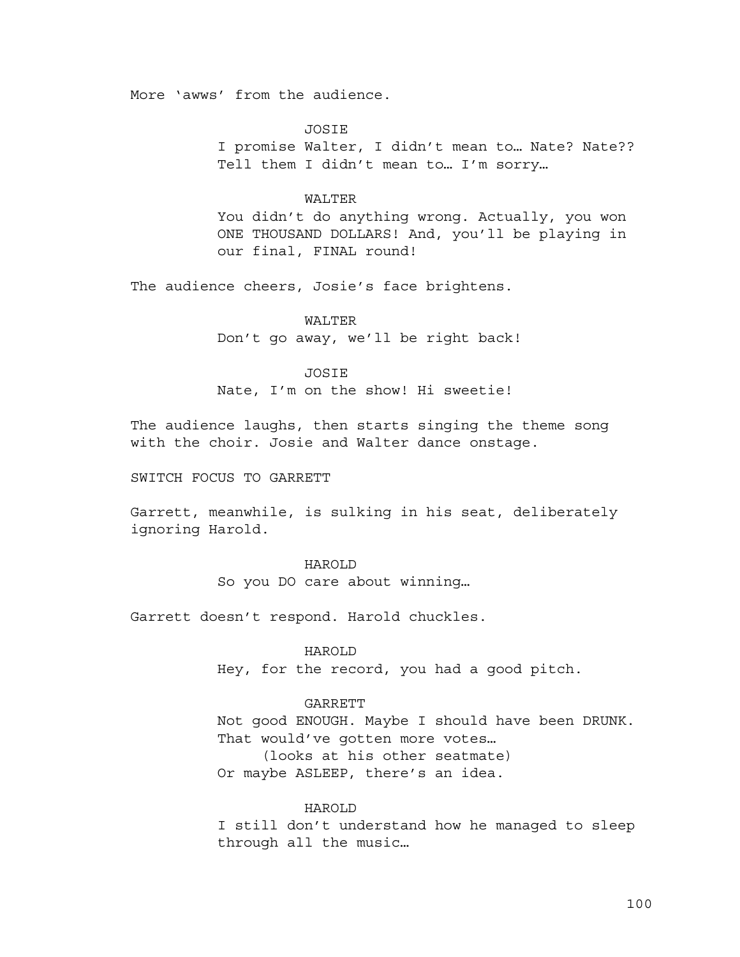More 'awws' from the audience.

JOSIE

I promise Walter, I didn't mean to… Nate? Nate?? Tell them I didn't mean to… I'm sorry…

# WALTER

You didn't do anything wrong. Actually, you won ONE THOUSAND DOLLARS! And, you'll be playing in our final, FINAL round!

The audience cheers, Josie's face brightens.

WALTER Don't go away, we'll be right back!

JOSIE

Nate, I'm on the show! Hi sweetie!

The audience laughs, then starts singing the theme song with the choir. Josie and Walter dance onstage.

SWITCH FOCUS TO GARRETT

Garrett, meanwhile, is sulking in his seat, deliberately ignoring Harold.

### HAROLD

So you DO care about winning…

Garrett doesn't respond. Harold chuckles.

# HAROLD

Hey, for the record, you had a good pitch.

### GARRETT

Not good ENOUGH. Maybe I should have been DRUNK. That would've gotten more votes… (looks at his other seatmate)

Or maybe ASLEEP, there's an idea.

# HAROLD

I still don't understand how he managed to sleep through all the music…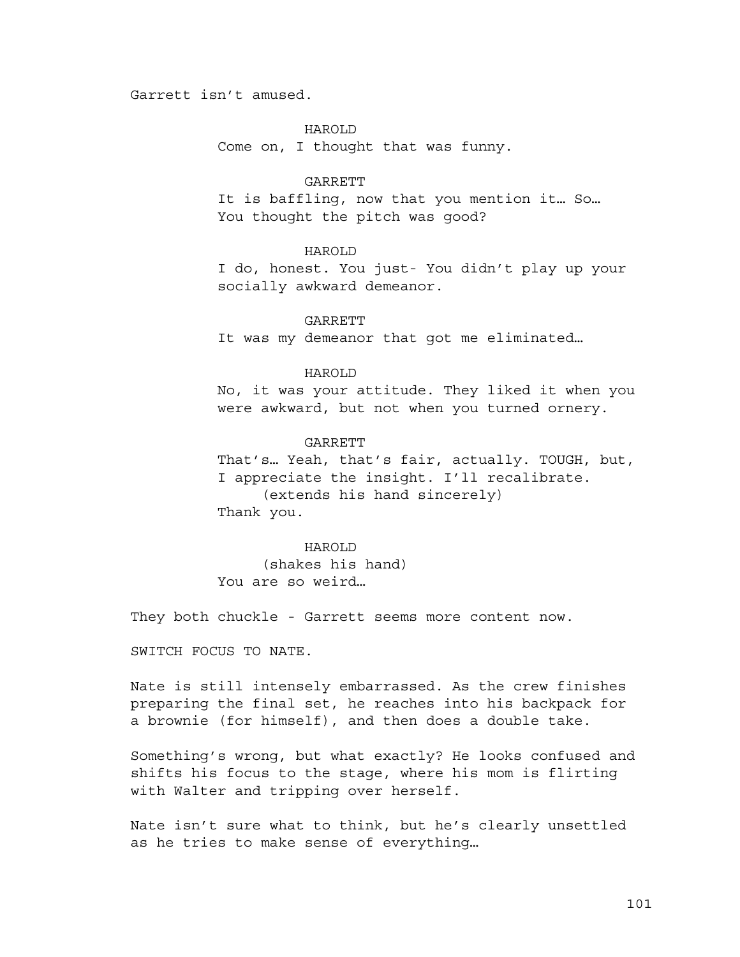# Garrett isn't amused.

# HAROLD

Come on, I thought that was funny.

#### GARRETT

It is baffling, now that you mention it… So… You thought the pitch was good?

# HAROLD

I do, honest. You just- You didn't play up your socially awkward demeanor.

GARRETT It was my demeanor that got me eliminated…

# HAROLD

No, it was your attitude. They liked it when you were awkward, but not when you turned ornery.

# GARRETT That's… Yeah, that's fair, actually. TOUGH, but, I appreciate the insight. I'll recalibrate. (extends his hand sincerely) Thank you.

# HAROLD

(shakes his hand) You are so weird…

They both chuckle - Garrett seems more content now.

SWITCH FOCUS TO NATE.

Nate is still intensely embarrassed. As the crew finishes preparing the final set, he reaches into his backpack for a brownie (for himself), and then does a double take.

Something's wrong, but what exactly? He looks confused and shifts his focus to the stage, where his mom is flirting with Walter and tripping over herself.

Nate isn't sure what to think, but he's clearly unsettled as he tries to make sense of everything…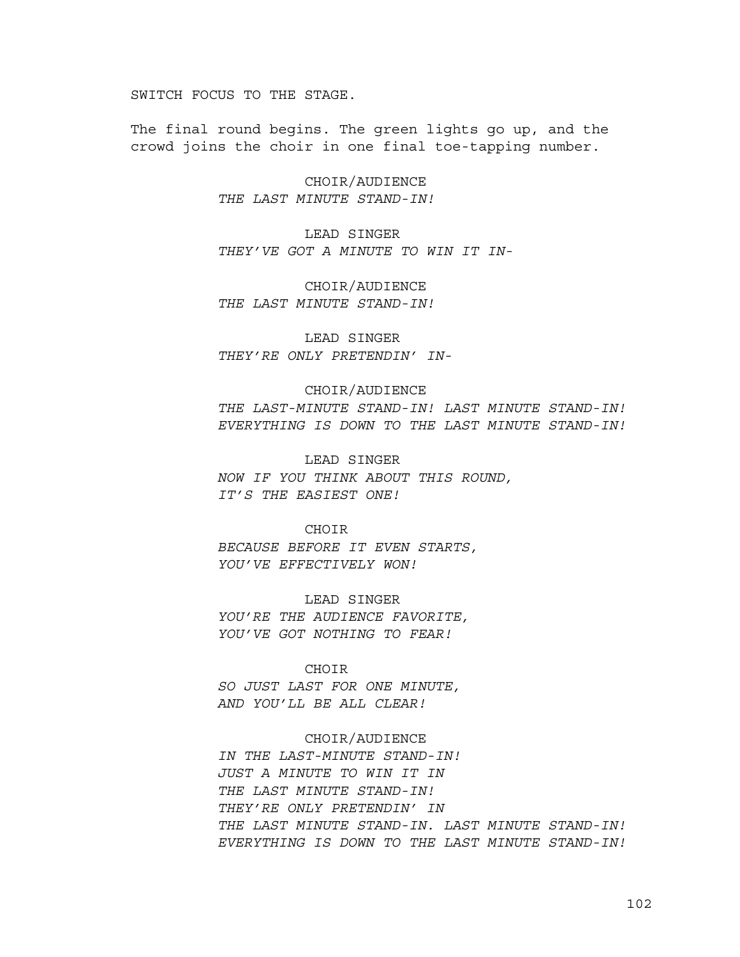SWITCH FOCUS TO THE STAGE.

The final round begins. The green lights go up, and the crowd joins the choir in one final toe-tapping number.

> CHOIR/AUDIENCE *THE LAST MINUTE STAND-IN!*

LEAD SINGER *THEY'VE GOT A MINUTE TO WIN IT IN-*

CHOIR/AUDIENCE *THE LAST MINUTE STAND-IN!*

LEAD SINGER *THEY'RE ONLY PRETENDIN' IN-*

#### CHOIR/AUDIENCE

*THE LAST-MINUTE STAND-IN! LAST MINUTE STAND-IN! EVERYTHING IS DOWN TO THE LAST MINUTE STAND-IN!*

LEAD SINGER

*NOW IF YOU THINK ABOUT THIS ROUND, IT'S THE EASIEST ONE!*

#### CHOIR

*BECAUSE BEFORE IT EVEN STARTS, YOU'VE EFFECTIVELY WON!*

LEAD SINGER *YOU'RE THE AUDIENCE FAVORITE, YOU'VE GOT NOTHING TO FEAR!*

### CHOIR

*SO JUST LAST FOR ONE MINUTE, AND YOU'LL BE ALL CLEAR!*

# CHOIR/AUDIENCE

*IN THE LAST-MINUTE STAND-IN! JUST A MINUTE TO WIN IT IN THE LAST MINUTE STAND-IN! THEY'RE ONLY PRETENDIN' IN THE LAST MINUTE STAND-IN. LAST MINUTE STAND-IN! EVERYTHING IS DOWN TO THE LAST MINUTE STAND-IN!*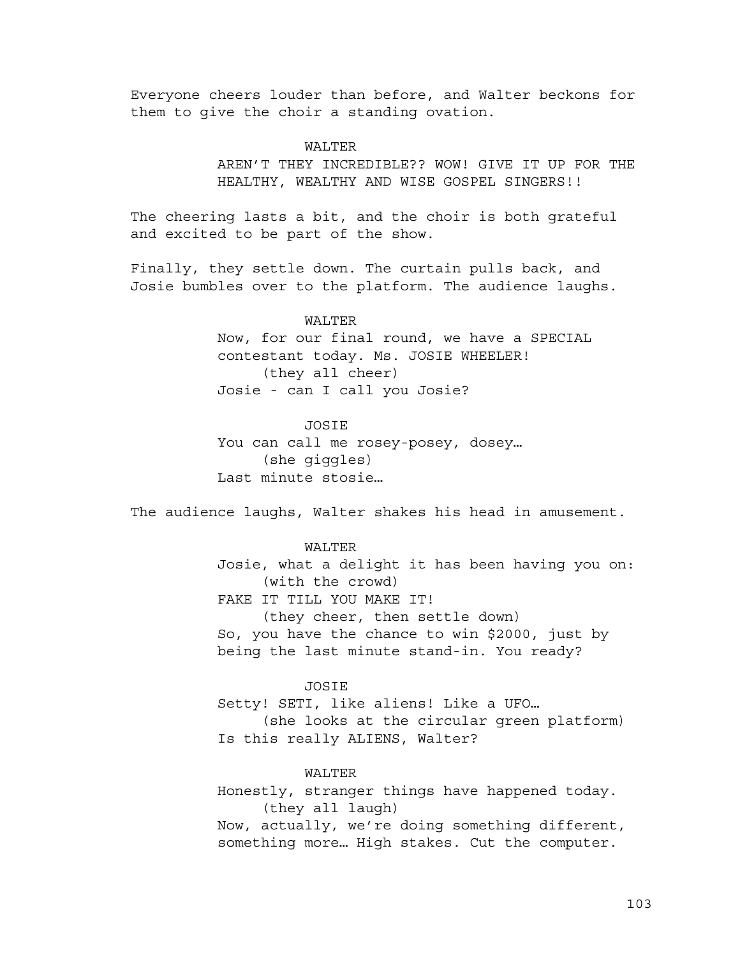Everyone cheers louder than before, and Walter beckons for them to give the choir a standing ovation.

# WALTER

AREN'T THEY INCREDIBLE?? WOW! GIVE IT UP FOR THE HEALTHY, WEALTHY AND WISE GOSPEL SINGERS!!

The cheering lasts a bit, and the choir is both grateful and excited to be part of the show.

Finally, they settle down. The curtain pulls back, and Josie bumbles over to the platform. The audience laughs.

> WALTER Now, for our final round, we have a SPECIAL contestant today. Ms. JOSIE WHEELER! (they all cheer) Josie - can I call you Josie?

### **JOSTE**

You can call me rosey-posey, dosey… (she giggles) Last minute stosie…

The audience laughs, Walter shakes his head in amusement.

# WALTER

Josie, what a delight it has been having you on: (with the crowd) FAKE IT TILL YOU MAKE IT! (they cheer, then settle down) So, you have the chance to win \$2000, just by being the last minute stand-in. You ready?

# JOSIE

Setty! SETI, like aliens! Like a UFO… (she looks at the circular green platform) Is this really ALIENS, Walter?

# WALTER

Honestly, stranger things have happened today. (they all laugh) Now, actually, we're doing something different, something more… High stakes. Cut the computer.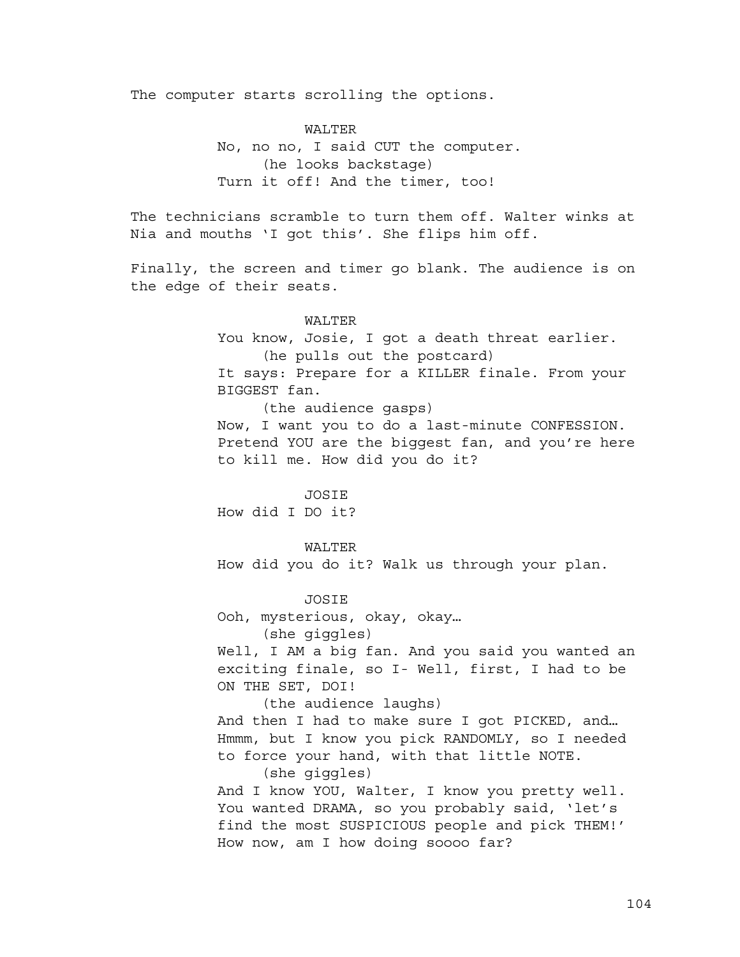The computer starts scrolling the options.

WALTER No, no no, I said CUT the computer. (he looks backstage) Turn it off! And the timer, too!

The technicians scramble to turn them off. Walter winks at Nia and mouths 'I got this'. She flips him off.

Finally, the screen and timer go blank. The audience is on the edge of their seats.

### WALTER

You know, Josie, I got a death threat earlier. (he pulls out the postcard) It says: Prepare for a KILLER finale. From your BIGGEST fan. (the audience gasps)

Now, I want you to do a last-minute CONFESSION. Pretend YOU are the biggest fan, and you're here to kill me. How did you do it?

**JOSTE** How did I DO it?

WALTER

How did you do it? Walk us through your plan.

JOSIE Ooh, mysterious, okay, okay… (she giggles)

Well, I AM a big fan. And you said you wanted an exciting finale, so I- Well, first, I had to be ON THE SET, DOI!

(the audience laughs) And then I had to make sure I got PICKED, and… Hmmm, but I know you pick RANDOMLY, so I needed to force your hand, with that little NOTE. (she giggles)

And I know YOU, Walter, I know you pretty well. You wanted DRAMA, so you probably said, 'let's find the most SUSPICIOUS people and pick THEM!' How now, am I how doing soooo far?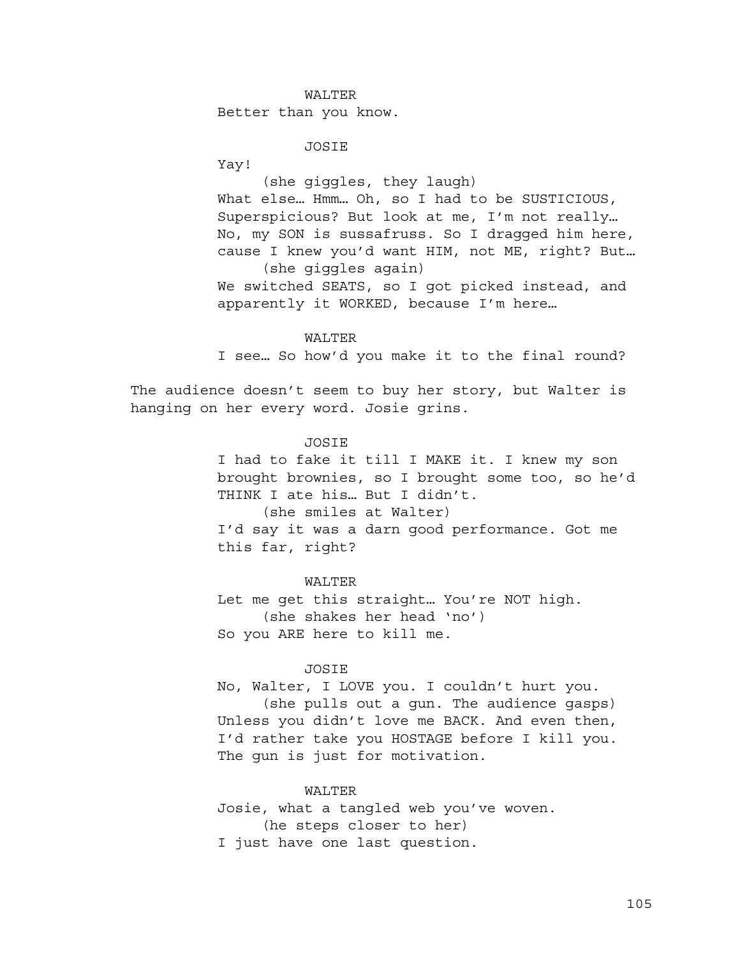### WALTER

Better than you know.

# JOSIE

Yay!

(she giggles, they laugh) What else... Hmm... Oh, so I had to be SUSTICIOUS, Superspicious? But look at me, I'm not really… No, my SON is sussafruss. So I dragged him here, cause I knew you'd want HIM, not ME, right? But… (she giggles again)

We switched SEATS, so I got picked instead, and apparently it WORKED, because I'm here…

## WALTER

I see… So how'd you make it to the final round?

The audience doesn't seem to buy her story, but Walter is hanging on her every word. Josie grins.

## JOSIE

I had to fake it till I MAKE it. I knew my son brought brownies, so I brought some too, so he'd THINK I ate his… But I didn't. (she smiles at Walter) I'd say it was a darn good performance. Got me this far, right?

WALTER Let me get this straight… You're NOT high. (she shakes her head 'no') So you ARE here to kill me.

# JOSIE

No, Walter, I LOVE you. I couldn't hurt you. (she pulls out a gun. The audience gasps) Unless you didn't love me BACK. And even then, I'd rather take you HOSTAGE before I kill you. The gun is just for motivation.

### WALTER

Josie, what a tangled web you've woven. (he steps closer to her) I just have one last question.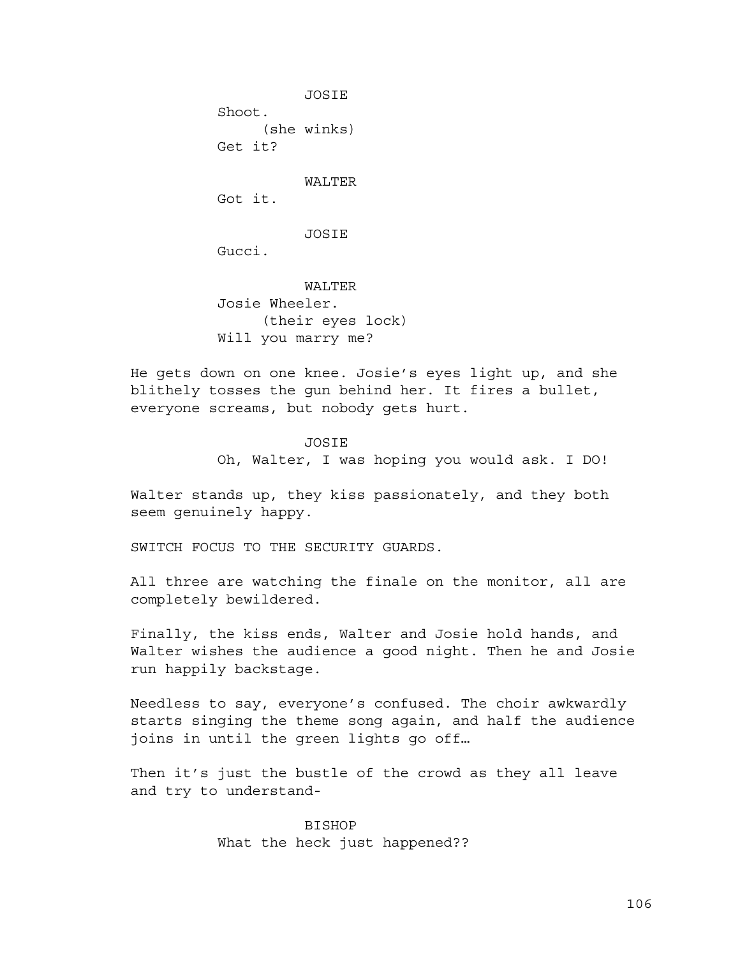JOSIE Shoot. (she winks) Get it? WALTER Got it. **JOSIE** Gucci. WALTER

Josie Wheeler. (their eyes lock) Will you marry me?

He gets down on one knee. Josie's eyes light up, and she blithely tosses the gun behind her. It fires a bullet, everyone screams, but nobody gets hurt.

### JOSIE

Oh, Walter, I was hoping you would ask. I DO!

Walter stands up, they kiss passionately, and they both seem genuinely happy.

SWITCH FOCUS TO THE SECURITY GUARDS.

All three are watching the finale on the monitor, all are completely bewildered.

Finally, the kiss ends, Walter and Josie hold hands, and Walter wishes the audience a good night. Then he and Josie run happily backstage.

Needless to say, everyone's confused. The choir awkwardly starts singing the theme song again, and half the audience joins in until the green lights go off…

Then it's just the bustle of the crowd as they all leave and try to understand-

> BISHOP What the heck just happened??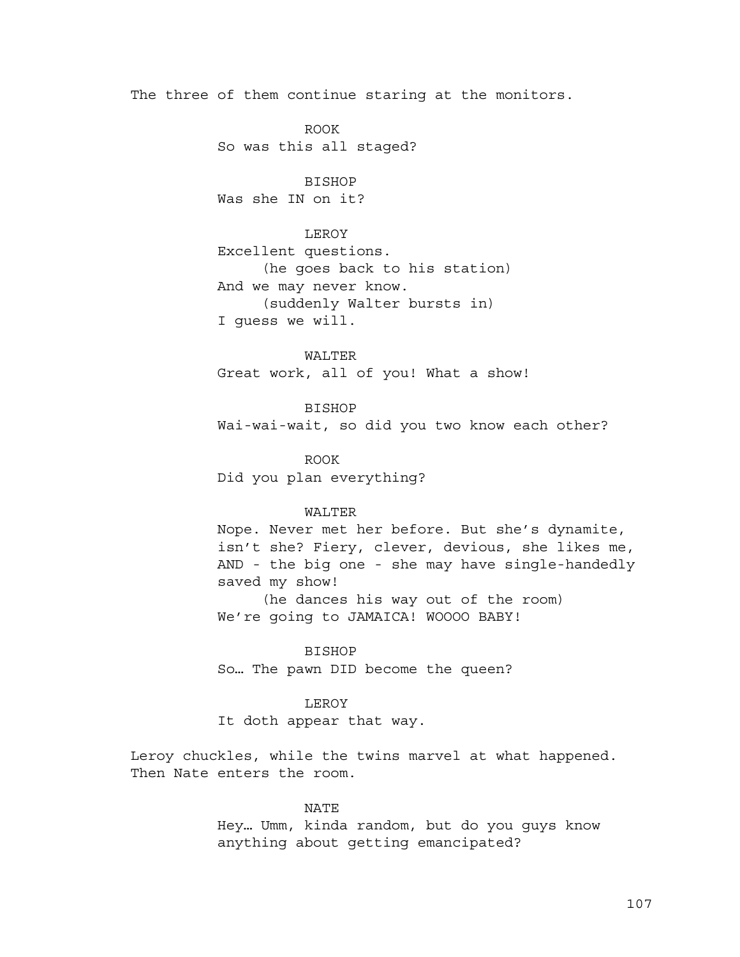The three of them continue staring at the monitors.

ROOK So was this all staged?

BISHOP Was she IN on it?

# LEROY

Excellent questions. (he goes back to his station) And we may never know. (suddenly Walter bursts in) I guess we will.

WALTER Great work, all of you! What a show!

BISHOP Wai-wai-wait, so did you two know each other?

ROOK Did you plan everything?

# WALTER

Nope. Never met her before. But she's dynamite, isn't she? Fiery, clever, devious, she likes me, AND - the big one - she may have single-handedly saved my show! (he dances his way out of the room)

We're going to JAMAICA! WOOOO BABY!

# BISHOP

So… The pawn DID become the queen?

# LEROY

It doth appear that way.

Leroy chuckles, while the twins marvel at what happened. Then Nate enters the room.

# NATE

Hey… Umm, kinda random, but do you guys know anything about getting emancipated?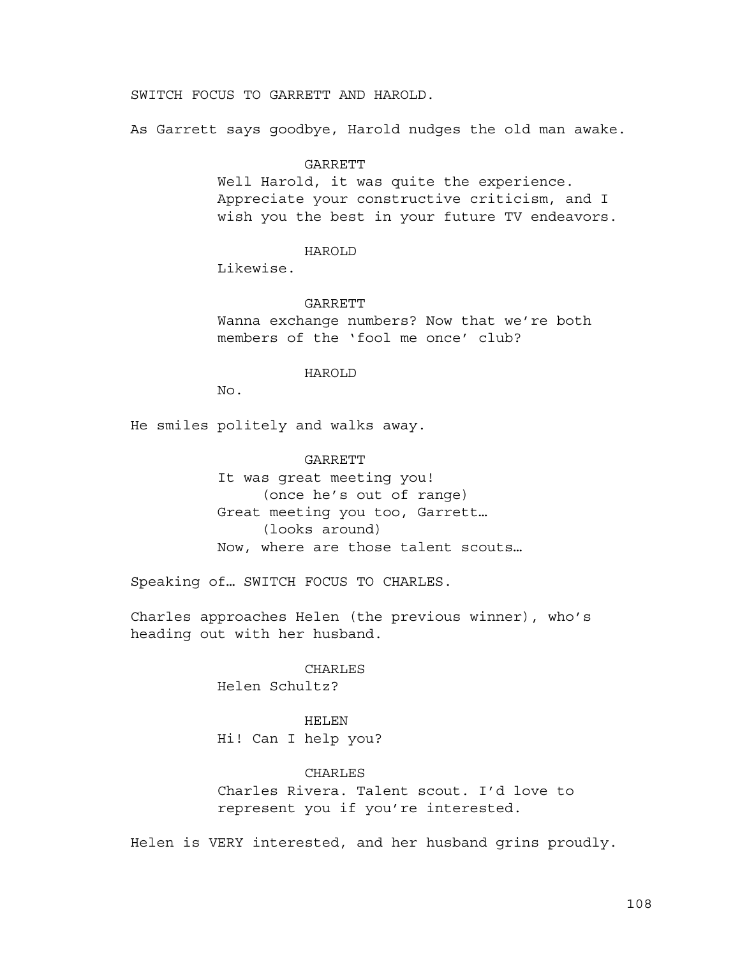SWITCH FOCUS TO GARRETT AND HAROLD.

As Garrett says goodbye, Harold nudges the old man awake.

#### GARRETT

Well Harold, it was quite the experience. Appreciate your constructive criticism, and I wish you the best in your future TV endeavors.

### HAROLD

Likewise.

#### GARRETT

Wanna exchange numbers? Now that we're both members of the 'fool me once' club?

### HAROLD

No.

He smiles politely and walks away.

# GARRETT

It was great meeting you! (once he's out of range) Great meeting you too, Garrett… (looks around) Now, where are those talent scouts…

Speaking of… SWITCH FOCUS TO CHARLES.

Charles approaches Helen (the previous winner), who's heading out with her husband.

# CHARLES Helen Schultz?

HELEN

Hi! Can I help you?

# CHARLES

Charles Rivera. Talent scout. I'd love to represent you if you're interested.

Helen is VERY interested, and her husband grins proudly.